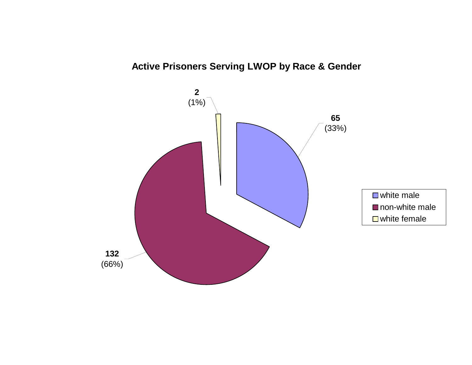# **Active Prisoners Serving LWOP by Race & Gender**

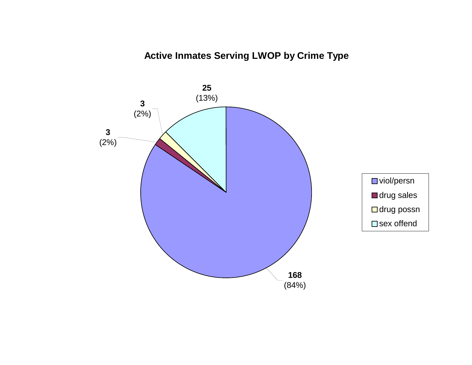# **Active Inmates Serving LWOP by Crime Type**

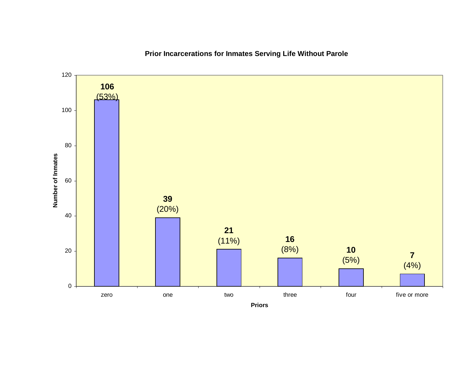**Prior Incarcerations for Inmates Serving Life Without Parole**

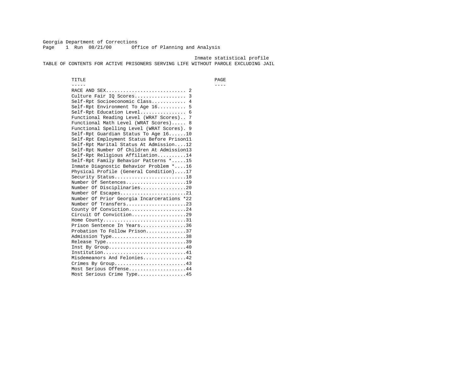Georgia Department of Corrections Page 1 Run 08/21/00 Office of Planning and Analysis

 Inmate statistical profile TABLE OF CONTENTS FOR ACTIVE PRISONERS SERVING LIFE WITHOUT PAROLE EXCLUDING JAIL

 TITLE PAGE ----- ---- RACE AND SEX............................ 2 Culture Fair IQ Scores.................. 3 Self-Rpt Socioeconomic Class............ 4 Self-Rpt Environment To Age 16.......... 5 Self-Rpt Education Level................ 6 Functional Reading Level (WRAT Scores).. 7 Functional Math Level (WRAT Scores)..... 8 Functional Spelling Level (WRAT Scores). 9 Self-Rpt Guardian Status To Age 16......10 Self-Rpt Employment Status Before Prison11 Self-Rpt Marital Status At Admission....12 Self-Rpt Number Of Children At Admission13 Self-Rpt Religious Affiliation..........14 Self-Rpt Family Behavior Patterns \*.....15 Inmate Diagnostic Behavior Problem \*....16 Physical Profile (General Condition)....17 Security Status............................18 Number Of Sentences.....................19 Number Of Disciplinaries................20 Number Of Escapes........................21 Number Of Prior Georgia Incarcerations \*22 Number Of Transfers.....................23 County Of Conviction....................24 Circuit Of Conviction...................29 Home County................................31 Prison Sentence In Years................36 Probation To Follow Prison..............37Admission Type.............................38 Release Type...............................39 Inst By Group..............................40 Institution................................41 Misdemeanors And Felonies...............42 Crimes By Group.........................43 Most Serious Offense....................44 Most Serious Crime Type.................45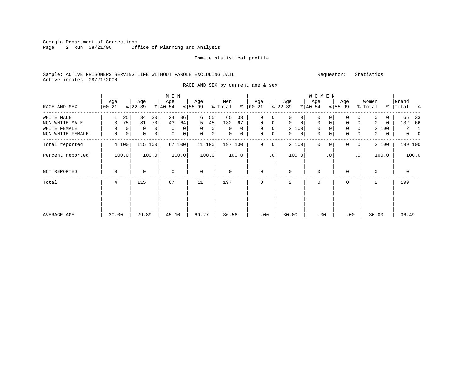Georgia Department of Corrections<br>Page 2 Run 08/21/00 0ff Office of Planning and Analysis

#### Inmate statistical profile

# Sample: ACTIVE PRISONERS SERVING LIFE WITHOUT PAROLE EXCLUDING JAIL Requestor: Statistics Active inmates 08/21/2000

RACE AND SEX by current age & sex

|                  |                  |                       | M E N            |                   |                     |                         |                                | W O M E N            |                            |                              |                            |
|------------------|------------------|-----------------------|------------------|-------------------|---------------------|-------------------------|--------------------------------|----------------------|----------------------------|------------------------------|----------------------------|
| RACE AND SEX     | Age<br>$00 - 21$ | Age<br>$ 22-39 $      | Age<br>$ 40-54 $ | Age<br>$8 55-99$  | Men<br>% Total<br>ႜ | Age<br>$00 - 21$        | Age<br>$ 22-39 $               | Age<br>$ 40-54 $     | Age<br>$8 55-99$           | Women<br>$\frac{1}{2}$ Total | Grand<br>% Total %         |
| WHITE MALE       | 25               | 34<br>30              | 24<br>36         | 6<br>55           | 65<br>33            | 0                       | $\Omega$<br>0                  | 0<br>n               | 0<br>0                     | $\Omega$                     | 65<br>33                   |
| NON WHITE MALE   | 75<br>3          | 81<br>70              | 43<br>64         | 45<br>5           | 132<br>67           | 0<br>0                  | $\mathbf 0$<br>$\mathbf{0}$    | $\mathbf 0$<br>0     | 0<br>$\mathbf 0$           | $\Omega$<br>$\Omega$         | - 66<br>132                |
| WHITE FEMALE     | $\Omega$         | 0<br>$\mathbf 0$<br>0 | $\mathbf 0$<br>0 | $\mathbf 0$<br>0  | 0<br>$\Omega$       | 0                       | 2 100                          | $\mathbf 0$<br>0     | 0                          | 2 100                        | 2<br>- 1                   |
| NON WHITE FEMALE | 0                | $\mathbf 0$<br>0<br>0 | 0<br>$\mathbf 0$ | $\mathbf{0}$<br>0 | $\mathbf{0}$<br>0   | 0<br>0                  | $\overline{0}$<br>$\mathbf{0}$ | 0<br>0               | 0<br>0                     | $\mathbf{0}$<br>$\mathbf{0}$ | $\overline{0}$<br>$\Omega$ |
| Total reported   | 4 100            | 115 100               | 67 100           | 11 100            | 197 100             | $\Omega$<br>$\mathbf 0$ | 2 100                          | $\Omega$<br>$\Omega$ | $\Omega$<br>$\overline{0}$ | 2 100                        | 199 100                    |
| Percent reported | 100.0            | 100.0                 | 100.0            | 100.0             | 100.0               | $\cdot$ 0               | 100.0                          | $\cdot$ 0            | $\cdot$ 0                  | 100.0                        | 100.0                      |
| NOT REPORTED     | $\Omega$         | $\Omega$              | $\Omega$         | $\mathbf 0$       | $\Omega$            | $\mathbf{0}$            | $\Omega$                       | $\mathbf{0}$         | 0                          | $\mathbf 0$                  | $\mathbf{0}$               |
| Total            | 4                | 115                   | 67               | 11                | 197                 | $\mathbf 0$             | 2                              | $\mathbf 0$          | 0                          | 2                            | 199                        |
|                  |                  |                       |                  |                   |                     |                         |                                |                      |                            |                              |                            |
| AVERAGE AGE      | 20.00            | 29.89                 | 45.10            | 60.27             | 36.56               | .00                     | 30.00                          | .00                  | .00                        | 30.00                        | 36.49                      |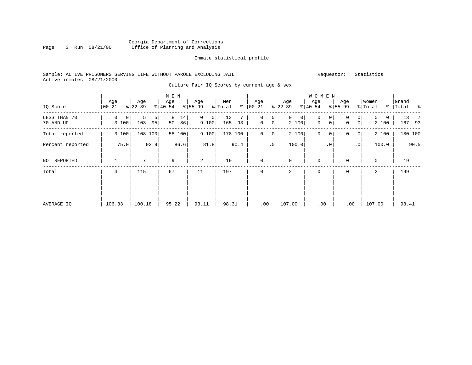### Georgia Department of Corrections<br>Page 3 Run 08/21/00 Office of Planning and Analysis Page 3 Run 08/21/00 Office of Planning and Analysis

#### Inmate statistical profile

### Sample: ACTIVE PRISONERS SERVING LIFE WITHOUT PAROLE EXCLUDING JAIL Requestor: Statistics Active inmates 08/21/2000

Culture Fair IQ Scores by current age & sex

|                           |                              |                     | M E N               |                              |                     |                               |                              | <b>WOMEN</b>                                    |                               |                           |                         |
|---------------------------|------------------------------|---------------------|---------------------|------------------------------|---------------------|-------------------------------|------------------------------|-------------------------------------------------|-------------------------------|---------------------------|-------------------------|
| IQ Score                  | Age<br>$ 00-21$              | Age<br>$ 22-39 $    | Age<br>$ 40-54 $    | Age<br>$\frac{1}{6}$   55-99 | Men<br>⊱<br>% Total | Age<br>$ 00 - 21$             | Age<br>$ 22-39 $             | Age<br>$ 40-54 $                                | Age<br>$8 55-99$              | Women<br>% Total          | Grand<br>%   Total<br>း |
| LESS THAN 70<br>70 AND UP | 0<br>$\overline{0}$<br>3 100 | 5<br>5<br>103<br>95 | 8<br>14<br>50<br>86 | $\mathbf{0}$<br>0<br>9 100   | 13<br>165<br>93     | 0<br>0<br>0 <sup>1</sup><br>0 | $\overline{0}$<br>0<br>2 100 | $\mathbf 0$<br>0<br>$\mathsf{O}$<br>$\mathbf 0$ | 0<br>0<br>$\overline{0}$<br>0 | 0<br>$\mathbf 0$<br>2 100 | 13<br>- 7<br>167 93     |
| Total reported            | 3 100                        | 108 100             | 58 100              | 9 100                        | 178 100             | $\mathbf{0}$<br>0             | 2 100                        | 0<br>0                                          | 0<br>$\overline{0}$           | 2 100                     | 180 100                 |
| Percent reported          | 75.0                         | 93.9                | 86.6                | 81.8                         | 90.4                | $\cdot$ 0                     | 100.0                        | $\cdot$ 0                                       | $\cdot$ 0                     | 100.0                     | 90.5                    |
| NOT REPORTED              |                              | 7                   | 9                   | 2                            | 19                  | $\mathbf 0$                   | $\mathbf{0}$                 | $\mathbf 0$                                     | 0                             | 0                         | 19                      |
| Total                     | 4                            | 115                 | 67                  | 11                           | 197                 | $\mathbf 0$                   | 2                            | 0                                               | 0                             | 2                         | 199                     |
| AVERAGE IQ                | 106.33                       | 100.18              | 95.22               | 93.11                        | 98.31               | .00                           | 107.00                       | .00                                             | .00                           | 107.00                    | 98.41                   |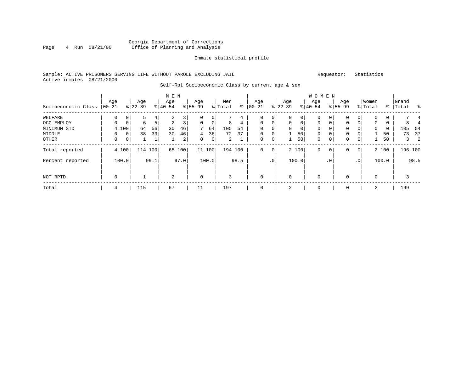### Georgia Department of Corrections Page 4 Run  $08/21/00$  Office of Planning and Analysis

#### Inmate statistical profile

#### Sample: ACTIVE PRISONERS SERVING LIFE WITHOUT PAROLE EXCLUDING JAIL Requestor: Statistics Active inmates 08/21/2000

#### Self-Rpt Socioeconomic Class by current age & sex

|                     |             |             |           |              | M E N     |      |             |        |                |      |             |                 |              |             | W O M E N    |             |             |              |              |          |                         |         |
|---------------------|-------------|-------------|-----------|--------------|-----------|------|-------------|--------|----------------|------|-------------|-----------------|--------------|-------------|--------------|-------------|-------------|--------------|--------------|----------|-------------------------|---------|
|                     | Age         |             | Age       |              | Age       |      | Age         |        | Men            |      | Age         |                 | Age          |             | Age          |             | Age         |              | Women        |          | Grand                   |         |
| Socioeconomic Class | $ 00-21$    |             | $8 22-39$ |              | $8 40-54$ |      | $8 55-99$   |        | % Total        | နွ   | $00 - 21$   | န္              | $22 - 39$    |             | $ 40-54$     |             | $8155 - 99$ |              | % Total      |          | %   Total               | ႜ       |
| WELFARE             | 0           | 0           | 5         | 4            | 2         | 3    | 0           | 0      |                | 4    | 0           | 0               | $\mathbf{0}$ | 0           | 0            | $\Omega$    | 0           | 0            | $\mathbf{0}$ | 0        |                         |         |
| OCC EMPLOY          | $\Omega$    | 0           | 6         | 5            | 2         | 3    | $\Omega$    | 0      | 8              | 4    | 0           | $\mathbf 0$     | $\mathbf{0}$ | $\mathbf 0$ | $\mathbf{0}$ | $\Omega$    | 0           |              | $\mathbf{0}$ | 0        |                         |         |
| MINIMUM STD         |             | 4 100       | 64        | 56           | 30        | 46   | 7           | 64     | 105            | 54   | $\Omega$    | 0               | $\Omega$     | $\mathbf 0$ | $\Omega$     |             | $\Omega$    |              | $\mathbf 0$  | $\Omega$ | 105                     | 54      |
| MIDDLE              | $\Omega$    | $\mathbf 0$ | 38        | 33           | 30        | 46   | 4           | 36     | 72             | 37   | $\mathbf 0$ | $\mathbf 0$     |              | 50          | $\mathbf{0}$ |             | 0           |              |              | 50       | 73                      | 37      |
| OTHER               | $\mathbf 0$ | $\mathbf 0$ |           | $\mathbf{1}$ |           | 2    | $\Omega$    | 0      | $\overline{2}$ |      | $\mathbf 0$ | $\mathbf 0$     |              | 50          | $\mathbf{0}$ | $\mathbf 0$ | 0           | 0            |              | 50       | $\overline{\mathbf{3}}$ | 2       |
| Total reported      |             | 4 100       | 114 100   |              | 65        | 100  |             | 11 100 | 194 100        |      | 0           | 0               |              | 2 100       | 0            | 0           | 0           | $\mathbf{0}$ |              | 2 100    |                         | 196 100 |
| Percent reported    |             | 100.0       |           | 99.1         |           | 97.0 |             | 100.0  |                | 98.5 |             | .0 <sup>1</sup> |              | 100.0       |              | . 0         |             | $\cdot$ 0    |              | 100.0    |                         | 98.5    |
| NOT RPTD            | $\mathbf 0$ |             |           |              | 2         |      | $\mathbf 0$ |        | 3              |      | $\mathbf 0$ |                 | $\mathbf 0$  |             | $\mathbf 0$  |             | 0           |              | 0            |          | 3                       |         |
| Total               | 4           |             | 115       |              | 67        |      | 11          |        | 197            |      | $\mathbf 0$ |                 | 2            |             | 0            |             | 0           |              | 2            |          | 199                     |         |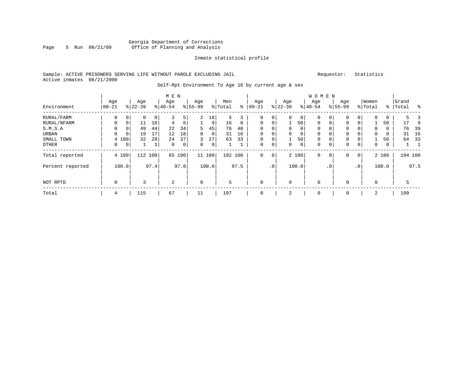### Georgia Department of Corrections Page 5 Run 08/21/00 Office of Planning and Analysis

#### Inmate statistical profile

### Sample: ACTIVE PRISONERS SERVING LIFE WITHOUT PAROLE EXCLUDING JAIL Requestor: Statistics Active inmates 08/21/2000

# Self-Rpt Environment To Age 16 by current age & sex

|                  |                   |             |                  |      | M E N            |      |                 |        |                |      |                 |         |                 |       | W O M E N        |     |                  |           |                  |       |                    |         |
|------------------|-------------------|-------------|------------------|------|------------------|------|-----------------|--------|----------------|------|-----------------|---------|-----------------|-------|------------------|-----|------------------|-----------|------------------|-------|--------------------|---------|
| Environment      | Age<br>$100 - 21$ |             | Age<br>$8 22-39$ |      | Age<br>$8 40-54$ |      | Age<br>$ 55-99$ |        | Men<br>% Total | ⊱    | Age<br>$ 00-21$ |         | Age<br>$ 22-39$ |       | Age<br>$ 40-54 $ |     | Age<br>$8 55-99$ |           | Women<br>% Total |       | Grand<br>%   Total | ి       |
| RURAL/FARM       | 0                 | 0           | 0                | 0    | 3                | 5    | $\overline{2}$  | 18     | 5.             | 3    | 0               | 0       | 0               | 0     | $\mathbf 0$      | 0   | 0                | 0         | $\mathbf 0$      | 0     |                    | $\prec$ |
| RURAL/NFARM      | $\mathbf 0$       |             | 11               | 10   | 4                | 6    | 1               | 9      | 16             | 8    | 0               | 0       |                 | 50    | $\mathbf 0$      | 0   | 0                |           |                  | 50    | 17                 | -9      |
| S.M.S.A          | 0                 |             | 49               | 44   | 22               | 34   | 5               | 45     | 76             | 40   | 0               | 0       | 0               | 0     | $\mathbf 0$      | 0   | 0                |           | $\mathbf 0$      | 0     | 76                 | 39      |
| URBAN            | $\Omega$          | $\mathbf 0$ | 19               | 17   | 12               | 18   | 0               | 0      | 31             | 16   | $\Omega$        | 0       | $\mathbf 0$     | 0     | $\mathbf 0$      | 0   | 0                |           | 0                | 0     | 31                 | 16      |
| SMALL TOWN       |                   | 4 100       | 32               | 29   | 24               | 37   | 3               | 27     | 63             | 33   | $\Omega$        | 0       |                 | 50    | $\mathbf 0$      | 0   | 0                |           |                  | 50    | 64                 | 33      |
| OTHER            | 0                 | 0           |                  | 1    | $\mathbf 0$      | 0    | 0               | 0      |                |      | 0               | 0       | 0               | 0     | $\mathbf 0$      | 0   | 0                | 0         | $\mathbf 0$      | 0     | <b>L</b>           |         |
| Total reported   |                   | 4 100       | 112              | 100  | 65               | 100  |                 | 11 100 | 192 100        |      | 0               | $\circ$ |                 | 2 100 | $\mathbf 0$      | 0   | 0                | 0         |                  | 2 100 |                    | 194 100 |
| Percent reported |                   | 100.0       |                  | 97.4 |                  | 97.0 |                 | 100.0  |                | 97.5 |                 | .0'     |                 | 100.0 |                  | . 0 |                  | $\cdot$ 0 |                  | 100.0 |                    | 97.5    |
| NOT RPTD         | $\mathbf 0$       |             | 3                |      | 2                |      | $\mathbf 0$     |        | 5              |      | $\Omega$        |         | $\Omega$        |       | 0                |     | $\Omega$         |           | $\mathbf 0$      |       |                    |         |
| Total            | 4                 |             | 115              |      | 67               |      | 11              |        | 197            |      |                 |         | 2               |       | $\mathbf 0$      |     | $\Omega$         |           | 2                |       | 199                |         |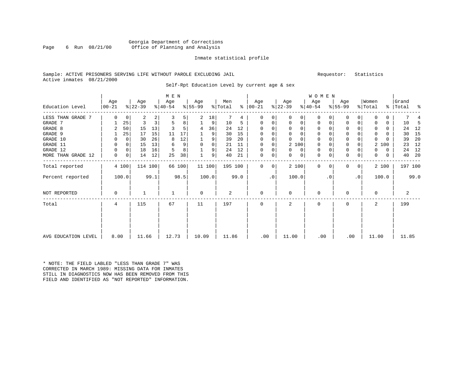#### Georgia Department of Corrections Page 6 Run 08/21/00 Office of Planning and Analysis

#### Inmate statistical profile

### Sample: ACTIVE PRISONERS SERVING LIFE WITHOUT PAROLE EXCLUDING JAIL Requestor: Statistics Active inmates 08/21/2000

Self-Rpt Education Level by current age & sex

|                     | M E N           |             |                  |      |                  |        |                 |                |                |      |                      |           |                  |             | <b>WOMEN</b>     |           |                  |                |                  |       |                    |      |
|---------------------|-----------------|-------------|------------------|------|------------------|--------|-----------------|----------------|----------------|------|----------------------|-----------|------------------|-------------|------------------|-----------|------------------|----------------|------------------|-------|--------------------|------|
| Education Level     | Age<br>$ 00-21$ |             | Age<br>$ 22-39 $ |      | Age<br>$ 40-54 $ |        | Age<br>$ 55-99$ |                | Men<br>% Total |      | Age<br>$8   00 - 21$ |           | Age<br>$ 22-39 $ |             | Age<br>$ 40-54 $ |           | Age<br>$8 55-99$ |                | Women<br>% Total |       | Grand<br>%   Total | နွ   |
| LESS THAN GRADE 7   | 0               | $\mathbf 0$ | 2                | 2    | 3                | 5      | 2               | 18             |                | 4    | 0                    | 0         | $\Omega$         | $\Omega$    | $\Omega$         | $\Omega$  | $\Omega$         | 0              | $\Omega$         | 0     |                    |      |
| GRADE 7             |                 | 25          | 3                | 3    | 5                | 8      |                 | 9              | 10             | 5    | 0                    | 0         | 0                | 0           | 0                | 0         | $\mathbf 0$      | 0              | 0                | 0     | 10                 | -5   |
| GRADE 8             | 2               | 50          | 15               | 13   |                  | 5      | 4               | 36             | 24             | 12   | $\Omega$             | 0         |                  | 0           | 0                | $\Omega$  | $\Omega$         |                | $\Omega$         | 0     | 24                 | 12   |
| GRADE 9             |                 | 25          | 17               | 15   | 11               | 17     |                 | 9              | 30             | 15   | $\Omega$             |           |                  | $\mathbf 0$ | 0                |           | $\mathbf 0$      |                | 0                | 0     | 30                 | 15   |
| GRADE 10            | 0               | $\Omega$    | 30               | 26   | 8                | 12     |                 | 9              | 39             | 20   | $\Omega$             | 0         | $\Omega$         | $\Omega$    | $\Omega$         |           | $\mathbf 0$      |                | $\Omega$         | U     | 39                 | 20   |
| GRADE 11            | 0               | 0           | 15               | 13   | 6                | 9      | $\mathbf 0$     | 0              | 21             | 11   | 0                    | 0         | 2 100            |             | 0                |           | $\mathbf{0}$     |                | $\overline{a}$   | 100   | 23                 | 12   |
| GRADE 12            | 0               | 0           | 18               | 16   | 5                | 8      |                 | 9              | 24             | 12   | $\Omega$             | 0         | $\Omega$         | 0           | 0                |           | $\mathbf 0$      |                | 0                | 0     | 24                 | 12   |
| MORE THAN GRADE 12  | 0               | 0           | 14               | 12   | 25               | 38     |                 | 9 <sup>1</sup> | 40             | 21   | $\mathbf 0$          | 0         | 0                | 0           | 0                | 0         | $\mathbf 0$      | 0              | 0                | 0     | 40                 | 20   |
| Total reported      |                 | 4 100       | 114 100          |      |                  | 66 100 | 11100           |                | 195 100        |      | $\Omega$             | 0         | 2 100            |             | $\mathbf 0$      | $\Omega$  | $\Omega$         | $\overline{0}$ |                  | 2 100 | 197 100            |      |
| Percent reported    |                 | 100.0       |                  | 99.1 |                  | 98.5   |                 | 100.0          |                | 99.0 |                      | $\cdot$ 0 | 100.0            |             |                  | $\cdot$ 0 |                  | $\cdot$ 0      |                  | 100.0 |                    | 99.0 |
| NOT REPORTED        | 0               |             |                  |      |                  |        | 0               |                | 2              |      | 0                    |           | 0                |             | 0                |           | $\Omega$         |                | 0                |       | 2                  |      |
| Total               | 4               |             | 115              |      | 67               |        | 11              |                | 197            |      | 0                    |           | 2                |             | 0                |           | $\Omega$         |                | 2                |       | 199                |      |
|                     |                 |             |                  |      |                  |        |                 |                |                |      |                      |           |                  |             |                  |           |                  |                |                  |       |                    |      |
| AVG EDUCATION LEVEL | 8.00            |             | 11.66            |      | 12.73            |        | 10.09           |                | 11.86          |      | .00                  |           | 11.00            |             | .00              |           | .00              |                | 11.00            |       | 11.85              |      |

\* NOTE: THE FIELD LABLED "LESS THAN GRADE 7" WAS CORRECTED IN MARCH 1989: MISSING DATA FOR INMATES STILL IN DIAGNOSTICS NOW HAS BEEN REMOVED FROM THIS FIELD AND IDENTIFIED AS "NOT REPORTED" INFORMATION.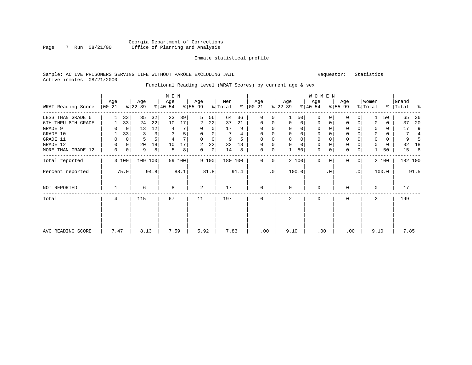### Georgia Department of Corrections Page 7 Run 08/21/00 Office of Planning and Analysis

#### Inmate statistical profile

#### Sample: ACTIVE PRISONERS SERVING LIFE WITHOUT PAROLE EXCLUDING JAIL Requestor: Statistics Active inmates 08/21/2000

# Functional Reading Level (WRAT Scores) by current age & sex

|                    |                 |             |                  |         | M E N            |        |                 |                |                |      |                      |                |                  |             | WOMEN            |              |                  |              |                  |       |                    |                |
|--------------------|-----------------|-------------|------------------|---------|------------------|--------|-----------------|----------------|----------------|------|----------------------|----------------|------------------|-------------|------------------|--------------|------------------|--------------|------------------|-------|--------------------|----------------|
| WRAT Reading Score | Age<br>$ 00-21$ |             | Age<br>$ 22-39 $ |         | Age<br>$ 40-54 $ |        | Age<br>$ 55-99$ |                | Men<br>% Total |      | Age<br>$8   00 - 21$ |                | Age<br>$ 22-39 $ |             | Age<br>$ 40-54 $ |              | Age<br>$8 55-99$ |              | Women<br>% Total |       | Grand<br>%   Total | ಿ              |
| LESS THAN GRADE 6  |                 | 33          | 35               | 32      | 23               | 39     | 5               | 56             | 64             | 36   | $\Omega$             | 0              |                  | 50          | $\Omega$         | $\Omega$     | O                | 0            |                  | 50    | 65                 | 36             |
| 6TH THRU 8TH GRADE |                 | 33          | 24               | 22      | 10               | 17     | 2               | 22             | 37             | 21   | 0                    | 0              | $\Omega$         | 0           | $\Omega$         | $\Omega$     | 0                | 0            | $\Omega$         | 0     | 37                 | 20             |
| GRADE 9            | 0               | $\Omega$    | 13               | 12      | 4                |        | 0               | 0              | 17             | 9    |                      |                | $\Omega$         | 0           | $\Omega$         |              | 0                |              | $\Omega$         | 0     | 17                 | 9              |
| GRADE 10           |                 | 33          | 3                |         | 3                | 5      | $\Omega$        | $\Omega$       |                | 4    | $\Omega$             | 0              | $\mathbf 0$      | $\Omega$    | $\mathbf 0$      | $\Omega$     | 0                |              | $\mathbf 0$      | 0     |                    | $\overline{4}$ |
| GRADE 11           | 0               | 0           | 5                | 5       | $\overline{4}$   |        | 0               | 0              | 9              | 5    |                      |                | $\mathbf 0$      | $\mathbf 0$ | $\mathbf 0$      |              | 0                |              | 0                | 0     | 9                  |                |
| GRADE 12           | 0               | $\mathbf 0$ | 20               | 18      | 10               | 17     | 2               | 22             | 32             | 18   |                      |                | $\mathbf 0$      | 0           | $\mathbf 0$      | 0            | 0                |              | $\mathbf 0$      | 0     | 32                 | 18             |
| MORE THAN GRADE 12 | $\mathbf 0$     | 0           | 9                | 8       | 5                | 8      | 0               | $\overline{0}$ | 14             | 8    | $\mathbf 0$          | 0 <sup>1</sup> |                  | 50          | $\mathbf 0$      | 0            | $\mathbf 0$      | 0            |                  | 50    | 15                 | 8              |
| Total reported     |                 | 3 100       |                  | 109 100 |                  | 59 100 |                 | 9 100          | 180 100        |      | $\Omega$             | $\Omega$       |                  | 2 100       | $\Omega$         | $\mathbf{0}$ | $\Omega$         | $\mathbf{0}$ |                  | 2 100 |                    | 182 100        |
| Percent reported   |                 | 75.0        |                  | 94.8    |                  | 88.1   |                 | 81.8           |                | 91.4 |                      | $\cdot$ 0      |                  | 100.0       |                  | $\cdot$ 0    |                  | $\cdot$ 0    |                  | 100.0 |                    | 91.5           |
| NOT REPORTED       |                 |             | 6                |         | 8                |        | 2               |                | 17             |      | $\Omega$             |                | $\mathbf 0$      |             | $\Omega$         |              | $\Omega$         |              | 0                |       | 17                 |                |
| Total              | 4               |             | 115              |         | 67               |        | 11              |                | 197            |      | $\Omega$             |                | 2                |             | $\Omega$         |              | $\Omega$         |              | 2                |       | 199                |                |
|                    |                 |             |                  |         |                  |        |                 |                |                |      |                      |                |                  |             |                  |              |                  |              |                  |       |                    |                |
| AVG READING SCORE  | 7.47            |             | 8.13             |         | 7.59             |        | 5.92            |                | 7.83           |      | .00                  |                | 9.10             |             | .00              |              | .00              |              | 9.10             |       | 7.85               |                |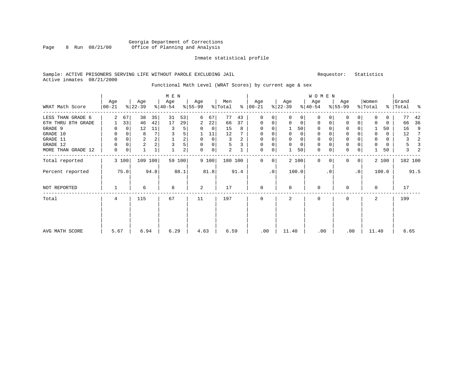### Georgia Department of Corrections Page 8 Run 08/21/00 Office of Planning and Analysis

#### Inmate statistical profile

#### Sample: ACTIVE PRISONERS SERVING LIFE WITHOUT PAROLE EXCLUDING JAIL Requestor: Statistics Active inmates 08/21/2000

# Functional Math Level (WRAT Scores) by current age & sex

|                    |                  |             |                  |              | M E N            |                |                  |             |                |      |                |           |                  |             | W O M E N        |           |                  |                |                  |            |                |      |
|--------------------|------------------|-------------|------------------|--------------|------------------|----------------|------------------|-------------|----------------|------|----------------|-----------|------------------|-------------|------------------|-----------|------------------|----------------|------------------|------------|----------------|------|
| WRAT Math Score    | Age<br>$00 - 21$ |             | Age<br>$ 22-39 $ |              | Age<br>$ 40-54 $ |                | Age<br>$8 55-99$ |             | Men<br>% Total | ⊱    | Age<br>  00-21 |           | Age<br>$ 22-39 $ |             | Age<br>$ 40-54 $ |           | Age<br>$8 55-99$ |                | Women<br>% Total | <u>%  </u> | Grand<br>Total | ႜ    |
| LESS THAN GRADE 6  | 2                | 67          | 38               | 35           | 31               | 53             | 6                | 67          | 77             | 43   | $\mathbf 0$    | 0         | $\Omega$         | 0           | $\mathbf 0$      | $\Omega$  | 0                | 0              | $\Omega$         | 0          | 77             | 42   |
| 6TH THRU 8TH GRADE |                  | 33          | 46               | 42           | 17               | 29             | 2                | 22          | 66             | 37   | 0              | 0         | 0                | 0           | 0                | 0         | 0                | 0              | 0                | 0          | 66             | 36   |
| GRADE 9            | 0                | 0           | 12               | 11           | 3                | 5              | 0                | $\mathbf 0$ | 15             | 8    | 0              |           |                  | 50          | $\mathbf 0$      | $\cap$    | $\Omega$         |                |                  | 50         | 16             | 9    |
| GRADE 10           | 0                | $\mathbf 0$ | 8                | 7            |                  | 5              |                  | 11          | 12             |      | 0              | $\Omega$  | 0                | 0           | $\mathbf 0$      | $\Omega$  | 0                |                | $\mathbf 0$      | 0          | 12             | 7    |
| GRADE 11           | $\mathbf 0$      | $\Omega$    | $\overline{2}$   |              |                  | 2              | 0                | $\mathbf 0$ | 3              | 2    | $\Omega$       |           | 0                | $\mathbf 0$ | $\mathbf 0$      | $\Omega$  | $\mathbf 0$      |                | 0                | $\Omega$   | 3              | 2    |
| GRADE 12           | 0                | 0           | $\overline{c}$   |              |                  | 5              | 0                | 0           | 5              | 3    | $\mathbf 0$    |           | $\mathbf 0$      | $\mathbf 0$ | $\mathbf 0$      | $\Omega$  | 0                |                | $\Omega$         | 0          | 5              | 3    |
| MORE THAN GRADE 12 | 0                | 0           | $\mathbf 1$      | $\mathbf{1}$ |                  | $\overline{a}$ | 0                | $\mathbf 0$ | $\overline{a}$ |      | 0              | 0         |                  | 50          | $\mathbf 0$      | 0         | $\mathbf 0$      | 0              |                  | 50         | 3              | 2    |
| Total reported     |                  | 3 100       |                  | 109 100      |                  | 59 100         |                  | 9 100       | 180 100        |      | $\Omega$       | 0         |                  | 2 100       | $\Omega$         | $\Omega$  | $\Omega$         | 0 <sup>1</sup> |                  | 2 100      | 182 100        |      |
| Percent reported   |                  | 75.0        |                  | 94.8         |                  | 88.1           |                  | 81.8        |                | 91.4 |                | $\cdot$ 0 |                  | 100.0       |                  | $\cdot$ 0 |                  | $\cdot$ 0      |                  | 100.0      |                | 91.5 |
| NOT REPORTED       |                  |             | 6                |              | 8                |                | 2                |             | 17             |      | $\mathbf{0}$   |           | 0                |             | $\mathbf 0$      |           | $\Omega$         |                | $\mathbf 0$      |            | 17             |      |
| Total              | 4                |             | 115              |              | 67               |                | 11               |             | 197            |      | $\Omega$       |           | $\mathbf{2}$     |             | $\Omega$         |           | $\Omega$         |                | 2                |            | 199            |      |
|                    |                  |             |                  |              |                  |                |                  |             |                |      |                |           |                  |             |                  |           |                  |                |                  |            |                |      |
| AVG MATH SCORE     | 5.67             |             | 6.94             |              | 6.29             |                | 4.63             |             | 6.59           |      | .00            |           | 11.40            |             | .00              |           | .00              |                | 11.40            |            | 6.65           |      |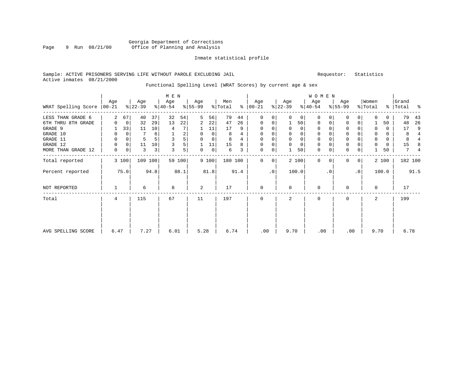### Georgia Department of Corrections Page 9 Run  $08/21/00$  Office of Planning and Analysis

#### Inmate statistical profile

#### Sample: ACTIVE PRISONERS SERVING LIFE WITHOUT PAROLE EXCLUDING JAIL Requestor: Statistics Active inmates 08/21/2000

# Functional Spelling Level (WRAT Scores) by current age & sex

|                     |                  |          |                  |         | M E N            |        |                  |             |                |      |                 |           |                  |          | <b>WOMEN</b>     |           |                  |              |                  |          |                    |                |
|---------------------|------------------|----------|------------------|---------|------------------|--------|------------------|-------------|----------------|------|-----------------|-----------|------------------|----------|------------------|-----------|------------------|--------------|------------------|----------|--------------------|----------------|
| WRAT Spelling Score | Age<br>$00 - 21$ |          | Age<br>$ 22-39 $ |         | Age<br>$8 40-54$ |        | Age<br>$8 55-99$ |             | Men<br>% Total | ៖    | Age<br>$ 00-21$ |           | Age<br>$ 22-39 $ |          | Age<br>$ 40-54 $ |           | Age<br>$8 55-99$ |              | Women<br>% Total |          | Grand<br>%   Total | ಿ              |
| LESS THAN GRADE 6   | 2                | 67       | 40               | 37      | 32               | 54     | 5                | 56          | 79             | 44   | $\Omega$        | $\Omega$  | $\Omega$         | $\Omega$ | $\Omega$         | $\Omega$  | 0                | $\Omega$     | $\Omega$         | $\Omega$ | 79                 | 43             |
| 6TH THRU 8TH GRADE  | 0                | 0        | 32               | 29      | 13               | 22     | 2                | 22          | 47             | 26   | $\mathbf 0$     | 0         |                  | 50       | $\mathbf 0$      | 0         | 0                | 0            |                  | 50       | 48                 | 26             |
| GRADE 9             |                  | 33       | 11               | 10      | 4                |        | ı                | 11          | 17             | 9    |                 |           | $\Omega$         | $\Omega$ | $\mathbf 0$      |           | 0                |              | $\Omega$         | 0        | 17                 | 9              |
| GRADE 10            | 0                | 0        |                  | 6       |                  | 2      | 0                | $\mathbf 0$ | 8              | 4    | $\Omega$        | $\Omega$  | $\mathbf 0$      | 0        | $\mathbf 0$      | $\Omega$  | 0                |              | $\mathbf 0$      | 0        | 8                  | $\overline{4}$ |
| GRADE 11            | 0                | 0        |                  |         |                  | 5      | $\Omega$         | $\mathbf 0$ | 8              | 4    |                 |           | $\mathbf 0$      | 0        | $\mathbf 0$      |           | $\Omega$         |              | $\mathbf 0$      | 0        |                    |                |
| GRADE 12            | $\Omega$         | $\Omega$ | 11               | 10      |                  | 5      |                  | 11          | 15             | 8    | $\Omega$        |           | $\mathbf 0$      | 0        | $\mathbf 0$      |           | 0                |              | $\mathbf 0$      | $\Omega$ | 15                 |                |
| MORE THAN GRADE 12  | 0                | 0        | 3                | 3       | 3                | 5      | 0                | 0           | 6              | 3    | 0               | 0         |                  | 50       | $\mathbf 0$      | 0         | $\Omega$         | 0            |                  | 50       |                    | 4              |
| Total reported      |                  | 3 100    |                  | 109 100 |                  | 59 100 |                  | 9 100       | 180 100        |      | $\Omega$        | $\Omega$  |                  | 2 100    | $\Omega$         | $\Omega$  | $\Omega$         | $\mathbf{0}$ |                  | 2 100    | 182 100            |                |
| Percent reported    |                  | 75.0     |                  | 94.8    |                  | 88.1   |                  | 81.8        |                | 91.4 |                 | $\cdot$ 0 |                  | 100.0    |                  | $\cdot$ 0 |                  | $\cdot$ 0    |                  | 100.0    |                    | 91.5           |
| NOT REPORTED        |                  |          | 6                |         | 8                |        | 2                |             | 17             |      | $\mathbf 0$     |           | $\mathbf 0$      |          | $\Omega$         |           | $\Omega$         |              | 0                |          | 17                 |                |
| Total               | 4                |          | 115              |         | 67               |        | 11               |             | 197            |      | $\mathbf 0$     |           | 2                |          | $\Omega$         |           | $\Omega$         |              | 2                |          | 199                |                |
| AVG SPELLING SCORE  | 6.47             |          | 7.27             |         | 6.01             |        | 5.28             |             | 6.74           |      | .00             |           | 9.70             |          | .00              |           | .00              |              | 9.70             |          | 6.78               |                |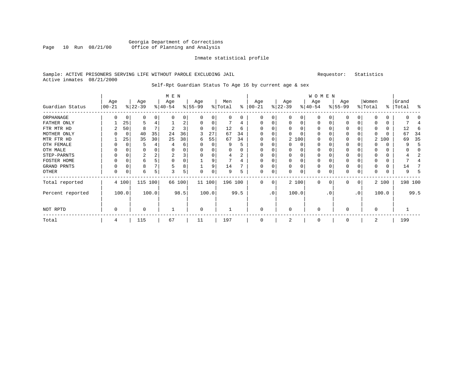### Georgia Department of Corrections Page 10 Run 08/21/00 Office of Planning and Analysis

#### Inmate statistical profile

#### Sample: ACTIVE PRISONERS SERVING LIFE WITHOUT PAROLE EXCLUDING JAIL Requestor: Statistics Active inmates 08/21/2000

# Self-Rpt Guardian Status To Age 16 by current age & sex

|                  |                  |          |                 |       | M E N            |        |                 |          |                |      |                  |                 |                  |          | WOMEN            |             |                 |              |                  |       |                    |         |
|------------------|------------------|----------|-----------------|-------|------------------|--------|-----------------|----------|----------------|------|------------------|-----------------|------------------|----------|------------------|-------------|-----------------|--------------|------------------|-------|--------------------|---------|
| Guardian Status  | Age<br>$00 - 21$ |          | Age<br>$ 22-39$ |       | Age<br>$ 40-54 $ |        | Age<br>$ 55-99$ |          | Men<br>% Total | ႜ    | Age<br>$00 - 21$ |                 | Age<br>$ 22-39 $ |          | Age<br>$ 40-54 $ |             | Age<br>$ 55-99$ |              | Women<br>% Total |       | Grand<br>%   Total | ႜ       |
| ORPHANAGE        | 0                | $\Omega$ | $\Omega$        |       |                  | 0      |                 | $\Omega$ | 0              | 0    | 0                |                 | $\Omega$         | 0        | $\Omega$         |             | 0               | $\Omega$     | $\Omega$         | 0     |                    |         |
| FATHER ONLY      |                  | 25       | 5               |       |                  | 2      |                 | 0        |                | 4    |                  |                 | $\Omega$         | 0        | 0                |             | 0               |              | $\Omega$         | 0     |                    |         |
| FTR MTR HD       |                  | 50       | 8               |       |                  | 3      |                 | $\Omega$ | 12             | 6    |                  |                 | $\Omega$         | $\Omega$ | $\Omega$         |             | O               |              |                  |       | 12                 | 6       |
| MOTHER ONLY      |                  | $\Omega$ | 40              | 35    | 24               | 36     |                 | 27       | 67             | 34   |                  |                 | $\Omega$         |          | $\Omega$         |             | 0               |              | $\Omega$         |       | 67                 | 34      |
| MTR FTR HD       |                  | 25       | 35              | 30    | 25               | 38     | 6               | 55       | 67             | 34   | $\Omega$         |                 |                  | 2 100    | $\Omega$         |             | $\Omega$        |              | 2                | 100   | 69                 | 35      |
| OTH FEMALE       | O                | 0        | 5               |       |                  | 6      |                 | $\Omega$ | 9              | 5    | 0                |                 | 0                | 0        | $\Omega$         |             | 0               |              | $\Omega$         |       |                    | 5       |
| OTH MALE         | O                |          | $\Omega$        |       |                  | 0      |                 |          | 0              |      | 0                |                 |                  | 0        | 0                |             | 0               |              | $\Omega$         |       |                    |         |
| STEP-PARNTS      | 0                | $\Omega$ | 2               |       | 2                | 3      |                 | $\Omega$ | 4              | 2    | 0                |                 | 0                |          | 0                |             | 0               |              | 0                | 0     |                    |         |
| FOSTER HOME      | U                | 0        | b               |       | $\Omega$         | 0      |                 | 9        |                |      | $\Omega$         |                 | 0                |          | 0                |             | 0               |              | $\Omega$         | 0     |                    |         |
| GRAND PRNTS      | 0                | 0        | 8               |       |                  | 8      |                 | 9        | 14             |      | $\Omega$         |                 | $\Omega$         | $\Omega$ | 0                |             | 0               |              | $\Omega$         | 0     | 14                 |         |
| OTHER            | 0                | 0        | 6               |       |                  | 5      |                 | $\Omega$ | 9              | 5    | $\Omega$         | 0               | $\Omega$         | O        | $\Omega$         |             | O               | 0            | $\Omega$         | 0     | 9                  |         |
| Total reported   |                  | 4 100    | 115 100         |       |                  | 66 100 |                 | 11 100   | 196 100        |      | $\mathbf 0$      | 0               |                  | 2 100    | $\mathbf 0$      | $\mathbf 0$ | $\Omega$        | $\mathbf{0}$ |                  | 2 100 |                    | 198 100 |
| Percent reported |                  | 100.0    |                 | 100.0 |                  | 98.5   |                 | 100.0    |                | 99.5 |                  | .0 <sup>°</sup> |                  | 100.0    |                  | . 0         |                 | $\cdot$ 0    |                  | 100.0 |                    | 99.5    |
| NOT RPTD         | 0                |          | $\Omega$        |       |                  |        | $\Omega$        |          |                |      | 0                |                 | $\mathbf 0$      |          | $\mathbf 0$      |             | 0               |              | $\mathbf 0$      |       |                    |         |
| Total            | 4                |          | 115             |       | 67               |        | 11              |          | 197            |      | 0                |                 | 2                |          | 0                |             | $\Omega$        |              | 2                |       | 199                |         |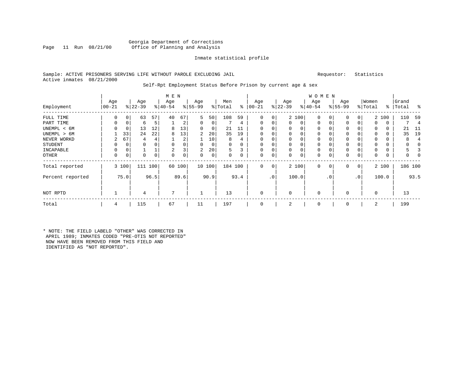#### Georgia Department of Corrections<br>Page 11 Run 08/21/00 office of Planning and Analysis Office of Planning and Analysis

#### Inmate statistical profile

#### Sample: ACTIVE PRISONERS SERVING LIFE WITHOUT PAROLE EXCLUDING JAIL Requestor: Statistics Active inmates 08/21/2000

#### Self-Rpt Employment Status Before Prison by current age & sex

|                  |                 |       |                  |      | M E N            |      |                  |        |                |          |                 |                |                  |       | W O M E N        |                |                  |           |                  |       |                    |      |
|------------------|-----------------|-------|------------------|------|------------------|------|------------------|--------|----------------|----------|-----------------|----------------|------------------|-------|------------------|----------------|------------------|-----------|------------------|-------|--------------------|------|
| Employment       | Age<br>$ 00-21$ |       | Age<br>$ 22-39 $ |      | Age<br>$ 40-54 $ |      | Age<br>$ 55-99 $ |        | Men<br>% Total | ∻        | Age<br>$ 00-21$ |                | Age<br>$ 22-39 $ |       | Age<br>$ 40-54 $ |                | Age<br>$ 55-99 $ |           | Women<br>% Total |       | Grand<br>%   Total | ႜ    |
| FULL TIME        |                 |       | 63               | 57   | 40               | 67   | 5                | 50     | 108            | 59       | 0               | $\overline{0}$ |                  | 2 100 | $\mathbf 0$      | 0              | 0                | 0         |                  | 2 100 | 110                | 59   |
| PART TIME        | 0               | 0     | 6                | 5    |                  | 2    | 0                | 0      |                | 4        | $\Omega$        | 0              | 0                | 0     | $\mathbf 0$      | 0              | 0                | 0         | 0                | 0     |                    | 4    |
| UNEMPL < 6M      |                 | 0     | 13               | 12   | 8                | 13   | 0                | 0      | 21             |          |                 |                |                  | 0     |                  |                | 0                |           | 0                | 0     | 21                 | -11  |
| UNEMPL > 6M      |                 | 33    | 24               | 22   | 8                | 13'  | 2.               | 20     | 35             | 19       |                 |                |                  |       |                  |                |                  |           | $\Omega$         |       | 35                 | 19   |
| NEVER WORKD      | 2               | 67    | 4                |      |                  | 2    |                  | 10     | 8              | 4        |                 |                |                  | 0     |                  |                | $\Omega$         |           | $\Omega$         |       |                    |      |
| <b>STUDENT</b>   |                 | 0     | 0                |      | $\Omega$         |      | $\Omega$         | 0      | $\Omega$       | $\Omega$ | $\Omega$        |                | $\Omega$         | 0     | $\Omega$         |                | $\Omega$         |           | $\Omega$         |       |                    |      |
| INCAPABLE        | $\Omega$        | 0     |                  |      | $\overline{a}$   | 3    | 2                | 20     | 5              | 3        | $\Omega$        |                | $\mathbf 0$      | 0     | $\Omega$         |                | 0                |           | $\Omega$         |       |                    |      |
| OTHER            | $\Omega$        | 0     | 0                | 0    | $\Omega$         | 0    | 0                | 0      | 0              | 0        | $\Omega$        | 0              | 0                | 0     | $\Omega$         | $\Omega$       | 0                | 0         | $\mathbf 0$      | 0     |                    |      |
| Total reported   |                 | 3 100 | 111              | 100  | 60               | 100  |                  | 10 100 |                | 184 100  | 0               | 0 <sup>1</sup> |                  | 2 100 | $\mathbf 0$      | 0 <sup>1</sup> | 0                | 0         |                  | 2 100 | 186 100            |      |
| Percent reported |                 | 75.0  |                  | 96.5 |                  | 89.6 |                  | 90.9   |                | 93.4     |                 | .0'            |                  | 100.0 |                  | $\cdot$ 0      |                  | $\cdot$ 0 |                  | 100.0 |                    | 93.5 |
| NOT RPTD         |                 |       | 4                |      | $\overline{ }$   |      |                  |        | 13             |          |                 |                | $\Omega$         |       | $\Omega$         |                | $\Omega$         |           | $\Omega$         |       | 13                 |      |
| Total            | 4               |       | 115              |      | 67               |      | 11               |        | 197            |          |                 |                | 2                |       | $\Omega$         |                | $\Omega$         |           | 2                |       | 199                |      |

\* NOTE: THE FIELD LABELD "OTHER" WAS CORRECTED IN APRIL 1989; INMATES CODED "PRE-OTIS NOT REPORTED" NOW HAVE BEEN REMOVED FROM THIS FIELD AND IDENTIFIED AS "NOT REPORTED".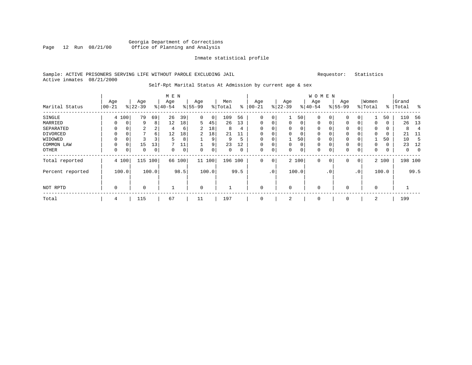### Georgia Department of Corrections Page 12 Run 08/21/00 Office of Planning and Analysis

#### Inmate statistical profile

#### Sample: ACTIVE PRISONERS SERVING LIFE WITHOUT PAROLE EXCLUDING JAIL Requestor: Statistics Active inmates 08/21/2000

#### Self-Rpt Marital Status At Admission by current age & sex

|                  | M E N      |          |           |          |           |      |                |       |          |          |             |                 |             |       | W O M E N   |                |             |           |             |       |           |          |
|------------------|------------|----------|-----------|----------|-----------|------|----------------|-------|----------|----------|-------------|-----------------|-------------|-------|-------------|----------------|-------------|-----------|-------------|-------|-----------|----------|
|                  | Age        |          | Age       |          | Age       |      | Age            |       | Men      |          | Age         |                 | Age         |       | Age         |                | Age         |           | Women       |       | Grand     |          |
| Marital Status   | $ 00 - 21$ |          | $ 22-39 $ |          | $8 40-54$ |      | $8155 - 99$    |       | % Total  | ి        | $ 00 - 21$  |                 | $ 22-39 $   |       | $ 40-54 $   |                | $8155 - 99$ |           | % Total     |       | %   Total | ႜ        |
| SINGLE           |            | 4 100    | 79        | 69       | 26        | 39   | 0              | 0     | 109      | 56       | $\Omega$    | $\overline{0}$  |             | 50    | 0           |                | 0           | 0         |             | 50    | 110       | 56       |
| MARRIED          | 0          | 0        | 9         | 8        | 12        | 18   | 5              | 45    | 26       | 13       | 0           | 0               | $\mathbf 0$ | 0     | 0           | 0              | 0           | 0         | 0           | 0     | 26        | 13       |
| SEPARATED        | 0          | 0        | 2         | 2        | 4         | 6    | 2              | 18    | 8        | 4        | $\Omega$    |                 | 0           | 0     | 0           |                | 0           |           | 0           | 0     | 8         |          |
| DIVORCED         | 0          | 0        | 7         | $6 \mid$ | 12        | 18   | $\overline{2}$ | 18    | 21       | 11       |             |                 | $\Omega$    | 0     |             |                | 0           |           | 0           | 0     | 21        | -11      |
| WIDOWED          |            |          |           | 3        | 5         | 8    |                | 9     | 9        | 5        |             |                 |             | 50    |             |                | 0           | 0         |             | 50    | 10        | -5       |
| COMMON LAW       |            | $\Omega$ | 15        | 13       |           | 11   |                | 9     | 23       | 12       |             |                 | $\Omega$    | 0     | $\Omega$    |                | $\Omega$    |           | $\Omega$    | 0     | 23        | 12       |
| OTHER            | $\Omega$   | 0        | 0         | 0        | $\Omega$  | 0    | $\Omega$       | 0     | $\Omega$ | $\Omega$ | $\Omega$    | $\Omega$        | $\Omega$    | 0     | $\Omega$    |                | $\Omega$    | 0         | 0           | 0     | $\Omega$  | $\Omega$ |
| Total reported   |            | 4 100    | 115       | 100      | 66        | 100  | 11 100         |       | 196 100  |          | $\Omega$    | $\overline{0}$  |             | 2 100 | $\mathbf 0$ | $\overline{0}$ | 0           | 0         |             | 2 100 |           | 198 100  |
| Percent reported |            | 100.0    |           | 100.0    |           | 98.5 |                | 100.0 |          | 99.5     |             | .0 <sup>1</sup> |             | 100.0 |             | . 0            |             | $\cdot$ 0 |             | 100.0 |           | 99.5     |
| NOT RPTD         | 0          |          | 0         |          |           |      | 0              |       |          |          | $\Omega$    |                 | $\Omega$    |       | $\mathbf 0$ |                | $\Omega$    |           | $\mathbf 0$ |       |           |          |
| Total            | 4          |          | 115       |          | 67        |      | 11             |       | 197      |          | $\mathbf 0$ |                 | 2           |       | 0           |                | 0           |           | 2           |       | 199       |          |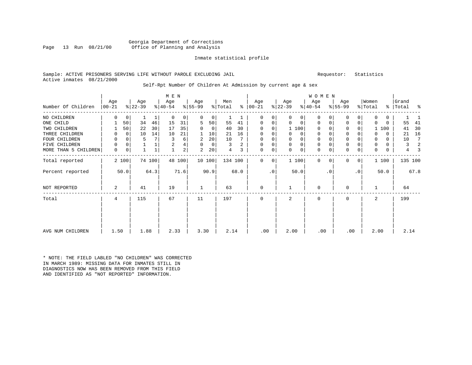#### Georgia Department of Corrections<br>Page 13 Run 08/21/00 office of Planning and Analysis Office of Planning and Analysis

#### Inmate statistical profile

#### Sample: ACTIVE PRISONERS SERVING LIFE WITHOUT PAROLE EXCLUDING JAIL Requestor: Statistics Active inmates 08/21/2000

#### Self-Rpt Number Of Children At Admission by current age & sex

|                      | M E N          |             |           |        |           |                |          |         |         |      |               |           |             |             | <b>WOMEN</b> |           |              |                 |          |       |           |         |
|----------------------|----------------|-------------|-----------|--------|-----------|----------------|----------|---------|---------|------|---------------|-----------|-------------|-------------|--------------|-----------|--------------|-----------------|----------|-------|-----------|---------|
|                      | Age            |             | Age       |        | Age       |                | Age      |         | Men     |      | Age           |           | Age         |             | Age          |           | Age          |                 | Women    |       | Grand     |         |
| Number Of Children   | $ 00-21$       |             | $ 22-39 $ |        | $ 40-54 $ |                | $ 55-99$ |         | % Total |      | $8   00 - 21$ |           | $ 22-39 $   |             | $ 40-54 $    |           | $ 55-99 $    |                 | % Total  |       | %   Total | ႜ       |
| NO CHILDREN          | 0              | $\mathbf 0$ |           | 1      | $\Omega$  | $\overline{0}$ | $\Omega$ | $\circ$ |         |      | $\Omega$      | 0         | $\Omega$    | 0           | $\Omega$     |           | $\Omega$     | $\Omega$        | $\Omega$ | 0     |           |         |
| ONE CHILD            |                | 50          | 34        | 46     | 15        | 31             | 5        | 50      | 55      | 41   | $\Omega$      | 0         | $\Omega$    | $\Omega$    | $\mathbf 0$  | 0         | $\mathbf 0$  | $\mathbf 0$     | 0        | 0     | 55        | 41      |
| TWO CHILDREN         |                | 50          | 22        | 30     | 17        | 35             | 0        | 0       | 40      | 30   | $\Omega$      | 0         | 1 100       |             | $\Omega$     |           | 0            |                 |          | 100   | 41        | 30      |
| THREE CHILDREN       |                | $\Omega$    | 10        | 14     | 10        | 21             |          | 10      | 21      | 16   | $\Omega$      | $\Omega$  |             | $\Omega$    | $\mathbf 0$  |           | $\mathbf 0$  |                 | 0        | 0     | 21        | 16      |
| FOUR CHILDREN        | O              | 0           | 5         | 7      | 3         | 6              | 2        | 20      | 10      |      | $\mathbf 0$   | 0         |             | 0           | $\mathbf 0$  |           | $\mathbf{0}$ |                 | 0        | 0     | 10        | -7      |
| CHILDREN<br>FIVE     | 0              | 0           |           |        | 2         | 4              | $\Omega$ | 0       | 3       | 2    | 0             | 0         | $\mathbf 0$ | $\mathbf 0$ | $\mathbf 0$  |           | $\mathbf{0}$ |                 | 0        | 0     | 3         | 2       |
| MORE THAN 5 CHILDREN | 0              | 0           |           |        |           | 2 <sup>1</sup> | 2        | 20      | 4       | 3    | $\mathbf 0$   | 0         | $\Omega$    | $\mathbf 0$ | $\mathbf 0$  | 0         | $\mathbf 0$  | 0               | 0        | 0     | 4         | З       |
| Total reported       |                | 2 100       |           | 74 100 |           | 48 100         |          | 10 100  | 134 100 |      | $\Omega$      | 0         | 1 100       |             | $\Omega$     | 0         | <sup>0</sup> | 0 <sup>1</sup>  |          | 1 100 |           | 135 100 |
| Percent reported     |                | 50.0        |           | 64.3   |           | 71.6           |          | 90.9    |         | 68.0 |               | $\cdot$ 0 |             | 50.0        |              | $\cdot$ 0 |              | .0 <sup>1</sup> |          | 50.0  |           | 67.8    |
| NOT REPORTED         | $\overline{a}$ |             | 41        |        | 19        |                |          |         | 63      |      | $\mathbf 0$   |           |             |             | $\mathbf 0$  |           | U            |                 |          |       | 64        |         |
| Total                | 4              |             | 115       |        | 67        |                | 11       |         | 197     |      | 0             |           | 2           |             | $\mathbf 0$  |           | $\mathbf 0$  |                 | 2        |       | 199       |         |
|                      |                |             |           |        |           |                |          |         |         |      |               |           |             |             |              |           |              |                 |          |       |           |         |
|                      |                |             |           |        |           |                |          |         |         |      |               |           |             |             |              |           |              |                 |          |       |           |         |
| AVG NUM CHILDREN     | 1.50           |             | 1.88      |        | 2.33      |                | 3.30     |         | 2.14    |      | .00           |           | 2.00        |             | .00          |           | .00          |                 | 2.00     |       | 2.14      |         |

\* NOTE: THE FIELD LABLED "NO CHILDREN" WAS CORRECTED IN MARCH 1989: MISSING DATA FOR INMATES STILL IN DIAGNOSTICS NOW HAS BEEN REMOVED FROM THIS FIELD AND IDENTIFIED AS "NOT REPORTED" INFORMATION.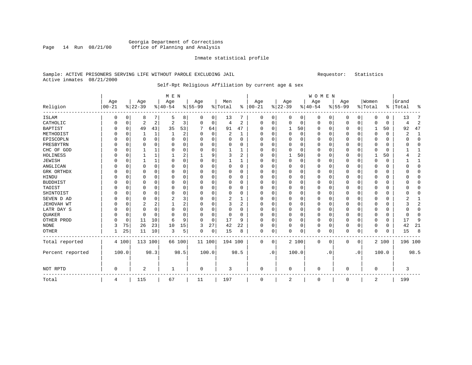### Georgia Department of Corrections Page 14 Run 08/21/00 Office of Planning and Analysis

#### Inmate statistical profile

### Sample: ACTIVE PRISONERS SERVING LIFE WITHOUT PAROLE EXCLUDING JAIL Requestor: Statistics Active inmates 08/21/2000

# Self-Rpt Religious Affiliation by current age & sex

|                  |            |             |                |              | M E N          |             |          |             |                |                |            |           |             |          | WOMEN    |           |           |             |          |          |           |                |
|------------------|------------|-------------|----------------|--------------|----------------|-------------|----------|-------------|----------------|----------------|------------|-----------|-------------|----------|----------|-----------|-----------|-------------|----------|----------|-----------|----------------|
|                  | Age        |             | Age            |              | Age            |             | Age      |             | Men            |                | Age        |           | Age         |          | Age      |           | Age       |             | Women    |          | Grand     |                |
| Religion         | $ 00 - 21$ |             | $ 22-39$       |              | $ 40-54$       |             | $ 55-99$ |             | %   Total      | ి              | $ 00 - 21$ |           | $ 22-39$    |          | $ 40-54$ |           | $8 55-99$ |             | % Total  |          | %   Total | ႜ              |
| ISLAM            | 0          | 0           | 8              | 7            | 5              | 8           | 0        | 0           | 13             | 7              | 0          | 0         | 0           | 0        | 0        | 0         | 0         | 0           | $\Omega$ | 0        | 13        | 7              |
| CATHOLIC         | 0          | $\mathbf 0$ | 2              | 2            | 2              | 3           | 0        | 0           | 4              | 2              | $\Omega$   | 0         | $\mathbf 0$ | 0        | $\Omega$ | 0         | 0         | $\mathbf 0$ | $\Omega$ | 0        | 4         | $\overline{2}$ |
| <b>BAPTIST</b>   | 0          | $\mathbf 0$ | 49             | 43           | 35             | 53          |          | 64          | 91             | 47             | 0          | $\Omega$  | 1           | 50       | $\Omega$ | 0         | 0         | 0           | 1        | 50       | 92        | 47             |
| METHODIST        |            | $\mathbf 0$ |                | $\mathbf{1}$ | $\mathbf{1}$   | 2           | O        | $\mathbf 0$ | $\overline{2}$ | 1              |            | $\Omega$  | $\mathbf 0$ | $\Omega$ | $\Omega$ | 0         | 0         | $\Omega$    | $\Omega$ | $\Omega$ | 2         | 1              |
| EPISCOPLN        |            | $\mathbf 0$ | 0              | $\Omega$     | $\mathbf 0$    | 0           | O        | $\mathbf 0$ | 0              | $\Omega$       | $\Omega$   | $\Omega$  | $\Omega$    | $\Omega$ | O        | $\Omega$  | 0         | $\Omega$    | $\Omega$ | 0        | O         | 0              |
| PRESBYTRN        |            | $\Omega$    | $\Omega$       | $\Omega$     | $\Omega$       | 0           | O        | $\Omega$    | O              | $\Omega$       | $\Omega$   |           | $\Omega$    | $\Omega$ | $\Omega$ | $\Omega$  | 0         | $\Omega$    | $\Omega$ | $\Omega$ |           | $\Omega$       |
| CHC OF GOD       | N          | 0           |                | $\mathbf{1}$ | $\Omega$       | 0           | O        | 0           |                |                | $\Omega$   | O         | C           | $\Omega$ | $\Omega$ | $\Omega$  | $\Omega$  | $\Omega$    | $\Omega$ | $\Omega$ |           | $\mathbf{1}$   |
| HOLINESS         |            | 0           |                | 1            |                | 2           |          | 9           | 3              | 2              | O          |           |             | 50       | $\Omega$ | 0         | 0         | $\Omega$    |          | 50       |           | $\overline{2}$ |
| <b>JEWISH</b>    | N          | $\mathbf 0$ | 1              | $\mathbf{1}$ | 0              | 0           | $\Omega$ | 0           | 1              | 1              | $\Omega$   | O         | $\Omega$    | $\Omega$ | $\Omega$ | 0         | 0         | $\Omega$    | $\Omega$ | $\Omega$ |           | 1              |
| ANGLICAN         | N          | $\mathbf 0$ | $\Omega$       | $\Omega$     | $\Omega$       | 0           | O        | 0           | $\Omega$       | $\Omega$       | $\Omega$   | $\Omega$  | $\Omega$    | $\Omega$ | $\Omega$ | $\Omega$  | 0         | $\Omega$    | $\Omega$ | $\Omega$ |           | $\Omega$       |
| GRK ORTHDX       |            | $\mathbf 0$ | $\Omega$       | $\Omega$     | $\Omega$       | 0           | 0        | 0           | $\Omega$       | $\Omega$       | $\Omega$   | $\Omega$  | $\Omega$    | $\Omega$ | $\Omega$ | $\Omega$  | $\Omega$  | $\Omega$    | $\Omega$ | $\Omega$ |           | $\Omega$       |
| HINDU            |            | 0           | 0              | $\Omega$     | $\Omega$       | 0           | O        | $\Omega$    | 0              | $\Omega$       |            | O         | $\Omega$    | 0        | $\Omega$ | $\Omega$  | 0         | O           | $\Omega$ | $\Omega$ |           | $\Omega$       |
| <b>BUDDHIST</b>  |            | $\Omega$    | 0              | $\Omega$     | $\Omega$       | 0           | O        | $\Omega$    | $\Omega$       | $\Omega$       | $\Omega$   | $\Omega$  | $\Omega$    | 0        | $\Omega$ | $\Omega$  | 0         | O           | $\Omega$ | $\Omega$ |           | $\Omega$       |
| TAOIST           | O          | $\Omega$    | O              | $\Omega$     | $\Omega$       | 0           | O        | 0           | $\Omega$       | $\Omega$       | ∩          |           | $\Omega$    | $\Omega$ | $\Omega$ | $\Omega$  | 0         | $\Omega$    | $\Omega$ | $\Omega$ |           | $\Omega$       |
| SHINTOIST        | O          | $\mathbf 0$ | 0              | 0            | 0              | 0           | O        | 0           | $\Omega$       | 0              | O          | O         | $\Omega$    | O        | $\Omega$ | $\Omega$  | 0         | $\Omega$    | $\Omega$ | $\Omega$ | n         | 0              |
| SEVEN D AD       | 0          | 0           | 0              | $\Omega$     | $\overline{c}$ | 3           | O        | 0           | 2              | 1              | $\Omega$   |           | O           | 0        | $\Omega$ | $\Omega$  | 0         | $\Omega$    | $\Omega$ | $\Omega$ |           | 1              |
| JEHOVAH WT       | 0          | $\mathbf 0$ | $\overline{2}$ | 2            | 1              | 2           | $\Omega$ | $\Omega$    | 3              | $\overline{2}$ | $\Omega$   | $\Omega$  | O           | $\Omega$ | $\Omega$ | $\Omega$  | 0         | $\Omega$    | $\Omega$ | $\Omega$ |           | 2              |
| LATR DAY S       | 0          | $\mathbf 0$ | 0              | 0            | $\mathbf 0$    | $\mathbf 0$ | O        | $\mathbf 0$ | 0              | 0              | $\Omega$   | $\Omega$  | $\Omega$    | $\Omega$ | $\Omega$ | 0         | 0         | 0           | $\Omega$ | $\Omega$ |           | $\mathbf 0$    |
| QUAKER           |            | $\mathbf 0$ | 0              | 0            | $\Omega$       | 0           | O        | $\mathbf 0$ | 0              | 0              | $\Omega$   | $\Omega$  | $\Omega$    | $\Omega$ | $\Omega$ | 0         | $\Omega$  | 0           | $\Omega$ | 0        | O         | $\mathbf 0$    |
| OTHER PROD       |            | $\mathbf 0$ | 11             | 10           | 6              | 9           | 0        | 0           | 17             | 9              | $\Omega$   | $\Omega$  | 0           | $\Omega$ | $\Omega$ | 0         | 0         | 0           | $\Omega$ | 0        | 17        | 9              |
| <b>NONE</b>      | 3          | 75          | 26             | 23           | 10             | 15          | 3        | 27          | 42             | 22             | O          | 0         | O           | $\Omega$ | $\Omega$ | 0         | 0         | $\Omega$    | $\Omega$ | 0        | 42        | 21             |
| <b>OTHER</b>     |            | 25          | 11             | 10           | 3              | 5           | 0        | 0           | 15             | 8              | 0          | 0         | $\Omega$    | 0        | 0        | 0         | 0         | 0           | $\Omega$ | 0        | 15        | 8              |
| Total reported   |            | 4 100       | 113 100        |              | 66 100         |             | 11 100   |             | 194 100        |                | 0          | 0         |             | 2 100    | 0        | 0         | 0         | 0           |          | 2 100    | 196 100   |                |
| Percent reported |            | 100.0       |                | 98.3         |                | 98.5        |          | 100.0       |                | 98.5           |            | $\cdot$ 0 |             | 100.0    |          | $\cdot$ 0 |           | $\cdot$ 0   |          | 100.0    |           | 98.5           |
| NOT RPTD         | 0          |             | $\overline{a}$ |              | 1              |             | 0        |             | 3              |                | 0          |           | 0           |          | 0        |           | 0         |             | 0        |          | 3         |                |
| Total            | 4          |             | 115            |              | 67             |             | 11       |             | 197            |                | $\Omega$   |           | 2           |          | $\Omega$ |           | 0         |             | 2        |          | 199       |                |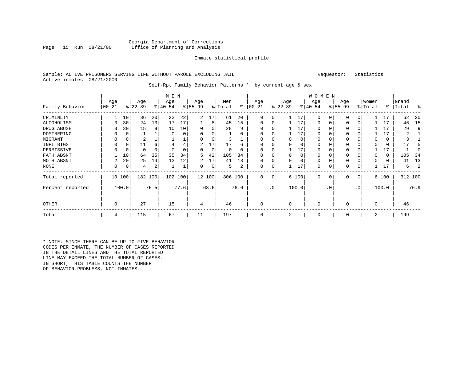#### Georgia Department of Corrections<br>Page 15 Run 08/21/00 office of Planning and Analysis Office of Planning and Analysis

#### Inmate statistical profile

#### Sample: ACTIVE PRISONERS SERVING LIFE WITHOUT PAROLE EXCLUDING JAIL Requestor: Statistics Active inmates 08/21/2000

#### Self-Rpt Family Behavior Patterns \* by current age & sex

|                  |            |          |           |          | M E N     |      |                |             |         |      |              |             |           |          | <b>WOMEN</b> |          |          |                 |          |       |           |         |
|------------------|------------|----------|-----------|----------|-----------|------|----------------|-------------|---------|------|--------------|-------------|-----------|----------|--------------|----------|----------|-----------------|----------|-------|-----------|---------|
|                  | Age        |          | Age       |          | Age       |      | Age            |             | Men     |      | Age          |             | Age       |          | Age          |          | Age      |                 | Women    |       | Grand     |         |
| Family Behavior  | $ 00 - 21$ |          | $ 22-39 $ |          | $ 40-54 $ |      | $ 55-99$       |             | % Total | ႜ    | $00 - 21$    |             | $ 22-39 $ |          | $ 40-54 $    |          | $ 55-99$ |                 | % Total  |       | %   Total | ႜ       |
| CRIMINLTY        |            | 10       | 36        | 20       | 22        | 22   | $\overline{a}$ | 17          | 61      | 20   | $\Omega$     | 0           |           | 17       | $\Omega$     | $\Omega$ | $\Omega$ |                 |          | 17    | 62        | 20      |
| ALCOHOLISM       |            | 30       | 24        | 13       | 17        | 17   |                | 8           | 45      | 15   | 0            | 0           |           | 17       | 0            | 0        | $\Omega$ | $\Omega$        |          | 17    | 46        | 15      |
| DRUG ABUSE       |            | 30       | 15        | 8        | 10        | 10   | O              | 0           | 28      | 9    | $\Omega$     |             |           | 17       | $\Omega$     |          |          |                 |          | 17    | 29        | 9       |
| DOMINERING       |            |          |           |          | $\Omega$  |      | 0              | 0           |         | 0    | <sup>0</sup> |             |           | 17       | $\Omega$     |          |          |                 |          | 17    | 2         |         |
| MIGRANT          |            | 0        | 2         |          |           | ┷    |                | 0           |         |      | $\Omega$     |             | 0         | 0        | 0            | $\Omega$ | $\Omega$ |                 |          | 0     |           |         |
| INFL BTGS        |            |          | 11        | 6        | 4         |      | 2              | 17          | 17      | 6    |              |             | 0         | O        | U            |          |          |                 |          | 0     | 17        |         |
| PERMISSIVE       |            | $\Omega$ | U         | $\Omega$ | $\Omega$  |      | $\Omega$       | $\mathbf 0$ | U       | ∩    | $\Omega$     |             |           | 17       | U            |          | $\Omega$ |                 |          | 17    |           |         |
| FATH ABSNT       |            | 10       | 64        | 35       | 35        | 34   | 5              | 42          | 105     | 34   |              |             | $\Omega$  | 0        | $\Omega$     |          | $\Omega$ |                 |          | 0     | 105       | 34      |
| MOTH ABSNT       | 2          | 20       | 25        | 14       | 12        | 12   | 2              | 17          | 41      | 13   | 0            |             | $\Omega$  | $\Omega$ | 0            |          | $\Omega$ |                 |          | 0     | 41        | 13      |
| <b>NONE</b>      | 0          | 0        | 4         | 2        |           | Τ.   | 0              | 0           | 5       | 2    | 0            | 0           |           | 17       | 0            | 0        | 0        |                 |          | 17    | 6         | 2       |
| Total reported   |            | 10 100   | 182 100   |          | 102 100   |      |                | 12 100      | 306 100 |      | $\mathbf{0}$ | $\mathbf 0$ |           | 6 100    | $\mathbf 0$  | 0        | $\Omega$ | $\mathbf{0}$    |          | 6 100 |           | 312 100 |
| Percent reported |            | 100.0    |           | 76.5     |           | 77.6 |                | 63.6        |         | 76.6 |              | .0'         |           | 100.0    |              | . 0      |          | .0 <sup>′</sup> |          | 100.0 |           | 76.9    |
| OTHER            | 0          |          | 27        |          | 15        |      | 4              |             | 46      |      | $\mathbf 0$  |             | $\Omega$  |          | 0            |          | $\Omega$ |                 | $\Omega$ |       | 46        |         |
| Total            | 4          |          | 115       |          | 67        |      | 11             |             | 197     |      | $\mathbf 0$  |             |           |          | 0            |          | $\Omega$ |                 | 2        |       | 199       |         |

\* NOTE: SINCE THERE CAN BE UP TO FIVE BEHAVIOR CODES PER INMATE, THE NUMBER OF CASES REPORTED IN THE DETAIL LINES AND THE TOTAL REPORTED LINE MAY EXCEED THE TOTAL NUMBER OF CASES. IN SHORT, THIS TABLE COUNTS THE NUMBER OF BEHAVIOR PROBLEMS, NOT INMATES.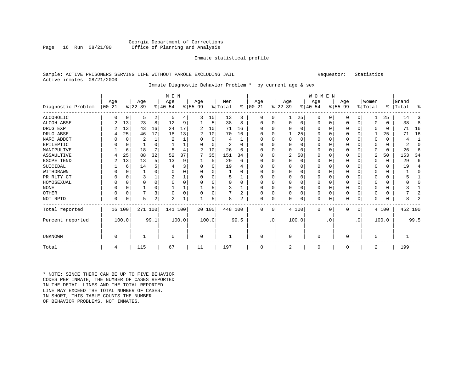#### Georgia Department of Corrections<br>Page 16 Run 08/21/00 Office of Planning and Analysis Office of Planning and Analysis

#### Inmate statistical profile

#### Sample: ACTIVE PRISONERS SERVING LIFE WITHOUT PAROLE EXCLUDING JAIL Requestor: Statistics Active inmates 08/21/2000

# Inmate Diagnostic Behavior Problem \* by current age & sex

|                    |                   |             |                  |                | M E N            |       |                 |             |                |          |                 |             |                  |          | <b>WOMEN</b>     |           |                  |             |                  |              |                    |                |
|--------------------|-------------------|-------------|------------------|----------------|------------------|-------|-----------------|-------------|----------------|----------|-----------------|-------------|------------------|----------|------------------|-----------|------------------|-------------|------------------|--------------|--------------------|----------------|
| Diagnostic Problem | Age<br>$ 00 - 21$ |             | Age<br>$ 22-39 $ |                | Age<br>$8 40-54$ |       | Age<br>$ 55-99$ |             | Men<br>% Total | ి        | Age<br>$ 00-21$ |             | Age<br>$ 22-39 $ |          | Age<br>$ 40-54 $ |           | Age<br>$ 55-99 $ |             | Women<br>% Total |              | Grand<br>%   Total | ႜ              |
| ALCOHOLIC          | 0                 | 0           | 5                | 2              | 5                | 4     | 3               | 15          | 13             | 3        | O               | 0           |                  | 25       | 0                | 0         | 0                | 0           |                  | 25           | 14                 | 3              |
| ALCOH ABSE         | 2                 | 13          | 23               | 8              | 12               | 9     |                 | 5           | 38             | 8        | $\Omega$        |             | $\Omega$         | $\Omega$ | $\Omega$         | $\Omega$  | 0                | 0           | $\Omega$         | $\Omega$     | 38                 | 8              |
| DRUG EXP           |                   | 13          | 43               | 16             | 24               | 17    | 2               | 10          | 71             | 16       |                 |             | $\Omega$         | O        | O                | $\Omega$  | O                | $\Omega$    | ∩                | <sup>0</sup> | 71                 | 16             |
| DRUG ABSE          | 4                 | 25          | 46               | 17             | 18               | 13    | 2               | 10          | 70             | 16       |                 |             |                  | 25       | $\Omega$         | $\Omega$  | O                | $\Omega$    |                  | 25           | 71                 | 16             |
| NARC ADDCT         |                   | $\Omega$    | 2                | $\mathbf{1}$   | $\overline{2}$   |       | O               | $\Omega$    | 4              | 1        |                 |             | $\Omega$         | $\Omega$ | $\Omega$         | $\Omega$  | O                | $\Omega$    | $\Omega$         | $\Omega$     | 4                  | $\mathbf{1}$   |
| EPILEPTIC          |                   | 0           |                  | O              |                  |       |                 | $\Omega$    | 2              | $\Omega$ | ∩               |             | $\Omega$         | $\Omega$ | $\Omega$         | $\Omega$  | O                | $\Omega$    | $\Omega$         | $\Omega$     | 2                  | $\Omega$       |
| MANIPULTVE         |                   | 6           | 18               |                | 5                | 4     |                 | 10          | 26             | 6        | O               |             | $\Omega$         | $\Omega$ | $\Omega$         | $\Omega$  | 0                | $\Omega$    | $\Omega$         | $\Omega$     | 2.6                | 6              |
| ASSAULTIVE         |                   | 25          | 88               | 32             | 52               | 37    | 7               | 35          | 151            | 34       | O               |             | 2                | 50       | $\Omega$         | $\Omega$  | 0                | $\Omega$    | $\overline{2}$   | 50           | 153                | 34             |
| ESCPE TEND         | 2                 | 13          | 13               | 5              | 13               | 9     |                 | 5           | 29             | 6        | $\Omega$        | $\Omega$    | $\Omega$         | $\Omega$ | $\Omega$         | $\Omega$  | 0                | $\Omega$    | $\Omega$         | $\Omega$     | 29                 | 6              |
| SUICIDAL           |                   | 6           | 14               |                |                  | 3     | $\Omega$        | 0           | 19             | 4        |                 |             | $\Omega$         | O        | $\Omega$         | $\Omega$  | 0                | $\Omega$    | $\Omega$         | $\Omega$     | 19                 | 4              |
| WITHDRAWN          | N                 | $\Omega$    |                  | $\cap$         | $\Omega$         | 0     | $\Omega$        | 0           |                | $\Omega$ | ∩               |             | $\Omega$         | U        | $\Omega$         | ∩         | 0                | $\Omega$    | ∩                | $\Omega$     |                    | $\Omega$       |
| PR RLTY CT         | 0                 | 0           | 3                |                | $\overline{2}$   |       | $\Omega$        | 0           |                | 1        | $\Omega$        |             | $\Omega$         | $\Omega$ | $\Omega$         | $\Omega$  | 0                | $\Omega$    | $\Omega$         | $\Omega$     |                    | 1              |
| HOMOSEXUAL         | 0                 | $\mathbf 0$ | $\Omega$         | $\Omega$       | $\Omega$         | 0     | $\Omega$        | 0           | 0              | $\Omega$ | ∩               |             | $\Omega$         | $\Omega$ | $\Omega$         | $\Omega$  | 0                | $\Omega$    | ∩                | $\Omega$     | U                  | O              |
| <b>NONE</b>        | 0                 | 0           |                  | $\Omega$       |                  |       |                 | 5           | 3              |          | $\Omega$        |             | 0                | 0        | 0                | $\Omega$  | 0                | $\Omega$    | $\Omega$         | $\Omega$     |                    |                |
| OTHER              | 0                 | $\mathbf 0$ | 7                | 3              | $\mathbf 0$      | 0     | $\Omega$        | $\mathbf 0$ |                | 2        | $\Omega$        | $\Omega$    | $\Omega$         | $\Omega$ | 0                | $\Omega$  | 0                | $\Omega$    | $\Omega$         | $\Omega$     |                    | 2              |
| NOT RPTD           | 0                 | $\Omega$    | 5                | $\overline{a}$ | $\overline{c}$   |       | 1               | 5           | 8              | 2        | $\Omega$        | $\mathbf 0$ | $\Omega$         | 0        | $\Omega$         | 0         | 0                | $\mathbf 0$ | $\Omega$         |              | 8                  | $\overline{a}$ |
| Total reported     | 16 100            |             | 271 100          |                | 141 100          |       |                 | 20 100      | 448 100        |          | $\Omega$        | $\Omega$    |                  | 4 100    | 0                | 0         | $\Omega$         | $\mathbf 0$ |                  | 4 100        | 452 100            |                |
| Percent reported   |                   | 100.0       |                  | 99.1           |                  | 100.0 |                 | 100.0       |                | 99.5     |                 | $\cdot$ 0   |                  | 100.0    |                  | $\cdot$ 0 |                  | $\cdot$ 0   |                  | 100.0        |                    | 99.5           |
| UNKNOWN            | 0                 |             |                  |                | $\Omega$         |       | $\Omega$        |             |                |          | $\Omega$        |             | $\Omega$         |          | $\Omega$         |           | O                |             | $\Omega$         |              |                    |                |
| Total              | 4                 |             | 115              |                | 67               |       | 11              |             | 197            |          | $\Omega$        |             | 2                |          | $\Omega$         |           | $\Omega$         |             | $\overline{2}$   |              | 199                |                |

\* NOTE: SINCE THERE CAN BE UP TO FIVE BEHAVIOR CODES PER INMATE, THE NUMBER OF CASES REPORTED IN THE DETAIL LINES AND THE TOTAL REPORTED LINE MAY EXCEED THE TOTAL NUMBER OF CASES.IN SHORT, THIS TABLE COUNTS THE NUMBER OF BEHAVIOR PROBLEMS, NOT INMATES.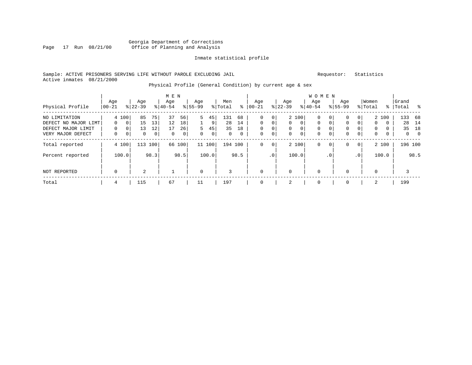### Georgia Department of Corrections Page 17 Run 08/21/00 Office of Planning and Analysis

#### Inmate statistical profile

#### Sample: ACTIVE PRISONERS SERVING LIFE WITHOUT PAROLE EXCLUDING JAIL Requestor: Statistics Active inmates 08/21/2000

# Physical Profile (General Condition) by current age & sex

| Physical Profile                                                                 | Age<br>$ 00-21$    |                                                             | Age<br>$8 22-39$               |                                  | M E N<br>Age<br>$8 40-54$ |                                | Age<br>$8155 - 99$      |                    | Men<br>% Total       | ∻                              | Age<br>$ 00-21$                          |                                                         | Age<br>$ 22-39 $   |                                                       | W O M E N<br>Age<br>$8 40-54$                         |                                                                | Age<br>$8155 - 99$ |                                   | Women<br>% Total                           |                                               | Grand<br>%   Total | း                                             |
|----------------------------------------------------------------------------------|--------------------|-------------------------------------------------------------|--------------------------------|----------------------------------|---------------------------|--------------------------------|-------------------------|--------------------|----------------------|--------------------------------|------------------------------------------|---------------------------------------------------------|--------------------|-------------------------------------------------------|-------------------------------------------------------|----------------------------------------------------------------|--------------------|-----------------------------------|--------------------------------------------|-----------------------------------------------|--------------------|-----------------------------------------------|
| NO LIMITATION<br>DEFECT NO MAJOR LIMT<br>DEFECT MAJOR LIMIT<br>VERY MAJOR DEFECT | $\Omega$<br>0<br>0 | 4 100<br>0 <sup>1</sup><br>0 <sup>1</sup><br>0 <sup>1</sup> | 85<br>15<br>13<br>$\mathbf{0}$ | 75<br>13<br>12<br>$\overline{0}$ | 37<br>12<br>17<br>0       | 56<br>18<br>26<br>$\mathbf{0}$ | 5<br>5.<br>$\mathbf{0}$ | 45<br>9<br>45<br>0 | 131<br>28<br>35<br>0 | 68<br>14<br>18<br>$\mathbf{0}$ | 0<br>$\Omega$<br>$\Omega$<br>$\mathbf 0$ | 0 <sup>1</sup><br>$\Omega$<br>$\overline{0}$<br>$\circ$ | $\Omega$<br>0<br>0 | 2 100<br>$\Omega$<br>$\overline{0}$<br>$\overline{0}$ | $\mathbf 0$<br>$\Omega$<br>$\mathbf 0$<br>$\mathbf 0$ | 0 <sup>1</sup><br>$\Omega$<br>0 <sup>1</sup><br>$\overline{0}$ | 0<br>0<br>0<br>0   | 0<br>$\Omega$<br>0<br>$\mathbf 0$ | $\mathbf{0}$<br>$\mathbf 0$<br>$\mathbf 0$ | 2 100<br>$\Omega$<br>$\Omega$<br>$\mathbf{0}$ | 133<br>28<br>35    | -68<br>14<br>18<br>$\overline{0}$<br>$\Omega$ |
| Total reported<br>Percent reported                                               |                    | 4 100<br>100.0                                              | 113                            | 100 l<br>98.3                    | 66                        | 100<br>98.5                    |                         | 11 100<br>100.0    | 194 100              | 98.5                           | 0                                        | 0 <sup>1</sup><br>.0 <sup>1</sup>                       |                    | 2 100<br>100.0                                        | $\mathbf 0$                                           | 0 <sup>1</sup><br>.0 <sup>1</sup>                              | 0                  | $\mathbf{0}$<br>.0'               |                                            | 2 100<br>100.0                                |                    | 196 100<br>98.5                               |
| NOT REPORTED                                                                     | $\mathbf 0$        |                                                             | $\overline{2}$                 |                                  |                           |                                | $\mathbf 0$             |                    | 3                    |                                | $\Omega$                                 |                                                         | $\Omega$           |                                                       | $\mathbf 0$                                           |                                                                | $\Omega$           |                                   | 0                                          |                                               |                    |                                               |
| Total                                                                            | 4                  |                                                             | 115                            |                                  | 67                        |                                | 11                      |                    | 197                  |                                |                                          |                                                         | 2                  |                                                       | $\mathbf 0$                                           |                                                                | $\Omega$           |                                   | 2                                          |                                               | 199                |                                               |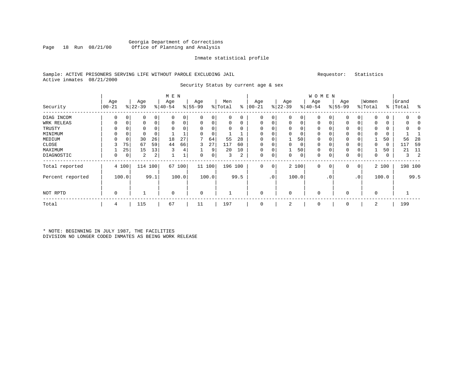### Georgia Department of Corrections Office of Planning and Analysis

#### Inmate statistical profile

### Sample: ACTIVE PRISONERS SERVING LIFE WITHOUT PAROLE EXCLUDING JAIL Requestor: Statistics Active inmates 08/21/2000

Security Status by current age & sex

|                  |                  |       |                  |         | M E N            |       |                  |          |                |      |                  |                 |                  |       | <b>WOMEN</b>     |                |                    |           |                  |       |                    |                |
|------------------|------------------|-------|------------------|---------|------------------|-------|------------------|----------|----------------|------|------------------|-----------------|------------------|-------|------------------|----------------|--------------------|-----------|------------------|-------|--------------------|----------------|
| Security         | Age<br>$ 00-21 $ |       | Age<br>$ 22-39 $ |         | Age<br>$8 40-54$ |       | Age<br>$8 55-99$ |          | Men<br>% Total | ి    | Age<br>$ 00-21 $ |                 | Age<br>$ 22-39 $ |       | Age<br>$ 40-54 $ |                | Age<br>$8155 - 99$ |           | Women<br>% Total |       | Grand<br>%   Total | း              |
| DIAG INCOM       | 0                | 0     | 0                | 0       | 0                | 0     | 0                | 0        | 0              | 0    | $\mathbf 0$      | 0               | $\mathbf 0$      | 0     | $\mathbf 0$      | 0              | $\Omega$           | 0         | $\Omega$         | 0     |                    |                |
| WRK RELEAS       | 0                | 0     | 0                | 0       | $\mathbf 0$      | 0     | 0                | 0        | 0              | 0    | $\mathbf 0$      | 0               | $\mathbf 0$      | 0     | $\mathbf 0$      | 0              | 0                  | 0         | 0                | 0     |                    |                |
| TRUSTY           | 0                |       |                  |         |                  |       | 0                | 0        | 0              | 0    | 0                |                 | 0                | 0     | 0                |                | 0                  | 0         | 0                | 0     |                    |                |
| MINIMUM          |                  |       |                  | 0       |                  |       | $\Omega$         | $\Omega$ |                |      |                  |                 |                  |       | $\Omega$         |                |                    |           | $\Omega$         |       |                    |                |
| MEDIUM           |                  | 0     | 30               | 26      | 18               | 27    | 7                | 64       | 55             | 28   | $\Omega$         |                 |                  | 50    | $\Omega$         |                | 0                  |           |                  | 50    | 56                 | 28             |
| CLOSE            |                  | 75    | 67               | 59      | 44               | 66    | 3                | 27       | 117            | 60   | $\Omega$         |                 | $\Omega$         | 0     | $\Omega$         |                | $\Omega$           |           | $\mathbf 0$      | 0     | 117                | 59             |
| MAXIMUM          |                  | 25    | 15               | 13      |                  | 4     |                  | 9        | 20             | 10   | $\mathbf 0$      |                 |                  | 50    | $\mathbf 0$      |                | 0                  | 0         |                  | 50    | 21                 | 11             |
| DIAGNOSTIC       | 0                | 0     | 2                | 2       |                  | ᅩ     | 0                | 0        | 3              | 2    | $\mathbf 0$      | 0               | 0                | 0     | $\Omega$         | 0              | 0                  | 0         | 0                | 0     | 3                  | $\overline{2}$ |
| Total reported   |                  | 4 100 |                  | 114 100 | 67               | 100   |                  | 11 100   | 196 100        |      | $\Omega$         | $\circ$         |                  | 2 100 | $\mathbf 0$      | 0 <sup>1</sup> | 0                  | 0         |                  | 2 100 |                    | 198 100        |
| Percent reported |                  | 100.0 |                  | 99.1    |                  | 100.0 |                  | 100.0    |                | 99.5 |                  | .0 <sup>1</sup> |                  | 100.0 |                  | . 0            |                    | $\cdot$ 0 |                  | 100.0 |                    | 99.5           |
| NOT RPTD         | 0                |       |                  |         | $\mathbf 0$      |       | 0                |          |                |      |                  |                 | $\Omega$         |       | 0                |                | 0                  |           | $\mathbf 0$      |       |                    |                |
| Total            | 4                |       | 115              |         | 67               |       | 11               |          | 197            |      |                  |                 | 2                |       | $\Omega$         |                | $\Omega$           |           | 2                |       | 199                |                |

\* NOTE: BEGINNING IN JULY 1987, THE FACILITIES DIVISION NO LONGER CODED INMATES AS BEING WORK RELEASE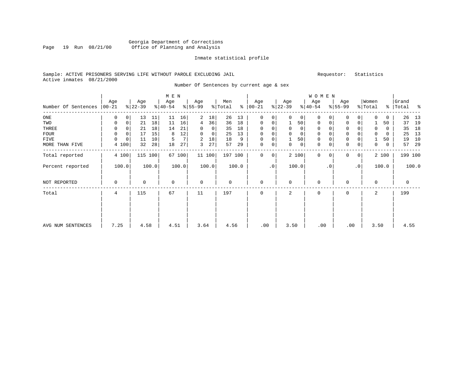### Georgia Department of Corrections Page 19 Run 08/21/00 Office of Planning and Analysis

#### Inmate statistical profile

### Sample: ACTIVE PRISONERS SERVING LIFE WITHOUT PAROLE EXCLUDING JAIL Requestor: Statistics Active inmates 08/21/2000

Number Of Sentences by current age & sex

|                     |          |             |           |       | M E N     |                |             |                |         |       |               |             |                |              | W O M E N   |           |             |                 |          |       |           |         |
|---------------------|----------|-------------|-----------|-------|-----------|----------------|-------------|----------------|---------|-------|---------------|-------------|----------------|--------------|-------------|-----------|-------------|-----------------|----------|-------|-----------|---------|
|                     | Age      |             | Age       |       | Age       |                | Age         |                | Men     |       | Age           |             | Age            |              | Age         |           | Age         |                 | Women    |       | Grand     |         |
| Number Of Sentences | $ 00-21$ |             | $ 22-39 $ |       | $ 40-54 $ |                | $8 55-99$   |                | % Total |       | $8   00 - 21$ |             | $ 22-39 $      |              | $ 40-54 $   |           | $8 55-99$   |                 | % Total  |       | %   Total | နွ      |
| ONE                 | 0        | 0           | 13        | 11    | 11        | 16             | 2           | 18             | 26      | 13    | 0             | 0           | $\Omega$       | $\mathbf{0}$ | 0           | 0         | 0           | 0               | 0        | 0     | 26        | 13      |
| TWO                 | 0        | 0           | 21        | 18    | 11        | 16             | 4           | 36             | 36      | 18    | $\mathbf 0$   | 0           |                | 50           | 0           | 0         | $\mathbf 0$ | 0 <sup>1</sup>  |          | 50    | 37        | 19      |
| THREE               | 0        |             | 21        | 18    | 14        | 21             | 0           | $\overline{0}$ | 35      | 18    | 0             | 0           | 0              | 0            | 0           |           | $\mathbf 0$ |                 | 0        | 0     | 35        | 18      |
| FOUR                | $\Omega$ | 0           | 17        | 15    | 8         | 12             | 0           | $\circ$        | 25      | 13    | 0             |             |                | $\mathbf 0$  | $\mathbf 0$ |           | $\mathbf 0$ |                 | 0        | 0     | 25        | 13      |
| FIVE                | 0        | $\mathbf 0$ | 11        | 10    | 5         | 7 <sup>1</sup> | 2           | 18             | 18      | 9     | $\mathbf 0$   | 0           |                | 50           | 0           |           | $\mathbf 0$ |                 |          | 50    | 19        | 10      |
| MORE THAN FIVE      |          | 4 100       | 32        | 28    | 18        | 27             | 3           | 27             | 57      | 29    | $\mathbf 0$   | 0           | 0              | $\mathsf{O}$ | $\mathbf 0$ | 0         | $\mathbf 0$ | $\circ$         | 0        | 0     | 57        | 29      |
| Total reported      |          | 4 100       | 115       | 100   |           | 67 100         |             | 11 100         | 197 100 |       | $\Omega$      | $\mathbf 0$ |                | 2 100        | $\Omega$    | $\Omega$  | $\Omega$    | $\circ$         |          | 2 100 |           | 199 100 |
| Percent reported    |          | 100.0       |           | 100.0 |           | 100.0          |             | 100.0          |         | 100.0 |               | $\cdot$ 0   |                | 100.0        |             | $\cdot$ 0 |             | .0 <sup>1</sup> |          | 100.0 |           | 100.0   |
| NOT REPORTED        | 0        |             | $\Omega$  |       | 0         |                | $\mathbf 0$ |                | 0       |       | $\mathbf 0$   |             | $\Omega$       |              | $\mathbf 0$ |           | $\Omega$    |                 | $\Omega$ |       | 0         |         |
| Total               | 4        |             | 115       |       | 67        |                | 11          |                | 197     |       | $\Omega$      |             | $\overline{a}$ |              | $\Omega$    |           | $\Omega$    |                 | 2        |       | 199       |         |
|                     |          |             |           |       |           |                |             |                |         |       |               |             |                |              |             |           |             |                 |          |       |           |         |
| AVG NUM SENTENCES   | 7.25     |             | 4.58      |       | 4.51      |                | 3.64        |                | 4.56    |       | .00           |             | 3.50           |              | .00         |           |             | .00             | 3.50     |       | 4.55      |         |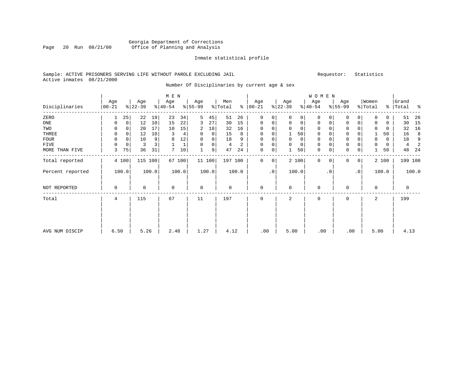### Georgia Department of Corrections<br>Page 20 Run 08/21/00 Office of Planning and Analysis Page 20 Run 08/21/00 Office of Planning and Analysis

#### Inmate statistical profile

### Sample: ACTIVE PRISONERS SERVING LIFE WITHOUT PAROLE EXCLUDING JAIL Requestor: Statistics Active inmates 08/21/2000

Number Of Disciplinaries by current age & sex

|                  |                   |             |                  |       | M E N            |        |                 |          |                |                |                      |             |                  |             | WOMEN            |             |                  |                 |                  |       |                    |       |
|------------------|-------------------|-------------|------------------|-------|------------------|--------|-----------------|----------|----------------|----------------|----------------------|-------------|------------------|-------------|------------------|-------------|------------------|-----------------|------------------|-------|--------------------|-------|
| Disciplinaries   | Age<br>$ 00 - 21$ |             | Age<br>$ 22-39 $ |       | Age<br>$ 40-54 $ |        | Age<br>$ 55-99$ |          | Men<br>% Total |                | Age<br>$8   00 - 21$ |             | Age<br>$ 22-39 $ |             | Age<br>$ 40-54 $ |             | Age<br>$ 55-99 $ |                 | Women<br>% Total |       | Grand<br>%   Total | ႜ     |
| ZERO             | 1                 | 25          | 22               | 19    | 23               | 34     | 5               | 45       | 51             | 26             | $\mathbf 0$          | 0           | $\Omega$         | 0           | 0                | $\Omega$    | $\Omega$         | $\Omega$        | $\Omega$         | 0     | 51                 | 26    |
| ONE              | 0                 | $\mathbf 0$ | 12               | 10    | 15               | 22     | 3               | 27       | 30             | 15             | 0                    | 0           | 0                | $\mathbf 0$ | $\mathbf 0$      | 0           | $\mathbf 0$      | $\mathbf 0$     |                  | 0     | 30                 | 15    |
| TWO              | 0                 | 0           | 20               | 17    | 10               | 15     | 2               | 18       | 32             | 16             | 0                    | 0           |                  | $\mathbf 0$ | 0                |             | $\mathbf 0$      |                 |                  | 0     | 32                 | 16    |
| THREE            | 0                 | 0           | 12               | 10    | 3                | 4      | 0               | 0        | 15             | 8              | 0                    | 0           |                  | 50          | 0                |             | $\mathbf 0$      |                 |                  | 50    | 16                 | 8     |
| FOUR             | $\Omega$          | $\Omega$    | 10               | 9     | 8                | 12     | $\Omega$        | $\Omega$ | 18             | 9              | $\Omega$             | 0           |                  | 0           | $\Omega$         |             | $\Omega$         |                 | 0                | 0     | 18                 | 9     |
| FIVE             | $\Omega$          | $\mathbf 0$ | 3                |       |                  |        | $\Omega$        | 0        | 4              | $\overline{a}$ | $\Omega$             | $\mathsf 0$ | $\Omega$         | $\mathbf 0$ | 0                |             | $\mathbf{0}$     |                 | 0                | 0     | 4                  | 2     |
| MORE THAN FIVE   | 3                 | 75          | 36               | 31    | 7                | 10     |                 | 9        | 47             | 24             | $\mathbf 0$          | 0           |                  | 50          | 0                | $\mathbf 0$ | $\mathbf 0$      | 0               |                  | 50    | 48                 | 24    |
| Total reported   |                   | 4 100       | 115              | 100   |                  | 67 100 |                 | 11100    | 197 100        |                | $\mathbf 0$          | 0           |                  | 2 100       | $\mathbf{0}$     | $\Omega$    | $\Omega$         | 0 <sup>1</sup>  |                  | 2 100 | 199 100            |       |
| Percent reported |                   | 100.0       |                  | 100.0 |                  | 100.0  |                 | 100.0    |                | 100.0          |                      | $\cdot$ 0   |                  | 100.0       |                  | $\cdot$ 0   |                  | .0 <sup>1</sup> |                  | 100.0 |                    | 100.0 |
| NOT REPORTED     | $\mathbf 0$       |             | 0                |       | 0                |        | $\mathbf 0$     |          | 0              |                | $\mathbf 0$          |             | $\Omega$         |             | 0                |             | $\Omega$         |                 | $\mathbf 0$      |       | $\mathbf 0$        |       |
| Total            | 4                 |             | 115              |       | 67               |        | 11              |          | 197            |                | $\mathbf 0$          |             | 2                |             | $\mathbf 0$      |             | $\mathbf 0$      |                 | 2                |       | 199                |       |
|                  |                   |             |                  |       |                  |        |                 |          |                |                |                      |             |                  |             |                  |             |                  |                 |                  |       |                    |       |
| AVG NUM DISCIP   | 6.50              |             | 5.26             |       | 2.48             |        | 1.27            |          | 4.12           |                | .00                  |             | 5.00             |             | .00              |             | .00              |                 | 5.00             |       | 4.13               |       |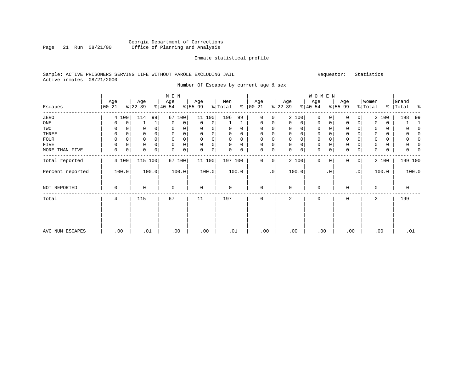### Georgia Department of Corrections Page 21 Run 08/21/00 Office of Planning and Analysis

#### Inmate statistical profile

### Sample: ACTIVE PRISONERS SERVING LIFE WITHOUT PAROLE EXCLUDING JAIL Requestor: Statistics Active inmates 08/21/2000

Number Of Escapes by current age & sex

|                  |                   |                  | M E N            |                            |                     |                             |                  | WOMEN                      |                            |                  |                         |
|------------------|-------------------|------------------|------------------|----------------------------|---------------------|-----------------------------|------------------|----------------------------|----------------------------|------------------|-------------------------|
| Escapes          | Age<br>$ 00 - 21$ | Age<br>$ 22-39 $ | Age<br>$8 40-54$ | Age<br>$8 55-99$           | Men<br>%<br>% Total | Age<br>$00 - 21$            | Age<br>$ 22-39 $ | Age<br>$ 40-54 $           | Age<br>$8 55-99$           | Women<br>% Total | Grand<br>%   Total<br>ႜ |
| ZERO             | 4 100             | 114<br>99        | 67<br>100        | 11 100                     | 196<br>99           | $\mathbf{0}$<br>0           | 2 100            | $\mathbf 0$<br>$\Omega$    | 0<br>$\Omega$              | 2 100            | 198<br>99               |
| ONE              | 0<br>0            | $\mathbf{1}$     | 0<br>0           | 0<br>0                     |                     | 0<br>0                      | $\Omega$<br>0    | $\mathbf 0$<br>0           | 0<br>0                     | $\Omega$<br>0    |                         |
| TWO              | 0                 | 0                | $\mathbf 0$<br>0 | 0<br>0                     | $\Omega$<br>0       | 0                           | 0<br>$\Omega$    | 0                          | 0                          | 0<br>0           |                         |
| THREE            | 0                 | 0                | $\mathbf 0$<br>0 | $\mathbf 0$<br>$\mathbf 0$ | 0<br>0              | 0<br>0                      | 0<br>$\mathbf 0$ | 0<br>$\mathbf 0$           | $\mathbf 0$                | $\mathbf 0$<br>0 | O                       |
| FOUR             | 0                 | 0                | $\mathbf 0$<br>0 | $\mathbf 0$<br>0           | 0<br>0              | 0                           | 0<br>$\mathbf 0$ | 0<br>$\Omega$              | $\mathbf 0$                | 0                | O                       |
| FIVE             | 0                 | 0                | $\mathbf 0$<br>0 | $\mathbf 0$<br>0           | 0<br>0              | 0                           | 0<br>0           | 0<br>0                     | $\mathsf 0$                | 0                |                         |
| MORE THAN FIVE   | $\mathbf 0$<br>0  | 0<br>0           | 0<br>0           | $\mathbf 0$<br>0           | 0<br>0              | 0<br>0                      | 0<br>0           | $\mathbf 0$<br>0           | $\mathbf 0$<br>0           | $\mathbf 0$<br>0 | 0                       |
| Total reported   | 4 100             | 115 100          | 67 100           | 11 100                     | 197 100             | $\mathbf{0}$<br>$\mathbf 0$ | 2 100            | $\mathbf 0$<br>$\mathbf 0$ | $\overline{0}$<br>$\Omega$ | 2 100            | 199 100                 |
| Percent reported | 100.0             | 100.0            | 100.0            | 100.0                      | 100.0               | $\cdot$ 0                   | 100.0            | . 0                        | $\cdot$ 0                  | 100.0            | 100.0                   |
| NOT REPORTED     | 0                 | 0                | $\mathbf 0$      | $\mathbf 0$                | $\mathbf 0$         | $\mathbf{0}$                | $\mathbf 0$      | $\mathbf 0$                | $\Omega$                   | $\Omega$         | $\mathbf 0$             |
| Total            | 4                 | 115              | 67               | 11                         | 197                 | $\mathbf 0$                 | 2                | $\mathbf 0$                | $\Omega$                   | 2                | 199                     |
|                  |                   |                  |                  |                            |                     |                             |                  |                            |                            |                  |                         |
| AVG NUM ESCAPES  | .00               | .01              | .00              | .00                        | .01                 | .00.                        | .00              | .00                        | .00                        | .00              | .01                     |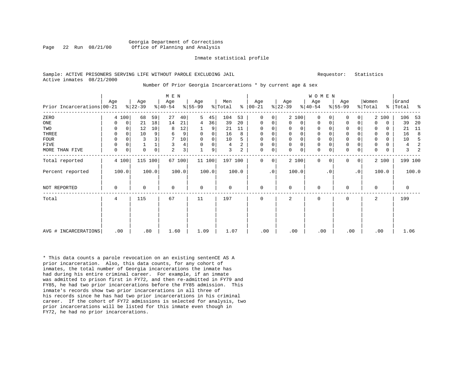#### Georgia Department of Corrections Page 22 Run 08/21/00 Office of Planning and Analysis

#### Inmate statistical profile

#### Sample: ACTIVE PRISONERS SERVING LIFE WITHOUT PAROLE EXCLUDING JAIL **Requestor:** Statistics Active inmates 08/21/2000

#### Number Of Prior Georgia Incarcerations \* by current age & sex

|                            |             |             |                  |       | M E N            |        |                  |             |                |       |                      |             |                  |             | WOMEN            |           |                    |              |                  |          |                    |         |
|----------------------------|-------------|-------------|------------------|-------|------------------|--------|------------------|-------------|----------------|-------|----------------------|-------------|------------------|-------------|------------------|-----------|--------------------|--------------|------------------|----------|--------------------|---------|
| Prior Incarcerations 00-21 | Age         |             | Age<br>$8 22-39$ |       | Age<br>$ 40-54 $ |        | Age<br>$8 55-99$ |             | Men<br>% Total |       | Age<br>$8   00 - 21$ |             | Age<br>$ 22-39 $ |             | Age<br>$ 40-54 $ |           | Age<br>$8155 - 99$ |              | Women<br>% Total |          | Grand<br>%   Total | နွ      |
|                            |             |             |                  |       |                  |        |                  |             |                |       |                      |             |                  |             |                  |           |                    |              |                  |          |                    |         |
| ZERO                       |             | 4 100       | 68               | 59    | 27               | 40     | 5                | 45          | 104            | 53    | $\Omega$             | 0           |                  | 2 100       | $\Omega$         | 0         | $\Omega$           | 0            |                  | 2 100    | 106                | 53      |
| ONE                        | 0           | 0           | 21               | 18    | 14               | 21     | 4                | 36          | 39             | 20    | 0                    | 0           | $\Omega$         | $\mathbf 0$ | $\Omega$         | 0         | $\Omega$           | 0            | $\Omega$         | 0        | 39                 | 20      |
| TWO                        | 0           | 0           | 12               | 10    | 8                | 12     |                  | 9           | 21             | 11    | 0                    | 0           | $\Omega$         | $\Omega$    | 0                |           | $\Omega$           |              | 0                | 0        | 21                 | 11      |
| THREE                      | 0           | $\mathbf 0$ | 10               | 9     | 6                | 9      | $\mathbf 0$      | $\mathbf 0$ | 16             | 8     | 0                    | 0           |                  | $\Omega$    | 0                |           | $\Omega$           | 0            | 0                | $\Omega$ | 16                 | 8       |
| <b>FOUR</b>                | 0           | $\Omega$    | 3                |       | 7                | 10     | $\mathbf 0$      | 0           | 10             | 5     | 0                    | 0           |                  | $\Omega$    | 0                |           | $\Omega$           |              | 0                | 0        | 10                 | 5       |
| <b>FIVE</b>                | 0           | 0           |                  |       | 3                | 4      | $\Omega$         | 0           | 4              | 2     | $\mathbf 0$          | 0           | $\mathbf 0$      | $\mathbf 0$ | $\mathbf 0$      | 0         | $\mathbf 0$        | 0            | 0                | 0        | 4                  | 2       |
| MORE THAN FIVE             | $\mathbf 0$ | 0           | 0                | 0     | $\overline{a}$   | 3      |                  | 9           | 3              | 2     | $\mathbf 0$          | $\mathsf 0$ | $\Omega$         | 0           | 0                | 0         | $\mathbf 0$        | 0            | 0                | 0        | 3                  |         |
| Total reported             |             | 4 100       | 115 100          |       |                  | 67 100 |                  | 11 100      | 197 100        |       | $\Omega$             | 0           |                  | 2 100       | $\mathbf 0$      | $\Omega$  | $\Omega$           | $\mathbf{0}$ |                  | 2 100    |                    | 199 100 |
| Percent reported           |             | 100.0       |                  | 100.0 |                  | 100.0  |                  | 100.0       |                | 100.0 |                      | $\cdot$ 0   |                  | 100.0       |                  | $\cdot$ 0 |                    | $\cdot$ 0    |                  | 100.0    |                    | 100.0   |
| NOT REPORTED               | 0           |             | $\Omega$         |       | $\Omega$         |        | $\Omega$         |             | $\Omega$       |       | $\mathbf 0$          |             | $\Omega$         |             | $\Omega$         |           | $\Omega$           |              | $\Omega$         |          | $\Omega$           |         |
| Total                      | 4           |             | 115              |       | 67               |        | 11               |             | 197            |       | $\mathbf 0$          |             | 2                |             | 0                |           | $\mathbf 0$        |              | 2                |          | 199                |         |
|                            |             |             |                  |       |                  |        |                  |             |                |       |                      |             |                  |             |                  |           |                    |              |                  |          |                    |         |
| AVG # INCARCERATIONS       | .00         |             | .80              |       | 1.60             |        | 1.09             |             | 1.07           |       | .00                  |             | .00              |             | .00              |           | .00                |              |                  | .00      | 1.06               |         |

\* This data counts a parole revocation on an existing sentenCE AS A prior incarceration. Also, this data counts, for any cohort of inmates, the total number of Georgia incarcerations the inmate has had during his entire criminal career. For example, if an inmate was admitted to prison first in FY72, and then re-admitted in FY79 and FY85, he had two prior incarcerations before the FY85 admission. This inmate's records show two prior incarcerations in all three of his records since he has had two prior incarcerations in his criminal career. If the cohort of FY72 admissions is selected for analysis, two prior incarcerations will be listed for this inmate even though in FY72, he had no prior incarcerations.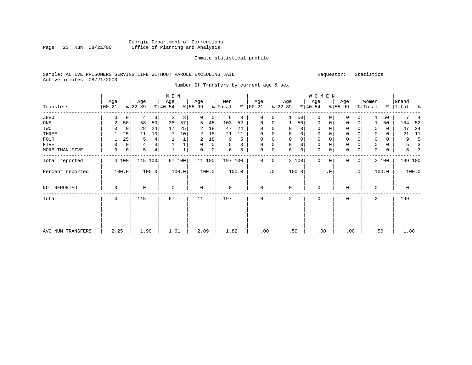### Georgia Department of Corrections Page 23 Run 08/21/00 Office of Planning and Analysis

#### Inmate statistical profile

### Sample: ACTIVE PRISONERS SERVING LIFE WITHOUT PAROLE EXCLUDING JAIL Requestor: Statistics Active inmates 08/21/2000

Number Of Transfers by current age & sex

|                   |                   |             |                  |                | M E N            |        |                  |                |                |       |                      |             |                  |             | WOMEN            |             |                  |           |                  |       |                    |       |
|-------------------|-------------------|-------------|------------------|----------------|------------------|--------|------------------|----------------|----------------|-------|----------------------|-------------|------------------|-------------|------------------|-------------|------------------|-----------|------------------|-------|--------------------|-------|
| Transfers         | Age<br>$ 00 - 21$ |             | Age<br>$ 22-39 $ |                | Age<br>$8 40-54$ |        | Age<br>$ 55-99 $ |                | Men<br>% Total |       | Age<br>$8   00 - 21$ |             | Age<br>$ 22-39 $ |             | Age<br>$ 40-54 $ |             | Age<br>$ 55-99 $ |           | Women<br>% Total |       | Grand<br>%   Total | ႜ     |
| ZERO              | 0                 | 0           | 4                | 3              | 2                | 3      | 0                | 0              | 6              | 3     | $\mathbf 0$          | 0           |                  | 50          | $\mathbf 0$      | $\Omega$    | 0                | 0         |                  | 50    |                    |       |
| ONE               | 2                 | 50          | 58               | 50             | 38               | 57     | 5                | 45             | 103            | 52    | 0                    | 0           |                  | 50          | 0                | 0           | 0                | 0         |                  | 50    | 104                | 52    |
| TWO               |                   | 0           | 28               | 24             | 17               | 25     | 2                | 18             | 47             | 24    | $\mathbf 0$          | 0           |                  | 0           | 0                |             | 0                |           | 0                | 0     | 47                 | 24    |
| THREE             |                   | 25          | 11               | 10             |                  | 10     | 2                | 18             | 21             | 11    | $\mathbf 0$          | 0           | $\mathbf 0$      | 0           | 0                | $\Omega$    | $\mathbf{0}$     |           | 0                | 0     | 21                 | 11    |
| FOUR              |                   | 25          | 5                | 4              |                  |        | 2                | 18             | 9              | 5     | $\Omega$             | 0           |                  | $\mathbf 0$ | 0                |             | $\Omega$         |           | $\Omega$         | 0     | 9                  | 5     |
| FIVE              | $\Omega$          | 0           | $\overline{4}$   |                |                  |        |                  | 0              | 5              |       | $\mathbf 0$          | 0           | $\mathbf 0$      | $\mathsf 0$ | 0                |             | $\mathbf{0}$     |           | 0                | 0     | 5                  | 3     |
| MORE THAN FIVE    | 0                 | $\mathbf 0$ | 5                | $\overline{4}$ |                  |        | $\Omega$         | $\overline{0}$ | 6              | 3     | $\mathbf 0$          | $\mathsf 0$ | $\Omega$         | $\mathsf 0$ | 0                | $\mathbf 0$ | $\mathbf 0$      | 0         | $\Omega$         | 0     | 6                  | З     |
| Total reported    |                   | 4 100       | 115              | 100            |                  | 67 100 |                  | 11 100         | 197 100        |       | $\mathbf 0$          | 0           |                  | 2 100       | $\Omega$         | $\Omega$    | $\Omega$         | 0         |                  | 2 100 | 199 100            |       |
| Percent reported  |                   | 100.0       |                  | 100.0          |                  | 100.0  |                  | 100.0          |                | 100.0 |                      | $\cdot$ 0   |                  | 100.0       |                  | $\cdot$ 0   |                  | $\cdot$ 0 |                  | 100.0 |                    | 100.0 |
| NOT REPORTED      | 0                 |             | 0                |                | $\mathbf 0$      |        | $\mathbf 0$      |                | 0              |       | $\mathbf 0$          |             | $\Omega$         |             | 0                |             | $\Omega$         |           | $\Omega$         |       | 0                  |       |
| Total             | 4                 |             | 115              |                | 67               |        | 11               |                | 197            |       | $\mathbf 0$          |             | 2                |             | 0                |             | $\mathbf 0$      |           | 2                |       | 199                |       |
|                   |                   |             |                  |                |                  |        |                  |                |                |       |                      |             |                  |             |                  |             |                  |           |                  |       |                    |       |
| AVG NUM TRANSFERS | 2.25              |             | 1.90             |                | 1.61             |        | 2.09             |                | 1.82           |       | .00                  |             | .50              |             | .00              |             | .00              |           | .50              |       | 1.80               |       |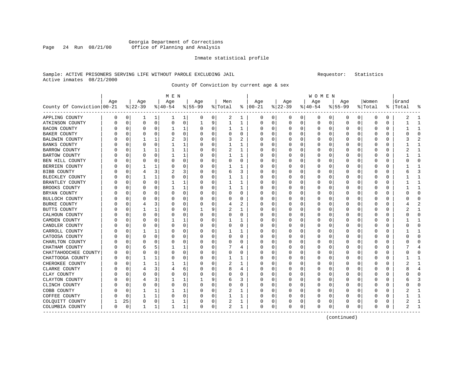### Georgia Department of Corrections Office of Planning and Analysis

#### Inmate statistical profile

#### Sample: ACTIVE PRISONERS SERVING LIFE WITHOUT PAROLE EXCLUDING JAIL Requestor: Statistics Active inmates 08/21/2000

County Of Conviction by current age & sex

|                              |     |          |          |          | M E N    |          |           |          |         |          |               |   |          |          | <b>WOMEN</b> |   |           |          |         |   |       |              |
|------------------------------|-----|----------|----------|----------|----------|----------|-----------|----------|---------|----------|---------------|---|----------|----------|--------------|---|-----------|----------|---------|---|-------|--------------|
|                              | Age |          | Age      |          | Age      |          | Age       |          | Men     |          | Age           |   | Age      |          | Age          |   | Age       |          | Women   |   | Grand |              |
| County Of Conviction   00-21 |     |          | $ 22-39$ |          | $ 40-54$ |          | $8 55-99$ |          | % Total |          | $8   00 - 21$ |   | $ 22-39$ |          | $ 40-54$     |   | $8 55-99$ |          | % Total | ိ | Total |              |
| APPLING COUNTY               | 0   | 0        | ı        | 1        | 1        | 1        | 0         | 0        | 2       | 1        | 0             | 0 | 0        | 0        | 0            | 0 | 0         | 0        | 0       | 0 | 2     |              |
| ATKINSON COUNTY              | 0   | 0        | 0        | 0        | 0        | 0        | 1         | 9        | 1       | 1        | 0             | 0 | 0        | 0        | 0            | 0 | $\Omega$  | 0        | 0       | 0 |       | $\mathbf{1}$ |
| <b>BACON COUNTY</b>          | Ω   | $\Omega$ | $\Omega$ | $\Omega$ | 1        | 1        |           | 0        | 1       | 1        | 0             | 0 | $\Omega$ | $\Omega$ | 0            | 0 |           | $\Omega$ | 0       | 0 |       | $\mathbf{1}$ |
| BAKER COUNTY                 | Ω   | O        | O        | $\Omega$ | O        | 0        |           | $\Omega$ | 0       | 0        | 0             | 0 | $\left($ | $\Omega$ | 0            | O | n         | 0        | O       | 0 | ი     | $\Omega$     |
| BALDWIN COUNTY               |     | 0        |          |          | 2        | 3        |           | $\Omega$ | 3       | 2        | 0             | 0 |          | 0        | 0            | C |           | U        | C       | 0 |       |              |
| <b>BANKS COUNTY</b>          | Ω   | 0        | $\Omega$ | $\Omega$ |          | 1        |           | $\Omega$ | 1       | 1        | 0             | 0 | O        | $\Omega$ | 0            | C | $\Omega$  | U        | Ω       | 0 |       | -1           |
| <b>BARROW COUNTY</b>         | 0   | 0        |          |          |          | 1        |           | $\Omega$ | 2       | 1        | 0             | 0 | $\left($ | $\Omega$ | 0            | 0 |           | $\Omega$ | O       | 0 |       |              |
| <b>BARTOW COUNTY</b>         |     | 0        | O        | $\Omega$ |          | 1        |           | 0        | 1       | 1        | 0             | 0 |          | $\Omega$ | 0            | O |           | 0        | Ω       | 0 |       |              |
| BEN HILL COUNTY              |     | 0        | $\Omega$ | $\Omega$ | C        | 0        |           | $\Omega$ | 0       | $\Omega$ | 0             | 0 |          | $\Omega$ | 0            | C |           | O        | Ω       | 0 | C     | $\cap$       |
| BERRIEN COUNTY               | Λ   | 0        |          |          | C        | 0        |           | 0        | 1       | 1        | 0             | 0 | O        | $\Omega$ | 0            | 0 | $\Omega$  | 0        | O       | 0 |       | -1           |
| <b>BIBB COUNTY</b>           |     | 0        | 4        | 3        | 2        | 3        |           | 0        | 6       | 3        | 0             | 0 | 0        | $\Omega$ | 0            | C |           | O        | C       | 0 |       | 3            |
| BLECKLEY COUNTY              | 0   | 0        |          |          | C        | 0        |           | $\Omega$ | 1       | 1        | 0             | 0 | O        | $\Omega$ | 0            | C |           | O        | O       | 0 |       | $\mathbf{1}$ |
| BRANTLEY COUNTY              |     | 0        | $\Omega$ | $\Omega$ |          | 1        |           | $\Omega$ | 1       | 1        | 0             | 0 | $\Omega$ | $\Omega$ | 0            | 0 | n         | 0        | 0       | 0 |       |              |
| BROOKS COUNTY                |     | 0        | O        | $\Omega$ |          | 1        |           | 0        | 1       | 1        | 0             | 0 |          | $\Omega$ | 0            | 0 |           | O        | 0       | 0 |       | $\mathbf{1}$ |
| BRYAN COUNTY                 |     | 0        | O        | 0        | O        | 0        |           | 0        | 0       | 0        | 0             | 0 | O        | $\Omega$ | 0            | O | $\Omega$  | O        | O       | 0 | U     | $\Omega$     |
| <b>BULLOCH COUNTY</b>        | Ω   | 0        | 0        | $\Omega$ | C        | 0        |           | 0        | 0       | 0        | 0             | 0 | $\left($ | $\Omega$ | 0            | C | 0         | O        | 0       | 0 | C     | $\Omega$     |
| <b>BURKE COUNTY</b>          | Ω   | 0        | 4        | 3        | C        | $\Omega$ |           | $\Omega$ | 4       | 2        | 0             | 0 | 0        | $\Omega$ | 0            | C |           | O        | C       | 0 |       |              |
| BUTTS COUNTY                 | 0   | O        |          |          | C        | 0        |           | 9        | 2       | 1        | 0             | U | O        | $\Omega$ | O            | C |           | O        | C       | O |       | $\mathbf{1}$ |
| CALHOUN COUNTY               | Λ   | O        | $\Omega$ | $\Omega$ | O        | 0        |           | $\Omega$ | 0       | 0        | 0             | 0 | O        | $\Omega$ | 0            | O | n         | $\Omega$ | O       | 0 | U     | <sup>0</sup> |
| CAMDEN COUNTY                |     | 0        | $\Omega$ | 0        |          | 1        |           | 0        | 1       | 1        | 0             | 0 |          | $\Omega$ | 0            | 0 |           | O        | 0       | 0 |       |              |
| CANDLER COUNTY               | Λ   | $\Omega$ | $\Omega$ | $\Omega$ | C        | 0        |           | 0        | 0       | 0        | 0             | 0 | O        | $\Omega$ | 0            | 0 |           | O        | Ω       | 0 | U     | $\Omega$     |
| CARROLL COUNTY               | Ω   | O        |          |          | C        | 0        |           | $\Omega$ | 1       | 1        | <sup>0</sup>  | 0 | $\left($ | $\Omega$ | 0            | O | n         | 0        | O       | 0 |       | -1           |
| CATOOSA COUNTY               | Ω   | 0        | $\Omega$ | $\Omega$ | C        | 0        |           | 0        | U       | U        | O             | 0 | O        | $\Omega$ | 0            | O |           | O        | O       | 0 |       | <sup>0</sup> |
| CHARLTON COUNTY              | Λ   | 0        | O        | ∩        | C        | 0        |           | $\Omega$ | U       | U        | 0             | 0 |          | O        | 0            | C |           | U        | O       | 0 |       | ∩            |
| CHATHAM COUNTY               | 0   | O        | 6        | 5        |          | 1        |           | $\Omega$ | 7       | 4        | 0             | 0 | O        | $\Omega$ | 0            | O | n         | 0        | 0       | 0 |       | 4            |
| CHATTAHOOCHEE COUNTY         |     | 0        | $\Omega$ | 0        | 0        | 0        |           | 0        | 0       | 0        | 0             | 0 |          | 0        | Ω            | 0 |           | $\Omega$ | 0       | 0 | C     | 0            |
| CHATTOOGA COUNTY             | Ω   | 0        |          |          | C        | 0        |           | $\Omega$ | 1       | 1        | 0             | 0 |          | $\Omega$ | 0            | C |           | 0        | C       | 0 |       | $\mathbf{1}$ |
| CHEROKEE COUNTY              | Λ   | 0        |          |          |          | 1        |           | 0        | 2       | 1        | <sup>0</sup>  | 0 | O        | O        | 0            | O | n         | O        | O       | 0 | 2     | -1           |
| CLARKE COUNTY                | Ω   | 0        | 4        | 3        |          | 6        |           | 0        | 8       | 4        | 0             | 0 | O        | $\Omega$ | 0            | C |           | O        | C       | 0 |       |              |
| CLAY COUNTY                  | Λ   | O        | $\Omega$ | ∩        |          | $\Omega$ |           | $\Omega$ | 0       | U        | 0             | 0 |          | $\Omega$ | 0            | C |           | O        | C       | 0 |       | $\cap$       |
| CLAYTON COUNTY               | 0   | O        |          | 3        |          | 1        |           | 9        | 6       | 3        | 0             | 0 | 0        | $\Omega$ | 0            | C | n         | $\Omega$ | 0       | 0 | 6     | З            |
| CLINCH COUNTY                | 0   | 0        | $\Omega$ | $\Omega$ | O        | 0        |           | 0        | 0       | 0        | Ω             | 0 |          | $\Omega$ | 0            | 0 |           | $\Omega$ | Ω       | O |       | O            |
| COBB COUNTY                  |     | 0        |          |          |          | 1        |           | 0        | 2       | 1        | C             | 0 |          | $\Omega$ | 0            | 0 |           | O        |         | 0 |       | -1           |
| COFFEE COUNTY                | Λ   | $\Omega$ | 1        | 1        | O        | 0        |           | 0        | 1       | 1        | Ω             | 0 | O        | $\Omega$ | 0            | 0 | $\Omega$  | 0        | U       | 0 |       | $\mathbf{1}$ |
| COLQUITT COUNTY              |     | 25       | $\Omega$ | 0        |          | 1        |           | 0        | 2       | 1        | 0             | 0 | $\Omega$ | 0        | 0            | 0 | 0         | 0        | 0       | 0 | 2     |              |
| COLUMBIA COUNTY              | 0   | $\Omega$ | 1        | 1        | 1        | 1        | 0         | 0        | 2       | 1        | $\Omega$      | 0 | 0        | 0        | $\Omega$     | 0 | $\Omega$  | 0        | 0       | 0 |       |              |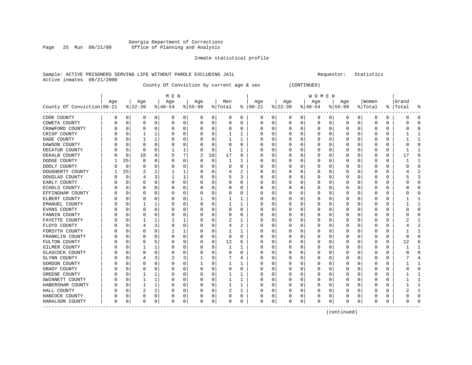#### Georgia Department of Corrections Page 25 Run 08/21/00 Office of Planning and Analysis

#### Inmate statistical profile

#### Sample: ACTIVE PRISONERS SERVING LIFE WITHOUT PAROLE EXCLUDING JAIL **Subset Construent Construent** Requestor: Statistics Active inmates 08/21/2000

County Of Conviction by current age & sex (CONTINUED)

| M E N | W O M E N | Age | Age | Age | Age | Men | Age | Age | Age | Age |Women |Grand County Of Conviction|00-21 %|22-39 %|40-54 %|55-99 %|Total % |00-21 %|22-39 %|40-54 %|55-99 %|Total % |Total % ------------------------------------------------------------------------------------------------------------------------------------COOK COUNTY | 0 0| 0 0| 0 0| 0 0| 0 0 | 0 0| 0 0| 0 0| 0 0| 0 0 | 0 0 COWETA COUNTY | 0 0| 0 0| 0 0| 0 0| 0 0 | 0 0| 0 0| 0 0| 0 0| 0 0 | 0 0 CRAWFORD COUNTY | 0 0| 0 0| 0 0| 0 0| 0 0 | 0 0| 0 0| 0 0| 0 0| 0 0 | 0 0 CRISP COUNTY | 0 0| 1 1| 0 0| 0 0| 1 1 | 0 0| 0 0| 0 0| 0 0| 0 0 | 1 1 DADE COUNTY | 0 0| 1 1| 0 0| 0 0| 1 1 | 0 0| 0 0| 0 0| 0 0| 0 0 | 1 1 DAWSON COUNTY | 0 0| 0 0| 0 0| 0 0| 0 0 | 0 0| 0 0| 0 0| 0 0| 0 0 | 0 0 DECATUR COUNTY | 0 0| 0 0| 1 1| 0 0| 1 1 | 0 0| 0 0| 0 0| 0 0| 0 0 | 1 1 DEKALB COUNTY | 0 0| 10 9| 5 7| 2 18| 17 9 | 0 0| 0 0| 0 0| 0 0| 0 0 | 17 9 DODGE COUNTY | 1 25| 0 0| 0 0| 0 0| 1 1 | 0 0| 0 0| 0 0| 0 0| 0 0 | 1 1 DOOLY COUNTY | 0 0| 0 0| 0 0| 0 0| 0 0 | 0 0| 0 0| 0 0| 0 0| 0 0 | 0 0 DOUGHERTY COUNTY | 1 25| 2 2| 1 1| 0 0| 4 2 | 0 0| 0 0| 0 0| 0 0| 0 0 | 4 2 DOUGLAS COUNTY | 0 0| 4 3| 1 1| 0 0| 5 3 | 0 0| 0 0| 0 0| 0 0| 0 0 | 5 3 EARLY COUNTY | 0 0| 0 0| 0 0| 0 0| 0 0 | 0 0| 0 0| 0 0| 0 0| 0 0 | 0 0 ECHOLS COUNTY. | 0 0| 0 0| 0 0| 0 0| 0 0 | 0 0| 0 0| 0 0| 0 0| 0 0 | 0 0 EFFINGHAM COUNTY | 0 0| 0 0| 0 0| 0 0| 0 0 | 0 0| 0 0| 0 0| 0 0| 0 0 | 0 0 ELBERT COUNTY | 0 0| 0 0| 0 0| 1 9| 1 1 | 0 0| 0 0| 0 0| 0 0| 0 0 | 1 1 EMANUEL COUNTY | 0 0| 1 1| 0 0| 0 0| 1 1 | 0 0| 0 0| 0 0| 0 0| 0 0 | 1 1 EVANS COUNTY | 0 0| 0 0| 0 0| 0 0| 0 0 | 0 0| 0 0| 0 0| 0 0| 0 0 | 0 0 FANNIN COUNTY | 0 0| 0 0| 0 0| 0 0| 0 0 | 0 0| 0 0| 0 0| 0 0| 0 0 | 0 0 FAYETTE COUNTY | 0 0| 1 1| 1 1| 0 0| 2 1 | 0 0| 0 0| 0 0| 0 0| 0 0 | 2 1 FLOYD COUNTY | 0 0| 4 3| 0 0| 0 0| 4 2 | 0 0| 0 0| 0 0| 0 0| 0 0 | 4 2 FORSYTH COUNTY | 0 0| 0 0| 1 1| 0 0| 1 1 | 0 0| 0 0| 0 0| 0 0| 0 0 | 1 1 FRANKLIN COUNTY | 0 0| 0 0| 0 0| 0 0| 0 0 | 0 0| 0 0| 0 0| 0 0| 0 0 | 0 0 FULTON COUNTY | 0 0| 6 5| 6 9| 0 0| 12 6 | 0 0| 0 0| 0 0| 0 0| 0 0 | 12 6 GILMER COUNTY | 0 0| 1 1| 0 0| 0 0| 1 1 | 0 0| 0 0| 0 0| 0 0| 0 0 | 1 1 GLASCOCK COUNTY | 0 0| 0 0| 0 0| 0 0| 0 0 | 0 0| 0 0| 0 0| 0 0| 0 0 | 0 0 GLYNN COUNTY | 0 0| 4 3| 2 3| 1 9| 7 4 | 0 0| 0 0| 0 0| 0 0| 0 0 | 7 4 GORDON COUNTY | 0 0| 0 0| 0 0| 1 9| 1 1 | 0 0| 0 0| 0 0| 0 0| 0 0 | 1 1 GRADY COUNTY | 0 0| 0 0| 0 0| 0 0| 0 0 | 0 0| 0 0| 0 0| 0 0| 0 0 | 0 0 GREENE COUNTY | 0 0| 1 1| 0 0| 0 0| 1 1 | 0 0| 0 0| 0 0| 0 0| 0 0 | 1 1 GWINNETT COUNTY | 0 0| 1 1| 0 0| 0 0| 1 1 | 0 0| 0 0| 0 0| 0 0| 0 0 | 1 1 HABERSHAM COUNTY | 0 0| 1 1| 0 0| 0 0| 1 1 | 0 0| 0 0| 0 0| 0 0| 0 0 | 1 1 HALL COUNTY | 0 0| 2 2| 0 0| 0 0| 2 1 | 0 0| 0 0| 0 0| 0 0| 0 0 | 2 1 HANCOCK COUNTY | 0 0| 0 0| 0 0| 0 0| 0 0 | 0 0| 0 0| 0 0| 0 0| 0 0 | 0 0 HARALSON COUNTY | 0 0| 0 0| 0 0| 0 0| 0 0 | 0 0| 0 0| 0 0| 0 0| 0 0 | 0 0 ------------------------------------------------------------------------------------------------------------------------------------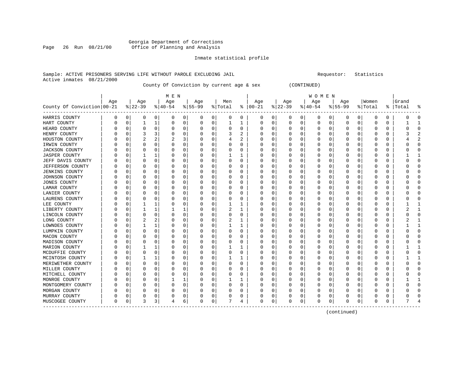### Georgia Department of Corrections Office of Planning and Analysis

#### Inmate statistical profile

#### Sample: ACTIVE PRISONERS SERVING LIFE WITHOUT PAROLE EXCLUDING JAIL Requestor: Statistics Active inmates 08/21/2000

County Of Conviction by current age & sex (CONTINUED)

|                            |          |          |           |          | M E N    |             |          |             |          |          |               |             |          |             | W O M E N |          |              |   |          |              |           |              |
|----------------------------|----------|----------|-----------|----------|----------|-------------|----------|-------------|----------|----------|---------------|-------------|----------|-------------|-----------|----------|--------------|---|----------|--------------|-----------|--------------|
|                            | Age      |          | Age       |          | Age      |             | Age      |             | Men      |          | Age           |             | Age      |             | Age       |          | Age          |   | Women    |              | Grand     |              |
| County Of Conviction 00-21 |          |          | $8 22-39$ |          | $ 40-54$ |             | $ 55-99$ |             | % Total  |          | $8   00 - 21$ |             | $ 22-39$ |             | $ 40-54$  |          | $ 55-99$     |   | % Total  |              | %   Total |              |
| HARRIS COUNTY              | 0        | 0        | 0         | 0        | 0        | 0           | 0        | 0           | 0        | 0        | 0             | 0           | 0        | 0           | 0         | 0        | 0            | 0 | 0        | 0            | O         | <sup>0</sup> |
| HART COUNTY                | 0        | 0        |           | 1        | 0        | 0           | 0        | 0           |          |          | 0             | 0           | 0        | 0           | 0         | 0        | 0            | 0 | 0        | 0            |           |              |
| HEARD COUNTY               |          | $\Omega$ | C         | $\Omega$ | O        | 0           | U        | $\Omega$    | $\Omega$ | 0        | O             | 0           | O        | 0           | $\Omega$  | O        | Ω            | 0 | O        | $\Omega$     | n         | $\cap$       |
| HENRY COUNTY               |          | C        |           | 3        | O        | $\Omega$    | O        | $\Omega$    | 3        | 2        | O             | $\Omega$    | O        | $\Omega$    | $\Omega$  | O        | O            | U |          | $\Omega$     |           |              |
| HOUSTON COUNTY             |          | n        |           | 2        |          | 3           | O        | $\Omega$    |          | 2        | O             | $\Omega$    | Ω        | $\Omega$    | U         | O        | Ω            | U | $\left($ | <sup>0</sup> |           |              |
| IRWIN COUNTY               |          | O        | 0         | $\Omega$ | O        | $\mathbf 0$ | 0        | $\mathbf 0$ | $\Omega$ | $\Omega$ | O             | $\mathbf 0$ | 0        | 0           | U         | O        | 0            | 0 | $\left($ | $\Omega$     |           |              |
| <b>JACKSON COUNTY</b>      |          | C        | C         | 0        |          | 0           | 0        | 0           | 0        | 0        | 0             | $\mathbf 0$ |          | 0           | 0         | 0        | 0            | 0 |          | $\Omega$     |           |              |
| <b>JASPER COUNTY</b>       |          | C        |           |          | 0        | 0           | 0        | 0           |          |          | 0             | 0           |          | 0           | 0         | 0        | 0            | 0 |          | $\Omega$     |           |              |
| JEFF DAVIS COUNTY          |          | $\Omega$ | $\Omega$  | $\Omega$ | O        | $\Omega$    | U        | $\mathbf 0$ | $\Omega$ | $\Omega$ | $\Omega$      | 0           | 0        | $\Omega$    | $\Omega$  | O        | 0            | 0 | O        | $\Omega$     |           | $\cap$       |
| JEFFERSON COUNTY           |          | $\Omega$ | $\Omega$  | 0        | O        | 0           | U        | 0           | O        | 0        | O             | 0           | 0        | 0           | 0         | O        | <sup>0</sup> | 0 | $\left($ | $\Omega$     | n         | <sup>0</sup> |
| <b>JENKINS COUNTY</b>      |          | O        | 0         | 0        | O        | $\Omega$    | 0        | 0           | O        | 0        | O             | 0           | 0        | 0           | 0         | O        | 0            | 0 | $\left($ | 0            |           | U            |
| JOHNSON COUNTY             |          | ſ        | 0         | 0        | O        | $\Omega$    | 0        | 0           | O        | 0        | 0             | 0           |          | 0           | 0         | $\left($ | 0            | 0 |          | O            |           |              |
| JONES COUNTY               |          | C        | C         | O        | O        | $\Omega$    | O        | $\Omega$    | $\Omega$ | $\Omega$ | O             | $\Omega$    | O        | 0           | U         | O        | 0            | U |          | $\Omega$     |           |              |
| LAMAR COUNTY               |          | C        | O         | 0        | O        | 0           | 0        | 0           | O        | 0        | 0             | $\Omega$    | 0        | $\Omega$    | 0         | O        | Ω            | 0 | O        | 0            |           |              |
| LANIER COUNTY              |          | O        | 0         | O        | O        | $\Omega$    | 0        | $\Omega$    | $\Omega$ | $\Omega$ | O             | $\Omega$    | 0        | $\Omega$    | 0         | O        | 0            | 0 | $\left($ | $\Omega$     |           |              |
| LAURENS COUNTY             |          | O        | 0         | O        | O        | 0           | 0        | 0           | O        | $\Omega$ | O             | 0           | C        | 0           | 0         | O        | 0            | U |          | $\Omega$     |           |              |
| LEE COUNTY                 |          | C        |           | 1        | 0        | 0           | Ω        | 0           |          |          |               | $\mathbf 0$ |          | 0           | 0         | 0        | 0            | 0 |          | 0            |           |              |
| LIBERTY COUNTY             |          | O        |           | 1        |          | 1           | Ω        | 0           | 2        | 1        | O             | 0           | 0        | 0           | 0         | O        | 0            | 0 |          | $\Omega$     |           | $\mathbf{1}$ |
| LINCOLN COUNTY             |          | O        | $\Omega$  | 0        | O        | 0           | O        | 0           | $\Omega$ | 0        | O             | 0           | 0        | 0           | 0         | O        | O            | 0 | O        | 0            | n         | ∩            |
| LONG COUNTY                |          | 0        | 2         | 2        | O        | 0           | 0        | 0           | 2        |          | O             | 0           | 0        | 0           | 0         | 0        | 0            | 0 | O        | 0            |           |              |
| LOWNDES COUNTY             |          | C        |           | 1        | 0        | 0           | 0        | 0           |          |          | 0             | 0           |          | 0           | 0         | 0        | 0            | 0 | 0        | $\Omega$     |           |              |
| LUMPKIN COUNTY             |          | C        | C         | 0        | O        | $\Omega$    | 0        | 0           | $\Omega$ | 0        | 0             | 0           |          | 0           | 0         | 0        | 0            | 0 | $\left($ | $\Omega$     |           | $\cap$       |
| MACON COUNTY               |          | C        | C         | O        | O        | $\Omega$    | 0        | $\Omega$    | ∩        | $\Omega$ | O             | 0           | O        | 0           | U         | O        | 0            | U | n        | $\Omega$     |           |              |
| MADISON COUNTY             |          | O        | O         | O        | O        | 0           | 0        | 0           | O        | 0        | 0             | 0           | 0        | 0           | 0         | O        | Ω            | 0 | $\left($ | $\Omega$     |           | n            |
| MARION COUNTY              |          | O        |           | 1        | O        | 0           | 0        | 0           |          |          | 0             | 0           | 0        | 0           | 0         | O        | 0            | 0 | $\left($ | 0            |           |              |
| MCDUFFIE COUNTY            |          | C        | 0         | $\Omega$ |          | 0           | 0        | 0           | 0        | $\Omega$ | 0             | 0           |          | 0           | 0         | 0        | 0            | 0 |          | $\Omega$     |           | C            |
| MCINTOSH COUNTY            |          | 0        |           | 1        | 0        | 0           | 0        | 0           |          | 1        | 0             | 0           | 0        | 0           | 0         | 0        | 0            | 0 |          | $\Omega$     |           | -1           |
| MERIWETHER COUNTY          |          | $\Omega$ | $\Omega$  | $\Omega$ | O        | $\Omega$    | U        | $\Omega$    | $\Omega$ | $\Omega$ | $\Omega$      | 0           | 0        | $\Omega$    | $\Omega$  | O        | 0            | 0 | O        | $\Omega$     |           | $\cap$       |
| MILLER COUNTY              |          | $\Omega$ | 0         | 0        | 0        | 0           | 0        | 0           | O        | 0        | O             | 0           | 0        | 0           | 0         | O        | <sup>0</sup> | 0 | $\left($ | $\Omega$     | U         | <sup>0</sup> |
| MITCHELL COUNTY            |          | 0        | 0         | 0        | 0        | $\Omega$    | 0        | 0           | O        | 0        | O             | 0           | 0        | 0           | 0         | O        | 0            | 0 | $\left($ | $\Omega$     |           | <sup>0</sup> |
| MONROE COUNTY              |          | C        | 0         | 0        |          | 1           | 0        | 0           |          |          | 0             | 0           |          | 0           | 0         | 0        | 0            | 0 |          | 0            |           |              |
| MONTGOMERY COUNTY          |          | C        | 0         | 0        | O        | $\Omega$    | 0        | $\Omega$    | $\Omega$ | 0        | 0             | $\Omega$    | 0        | 0           | 0         | O        | 0            | 0 |          | $\Omega$     |           |              |
| MORGAN COUNTY              |          | C        | C         | O        |          | $\Omega$    | O        | $\Omega$    | $\Omega$ | $\Omega$ | O             | $\Omega$    | O        | $\Omega$    | U         | O        | O            | U |          | $\Omega$     |           |              |
| MURRAY COUNTY              |          | 0        | 0         | 0        | O        | 0           | 0        | 0           | O        | 0        |               | 0           | 0        | 0           | 0         | O        | 0            | 0 |          | 0            |           |              |
| MUSCOGEE COUNTY            | $\Omega$ | 0        | 3         | 3        |          | 6           | U        | 0           |          | 4        | $\Omega$      | $\mathbf 0$ | O        | $\mathbf 0$ | $\Omega$  | 0        | $\Omega$     | 0 | O        | $\Omega$     |           |              |

------------------------------------------------------------------------------------------------------------------------------------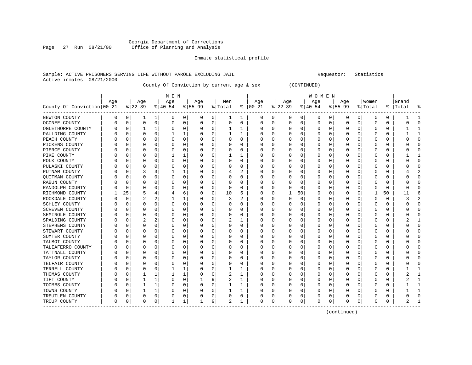#### Georgia Department of Corrections Page 27 Run 08/21/00 Office of Planning and Analysis

#### Inmate statistical profile

#### Sample: ACTIVE PRISONERS SERVING LIFE WITHOUT PAROLE EXCLUDING JAIL **Subset Construent Construent** Requestor: Statistics Active inmates 08/21/2000

County Of Conviction by current age & sex (CONTINUED)

| M E N | W O M E N | Age | Age | Age | Age | Men | Age | Age | Age | Age |Women |Grand County Of Conviction|00-21 %|22-39 %|40-54 %|55-99 %|Total % |00-21 %|22-39 %|40-54 %|55-99 %|Total % |Total % ------------------------------------------------------------------------------------------------------------------------------------NEWTON COUNTY | 0 0| 1 1| 0 0| 0 0| 1 1 | 0 0| 0 0| 0 0| 0 0| 0 0 | 1 1 OCONEE COUNTY | 0 0| 0 0| 0 0| 0 0| 0 0 | 0 0| 0 0| 0 0| 0 0| 0 0 | 0 0 OGLETHORPE COUNTY | 0 0| 1 1| 0 0| 0 0| 1 1 | 0 0| 0 0| 0 0| 0 0| 0 0 | 1 1 PAULDING COUNTY | 0 0| 0 0| 1 1| 0 0| 1 1 | 0 0| 0 0| 0 0| 0 0| 0 0 | 1 1 PEACH COUNTY | 0 0| 0 0| 0 0| 0 0| 0 0 | 0 0| 0 0| 0 0| 0 0| 0 0 | 0 0 PICKENS COUNTY | 0 0| 0 0| 0 0| 0 0| 0 0 | 0 0| 0 0| 0 0| 0 0| 0 0 | 0 0 PIERCE COUNTY | 0 0| 0 0| 0 0| 0 0| 0 0 | 0 0| 0 0| 0 0| 0 0| 0 0 | 0 0 PIKE COUNTY | 0 0| 0 0| 1 1| 0 0| 1 1 | 0 0| 0 0| 0 0| 0 0| 0 0 | 1 1 POLK COUNTY | 0 0| 0 0| 0 0| 0 0| 0 0 | 0 0| 0 0| 0 0| 0 0| 0 0 | 0 0 PULASKI COUNTY | 0 0| 0 0| 0 0| 0 0| 0 0 | 0 0| 0 0| 0 0| 0 0| 0 0 | 0 0 PUTNAM COUNTY | 0 0| 3 3| 1 1| 0 0| 4 2 | 0 0| 0 0| 0 0| 0 0| 0 0 | 4 2 QUITMAN COUNTY | 0 0| 0 0| 0 0| 0 0| 0 0 | 0 0| 0 0| 0 0| 0 0| 0 0 | 0 0 RABUN COUNTY | 0 0| 0 0| 0 0| 0 0| 0 0 | 0 0| 0 0| 0 0| 0 0| 0 0 | 0 0 RANDOLPH COUNTY | 0 0| 0 0| 0 0| 0 0| 0 0 | 0 0| 0 0| 0 0| 0 0| 0 0 | 0 0 RICHMOND COUNTY | 1 25| 5 4| 4 6| 0 0| 10 5 | 0 0| 1 50| 0 0| 0 0| 1 50 | 11 6 ROCKDALE COUNTY | 0 0| 2 2| 1 1| 0 0| 3 2 | 0 0| 0 0| 0 0| 0 0| 0 0 | 3 2 SCHLEY COUNTY | 0 0| 0 0| 0 0| 0 0| 0 0 | 0 0| 0 0| 0 0| 0 0| 0 0 | 0 0 SCREVEN COUNTY | 0 0| 0 0| 0 0| 0 0| 0 0 | 0 0| 0 0| 0 0| 0 0| 0 0 | 0 0 SEMINOLE COUNTY | 0 0| 0 0| 0 0| 0 0| 0 0 | 0 0| 0 0| 0 0| 0 0| 0 0 | 0 0 SPALDING COUNTY | 0 0| 2 2| 0 0| 0 0| 2 1 | 0 0| 0 0| 0 0| 0 0| 0 0 | 2 1 STEPHENS COUNTY | 0 0| 0 0| 0 0| 0 0| 0 0 | 0 0| 0 0| 0 0| 0 0| 0 0 | 0 0 STEWART COUNTY | 0 0| 0 0| 0 0| 0 0| 0 0 | 0 0| 0 0| 0 0| 0 0| 0 0 | 0 0 SUMTER COUNTY | 0 0| 0 0| 0 0| 0 0| 0 0 | 0 0| 0 0| 0 0| 0 0| 0 0 | 0 0 TALBOT COUNTY | 0 0| 0 0| 0 0| 0 0| 0 0 | 0 0| 0 0| 0 0| 0 0| 0 0 | 0 0 TALIAFERRO COUNTY | 0 0 | 0 0 | 0 0 | 0 0 | 0 0 | 0 0 | 0 0 | 0 0 | 0 0 | 0 0 | 0 0 | 0 0 | 0 0 | 0 0 | 0 0 | 0 TATTNALL COUNTY | 0 0| 0 0| 0 0| 0 0| 0 0 | 0 0| 0 0| 0 0| 0 0| 0 0 | 0 0 TAYLOR COUNTY | 0 0| 0 0| 0 0| 0 0| 0 0 | 0 0| 0 0| 0 0| 0 0| 0 0 | 0 0 TELFAIR COUNTY | 0 0| 0 0| 0 0| 0 0| 0 0 | 0 0| 0 0| 0 0| 0 0| 0 0 | 0 0 TERRELL COUNTY | 0 0| 0 0| 1 1| 0 0| 1 1 | 0 0| 0 0| 0 0| 0 0| 0 0 | 1 1 THOMAS COUNTY | 0 0| 1 1| 1 1| 0 0| 2 1 | 0 0| 0 0| 0 0| 0 0| 0 0 | 2 1 TIFT COUNTY | 0 0| 1 1| 0 0| 1 9| 2 1 | 0 0| 0 0| 0 0| 0 0| 0 0 | 2 1 TOOMBS COUNTY | 0 0| 1 1| 0 0| 0 0| 1 1 | 0 0| 0 0| 0 0| 0 0| 0 0 | 1 1 TOWNS COUNTY | 0 0| 1 1| 0 0| 0 0| 1 1 | 0 0| 0 0| 0 0| 0 0| 0 0 | 1 1 TREUTLEN COUNTY | 0 0| 0 0| 0 0| 0 0| 0 0 | 0 0| 0 0| 0 0| 0 0| 0 0 | 0 0 TROUP COUNTY | 0 0| 0 0| 1 1| 1 9| 2 1 | 0 0| 0 0| 0 0| 0 0| 0 0 | 2 1 ------------------------------------------------------------------------------------------------------------------------------------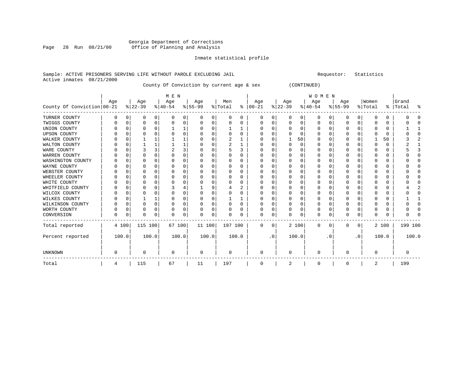### Georgia Department of Corrections Page 28 Run 08/21/00 Office of Planning and Analysis

#### Inmate statistical profile

#### Sample: ACTIVE PRISONERS SERVING LIFE WITHOUT PAROLE EXCLUDING JAIL Requestor: Statistics Active inmates 08/21/2000

County Of Conviction by current age & sex (CONTINUED)

|                            |     |          |                 |          | M E N            |   |                  |          |                |          |                 |           |                  |          | <b>WOMEN</b>     |          |                 |           |                  |       |                    |        |
|----------------------------|-----|----------|-----------------|----------|------------------|---|------------------|----------|----------------|----------|-----------------|-----------|------------------|----------|------------------|----------|-----------------|-----------|------------------|-------|--------------------|--------|
| County Of Conviction 00-21 | Age |          | Age<br>$ 22-39$ |          | Age<br>$ 40-54 $ |   | Age<br>$8 55-99$ |          | Men<br>% Total | ႜ        | Age<br>$ 00-21$ |           | Age<br>$ 22-39 $ |          | Age<br>$ 40-54 $ |          | Age<br>$ 55-99$ |           | Women<br>% Total |       | Grand<br>%   Total | ႜ      |
| TURNER COUNTY              | 0   | 0        | 0               | 0        | $\Omega$         | 0 | $\Omega$         | 0        | 0              | 0        | 0               | 0         | 0                | 0        | 0                | 0        | 0               | 0         | 0                | 0     |                    |        |
| TWIGGS COUNTY              |     | $\Omega$ | 0               | 0        | O                | 0 |                  | 0        | 0              | O        | 0               | 0         | 0                | 0        | 0                | 0        | 0               | 0         | 0                | 0     |                    |        |
| UNION COUNTY               |     | 0        | O               | $\Omega$ |                  |   |                  | $\Omega$ |                |          | 0               | 0         | $\Omega$         | 0        | 0                | $\Omega$ | 0               | 0         | n                | 0     |                    |        |
| <b>UPSON COUNTY</b>        |     | n        |                 |          |                  | 0 |                  | $\Omega$ | 0              | $\Omega$ | 0               | $\Omega$  | $\Omega$         | $\Omega$ | 0                | $\Omega$ | 0               | U         | 0                | 0     |                    | $\cap$ |
| WALKER COUNTY              |     | $\Omega$ |                 |          |                  |   |                  | $\Omega$ | 2              |          | <sup>0</sup>    | 0         |                  | 50       | O                | $\Omega$ | O               | 0         |                  | 50    |                    |        |
| WALTON COUNTY              |     | $\Omega$ |                 |          |                  |   |                  | $\Omega$ | $\overline{2}$ |          | <sup>0</sup>    | 0         | <sup>0</sup>     | $\Omega$ | $\Omega$         | $\Omega$ | O               | O         | $\Omega$         | 0     |                    |        |
| WARE COUNTY                |     | $\Omega$ |                 | ς        | $\overline{2}$   | 3 |                  | $\Omega$ | 5              | 3        | <sup>0</sup>    | 0         | $\Omega$         | $\Omega$ | $\Omega$         | $\Omega$ | O               | 0         | $\Omega$         | 0     |                    | 3      |
| WARREN COUNTY              |     | U        | O               |          |                  | 0 |                  | $\Omega$ | 0              | 0        | 0               | 0         | 0                | O        | 0                | n        | O               | U         | n                | 0     |                    |        |
| WASHINGTON COUNTY          |     | O        |                 |          |                  | 0 |                  | $\Omega$ | 0              | 0        | 0               | $\Omega$  | $\Omega$         | $\Omega$ | 0                | $\Omega$ | $\Omega$        | U         | C                | 0     |                    |        |
| WAYNE COUNTY               |     | 0        |                 | U        |                  | 0 |                  | $\Omega$ | 0              | 0        | 0               | $\Omega$  | $\Omega$         | $\Omega$ | 0                | $\Omega$ | 0               | O         | 0                | 0     |                    | n      |
| WEBSTER COUNTY             |     | n        | O               |          |                  | 0 |                  | $\Omega$ | 0              | 0        | 0               | U         | $\Omega$         | $\Omega$ | 0                | $\Omega$ | O               | U         | n                | 0     |                    |        |
| WHEELER COUNTY             |     | $\Omega$ |                 |          |                  | 0 |                  | $\Omega$ |                | O        | <sup>0</sup>    | O         | O                | $\Omega$ | O                | $\Omega$ | O               | O         | $\cap$           | 0     |                    |        |
| WHITE COUNTY               |     | U        |                 |          |                  | 0 |                  | $\Omega$ | O              | 0        | <sup>0</sup>    | U         | <sup>0</sup>     | $\Omega$ | O                | $\Omega$ | O               | U         | $\Omega$         | 0     |                    |        |
| WHITFIELD COUNTY           |     | O        |                 |          |                  | 4 |                  | 9        |                | 2        | O               | O         | O                | O        | 0                | n        | O               | U         | $\Omega$         | 0     |                    |        |
| WILCOX COUNTY              |     | n        | $\Omega$        |          |                  | 0 |                  | 0        | 0              | 0        | <sup>0</sup>    | 0         | $\Omega$         | $\Omega$ | $\Omega$         | $\Omega$ | O               | O         | $\Omega$         | 0     |                    |        |
| WILKES COUNTY              |     | 0        |                 |          |                  | 0 |                  | $\Omega$ |                |          | 0               | $\Omega$  | 0                | 0        | 0                | $\Omega$ | 0               | $\Omega$  | $\Omega$         | 0     |                    |        |
| WILKINSON COUNTY           |     | $\Omega$ | $\Omega$        | $\Omega$ | O                | 0 |                  | $\Omega$ | 0              | $\Omega$ | 0               | $\Omega$  | $\Omega$         | $\Omega$ | 0                | $\Omega$ | $\Omega$        | $\Omega$  | $\Omega$         | 0     |                    |        |
| WORTH COUNTY               |     | 0        | $\Omega$        | $\Omega$ |                  | 0 |                  | 0        | 0              | 0        | 0               | 0         | $\Omega$         | 0        | 0                | 0        | $\mathbf 0$     | $\Omega$  | $\Omega$         | 0     |                    |        |
| CONVERSION                 | O   | $\Omega$ | $\Omega$        | 0        |                  | 0 | ∩                | 0        | N              | O        | $\Omega$        | 0         | O                | $\Omega$ | $\Omega$         | $\Omega$ | $\Omega$        | 0         | $\mathbf 0$      | 0     |                    |        |
| Total reported             |     | 4 100    | 115 100         |          | 67 100           |   | 11 100           |          | 197 100        |          | $\mathbf{0}$    | 0         |                  | 2 100    | $\mathbf{0}$     | 0        | 0               | 0         |                  | 2 100 | 199 100            |        |
| Percent reported           |     | 100.0    |                 | 100.0    | 100.0            |   | 100.0            |          | 100.0          |          |                 | $\cdot$ 0 |                  | 100.0    |                  | . 0      |                 | $\cdot$ 0 |                  | 100.0 |                    | 100.0  |
| <b>UNKNOWN</b>             | 0   |          | $\Omega$        |          | 0                |   | 0                |          | 0              |          | 0               |           | 0                |          | 0                |          | O               |           | $\mathbf 0$      |       |                    |        |
| Total                      | 4   |          | 115             |          | 67               |   | 11               |          | 197            |          | 0               |           | 2                |          | 0                |          | $\mathbf 0$     |           | 2                |       | 199                |        |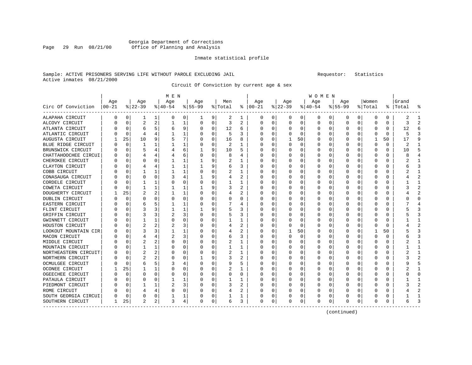### Georgia Department of Corrections<br>Page 29 Run 08/21/00 office of Planning and Analysis Page 29 Run 08/21/00 Office of Planning and Analysis

#### Inmate statistical profile

#### Sample: ACTIVE PRISONERS SERVING LIFE WITHOUT PAROLE EXCLUDING JAIL Requestor: Statistics Active inmates 08/21/2000

Circuit Of Conviction by current age & sex

|                      |           |          |                |          | M E N    |   |           |          |         |                |               |   |          |          | W O M E N |          |           |          |          |    |           |                         |
|----------------------|-----------|----------|----------------|----------|----------|---|-----------|----------|---------|----------------|---------------|---|----------|----------|-----------|----------|-----------|----------|----------|----|-----------|-------------------------|
|                      | Age       |          | Age            |          | Age      |   | Age       |          | Men     |                | Age           |   | Age      |          | Age       |          | Age       |          | Women    |    | Grand     |                         |
| Circ Of Conviction   | $ 00-21 $ |          | $8 22-39$      |          | $ 40-54$ |   | $8 55-99$ |          | % Total |                | $8   00 - 21$ |   | $ 22-39$ |          | $ 40-54$  |          | $8 55-99$ |          | % Total  |    | %   Total | 우                       |
| ALAPAHA CIRCUIT      | 0         | 0        | 1              | 1        | 0        | 0 | 1         | 9        | 2       | 1              | 0             | 0 | 0        | 0        | 0         | 0        | 0         | 0        | 0        | 0  | 2         |                         |
| ALCOVY CIRCUIT       | 0         | $\Omega$ | 2              | 2        |          | 1 | 0         | $\Omega$ | 3       | 2              | 0             | 0 | $\Omega$ | $\Omega$ | 0         | 0        | $\Omega$  | $\Omega$ | U        | 0  | 3         | $\overline{\mathbf{c}}$ |
| ATLANTA CIRCUIT      |           | $\Omega$ | 6              | 5        | 6        | 9 |           | $\Omega$ | 12      | 6              | 0             | 0 | $\Omega$ | $\Omega$ | O         | O        | n         | $\Omega$ | U        | 0  | 12        |                         |
| ATLANTIC CIRCUIT     |           | $\Omega$ | 4              |          |          | 1 |           | $\Omega$ | 5       | ς              | O             | 0 |          | 0        | $\Omega$  | O        |           | 0        | O        | 0  | 5         |                         |
| AUGUSTA CIRCUIT      |           | 25       | 10             | 9        | 5        | 7 |           | 0        | 16      | 8              | 0             | 0 |          | 50       | $\Omega$  | 0        |           | U        |          | 50 | 17        |                         |
| BLUE RIDGE CIRCUIT   |           | $\Omega$ | 1              |          |          | 1 |           | 0        | 2       | 1              | ſ             | 0 |          | 0        | 0         | 0        |           | U        | $\Omega$ | 0  | 2         |                         |
| BRUNSWICK CIRCUIT    | Λ         | $\Omega$ | 5              |          |          | 6 |           | 9        | 10      | 5              | <sup>0</sup>  | 0 | ∩        | $\Omega$ | O         | O        | $\Omega$  | U        | O        | 0  | 10        | 5                       |
| CHATTAHOOCHEE CIRCUI | Ω         | $\Omega$ |                |          |          | 6 |           | 0        | 8       | 4              | O             | 0 |          | 0        | 0         | 0        | n         | O        | 0        | 0  | 8         |                         |
| CHEROKEE CIRCUIT     | Ω         | 0        | $\Omega$       | $\Omega$ |          | 1 |           | 9        | 2       | 1              | 0             | 0 | O        | $\Omega$ | 0         | 0        | n         | U        | 0        | 0  |           |                         |
| CLAYTON CIRCUIT      | Ω         | 0        |                |          |          | 1 |           | 9        | 6       | 3              | 0             | 0 |          | $\Omega$ | 0         | C        |           |          | C        | 0  |           |                         |
| COBB CIRCUIT         |           | O        |                |          |          | 1 |           | $\Omega$ |         | 1              | 0             | 0 |          | $\Omega$ | 0         | C        |           |          | C        | 0  |           |                         |
| CONASAUGA CIRCUIT    |           | O        | $\Omega$       | $\Omega$ |          | 4 |           | 9        | 4       | 2              | 0             | 0 | O        | $\Omega$ | 0         | O        | ∩         | U        | Ω        | 0  |           |                         |
| CORDELE CIRCUIT      |           | $\Omega$ |                |          | O        | 0 |           | $\Omega$ |         | 1              | Ω             | 0 |          | $\Omega$ | $\left($  | O        |           | 0        | O        | O  |           |                         |
| COWETA CIRCUIT       |           | $\Omega$ |                |          |          | 1 |           | 9        | 3       | 2              | Ω             | 0 |          | $\Omega$ | O         | O        |           | O        | Ω        | O  |           |                         |
| DOUGHERTY CIRCUIT    |           | 25       |                |          |          | 1 |           | $\Omega$ | 4       | 2              | Ω             | 0 |          | $\Omega$ | O         | O        |           | O        | Ω        | 0  |           |                         |
| DUBLIN CIRCUIT       |           | $\Omega$ | $\Omega$       | ∩        |          | 0 |           | $\Omega$ | U       | 0              | Ω             | 0 |          | $\Omega$ | O         | C        |           | U        | Ω        | 0  |           | ∩                       |
| EASTERN CIRCUIT      |           | $\Omega$ | 6              |          |          | 1 |           | 0        | 7       | 4              | O             | 0 |          | $\Omega$ | 0         | O        | ∩         | 0        | Ω        | 0  |           |                         |
| FLINT CIRCUIT        |           | 0        | 3              | ٦        |          | 1 |           | 9        | 5       | 3              | 0             | 0 |          | 0        | 0         | O        |           | U        | O        | 0  |           | p                       |
| GRIFFIN CIRCUIT      |           | 0        | 3              | 3        |          | 3 |           | $\Omega$ | 5       | 3              | Ω             | 0 |          | 0        | Ω         | C        |           |          |          | 0  |           |                         |
| GWINNETT CIRCUIT     |           | O        |                |          |          | 0 |           | $\Omega$ |         | 1              | 0             | 0 |          | 0        | Ω         | C        |           | U        | U        | 0  |           |                         |
| HOUSTON CIRCUIT      |           | O        | 2              | 2        |          | 3 |           | $\Omega$ | 4       | 2              | Ω             | 0 |          | $\Omega$ | Ω         | O        |           | U        | U        | 0  |           |                         |
| LOOKOUT MOUNTAIN CIR |           | O        | 3              | ٦        |          | 1 |           | $\Omega$ | 4       | 2              | Ω             | 0 |          | 50       | O         | O        |           | 0        |          | 50 |           |                         |
| MACON CIRCUIT        |           | O        |                |          | 2        | 3 |           | $\Omega$ | 6       | 3              | Ω             | 0 |          | 0        | $\left($  | O        |           | O        | O        | O  |           | p                       |
| MIDDLE CIRCUIT       |           | 0        |                | 2        |          | 0 |           | $\Omega$ | 2       | 1              | ſ             | 0 |          | $\Omega$ | 0         | C        |           | O        | 0        | 0  |           |                         |
| MOUNTAIN CIRCUIT     |           | $\Omega$ |                |          |          | 0 |           | $\Omega$ |         | 1              | Ω             | 0 |          | $\Omega$ | ი         | C        |           | U        |          | 0  |           | $\mathbf{1}$            |
| NORTHEASTERN CIRCUIT | 0         | $\Omega$ | $\overline{2}$ | 2        | C        | 0 |           | $\Omega$ | 2       | 1              | O             | 0 |          | O        | O         | C        | n         | U        | O        | 0  | 2         | ำ                       |
| NORTHERN CIRCUIT     | Ω         | $\Omega$ | 2              |          | C        | 0 |           | 9        | 3       | 2              | 0             | 0 |          | $\Omega$ | $\Omega$  | $\left($ |           | U        | O        | 0  |           |                         |
| OCMULGEE CIRCUIT     | Ω         | $\Omega$ | 6              |          | З        | 4 |           | 0        | 9       | 5              | 0             | 0 |          | 0        | 0         | C        |           |          | C        | 0  |           |                         |
| OCONEE CIRCUIT       |           | 25       |                |          |          | 0 |           | $\Omega$ | 2       | 1              | 0             | 0 |          | $\Omega$ | C         |          |           |          |          | 0  |           |                         |
| OGEECHEE CIRCUIT     |           | $\Omega$ | ∩              | $\Omega$ |          | 0 |           | $\Omega$ | U       | 0              | 0             | 0 |          | $\Omega$ | O         |          |           | U        |          | 0  |           | ∩                       |
| PATAULA CIRCUIT      |           | $\Omega$ | O              | $\Omega$ |          | 1 |           | $\Omega$ |         | 1              | Ω             | 0 | $\left($ | $\Omega$ | 0         | C        |           | 0        | Ω        | 0  |           |                         |
| PIEDMONT CIRCUIT     |           | 0        |                |          | 2        | 3 |           | $\Omega$ | 3       | 2              | Ω             | 0 |          | $\Omega$ | O         | O        |           | 0        |          | U  |           |                         |
| ROME CIRCUIT         |           | 0        |                |          |          | 0 |           | 0        | 4       | $\overline{2}$ | 0             | 0 |          | $\Omega$ | $\Omega$  | O        |           | U        |          | U  |           |                         |
| SOUTH GEORGIA CIRCUI | 0         | $\Omega$ | $\Omega$       | $\Omega$ |          | 1 |           | 0        |         | 1              | C             | 0 |          | 0        | 0         | 0        |           | 0        |          | 0  |           |                         |
| SOUTHERN CIRCUIT     | 1         | 25       | $\overline{2}$ | 2        | 3        | 4 | $\Omega$  | 0        | 6       | 3              | $\Omega$      | 0 | O        | 0        | 0         | 0        | $\Omega$  | 0        | U        | 0  | 6         | Р                       |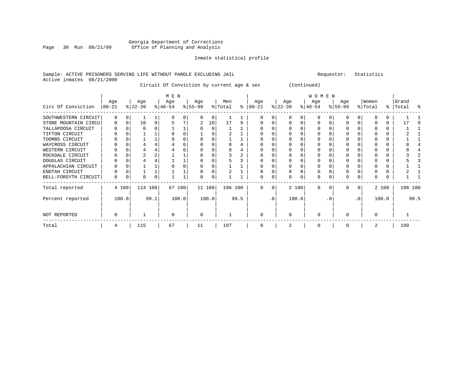### Georgia Department of Corrections Page 30 Run 08/21/00 Office of Planning and Analysis

#### Inmate statistical profile

#### Sample: ACTIVE PRISONERS SERVING LIFE WITHOUT PAROLE EXCLUDING JAIL Requestor: Statistics Active inmates 08/21/2000

Circuit Of Conviction by current age & sex (Continued)

|                      |          |          |           |          | M E N     |       |           |          |         |      |          |                 |           |       | W O M E N |          |           |           |          |       |           |      |
|----------------------|----------|----------|-----------|----------|-----------|-------|-----------|----------|---------|------|----------|-----------------|-----------|-------|-----------|----------|-----------|-----------|----------|-------|-----------|------|
|                      | Age      |          | Age       |          | Age       |       | Age       |          | Men     |      | Age      |                 | Age       |       | Age       |          | Age       |           | Women    |       | Grand     |      |
| Circ Of Conviction   | $ 00-21$ |          | $ 22-39 $ |          | $ 40-54 $ |       | $ 55-99 $ |          | % Total | ႜၟ   | $ 00-21$ |                 | $ 22-39 $ |       | $ 40-54 $ |          | $8 55-99$ |           | % Total  |       | %   Total | ႜ    |
| SOUTHWESTERN CIRCUIT | $\Omega$ |          |           |          |           | 0     |           | 0        |         |      |          |                 |           |       | U         |          |           |           |          | 0     |           |      |
| STONE MOUNTAIN CIRCU | $\Omega$ | $\Omega$ | 10        | q        |           |       | 2         | 18       | 17      | 9    |          |                 |           |       | $\Omega$  |          |           | U         |          | 0     |           |      |
| TALLAPOOSA CIRCUIT   | O        |          |           |          |           |       |           | O        |         |      |          |                 |           |       |           |          |           |           |          | 0     |           |      |
| TIFTON CIRCUIT       |          |          |           |          |           |       |           |          |         |      |          |                 |           |       |           |          |           |           |          | U     |           |      |
| TOOMBS CIRCUIT       |          |          |           |          |           |       |           |          |         |      |          |                 |           |       |           |          |           |           |          | 0     |           |      |
| WAYCROSS CIRCUIT     |          |          |           |          |           | 6     |           |          |         |      |          |                 |           |       |           |          |           |           |          | U     |           |      |
| WESTERN CIRCUIT      |          |          |           |          |           | 6     |           |          |         |      |          |                 |           |       |           |          |           |           |          | U     |           |      |
| ROCKDALE CIRCUIT     |          |          |           |          |           |       |           |          |         |      |          |                 |           |       |           |          |           |           |          |       |           |      |
| DOUGLAS CIRCUIT      |          |          |           |          |           |       |           |          |         |      |          |                 |           |       |           |          |           |           |          | 0     |           |      |
| APPALACHIAN CIRCUIT  |          |          |           |          |           |       |           |          |         |      |          |                 |           |       |           |          |           |           |          |       |           |      |
| ENOTAH CIRCUIT       | 0        |          |           |          |           |       |           |          |         |      |          |                 |           |       | 0         |          | 0         |           |          | 0     |           |      |
| BELL-FORSYTH CIRCUIT | 0        | 0        | U         | $\Omega$ |           |       |           | $\Omega$ |         |      |          |                 |           | 0     | 0         |          | 0         | 0         | $\Omega$ | 0     |           |      |
| Total reported       |          | 4 100    | 114 100   |          | 67 100    |       |           | 11 100   | 196 100 |      | $\Omega$ | 0               |           | 2 100 | $\Omega$  | $\Omega$ | 0         | 0         |          | 2 100 | 198 100   |      |
| Percent reported     |          | 100.0    |           | 99.1     |           | 100.0 |           | 100.0    |         | 99.5 |          | .0 <sup>′</sup> |           | 100.0 |           | . 0      |           | $\cdot$ 0 |          | 100.0 |           | 99.5 |
| NOT REPORTED         | O        |          |           |          |           |       |           |          |         |      | $\Omega$ |                 | $\Omega$  |       | $\Omega$  |          | O         |           | $\Omega$ |       |           |      |
| Total                | 4        |          | 115       |          | 67        |       | 11        |          | 197     |      | 0        |                 |           |       | 0         |          | 0         |           | 2        |       | 199       |      |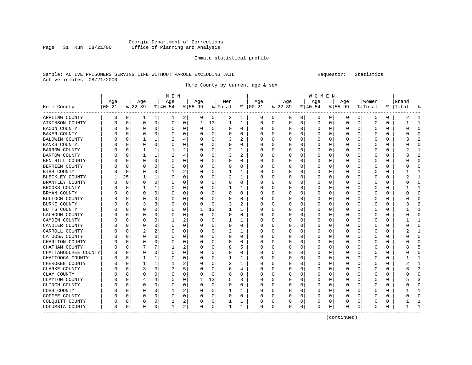### Georgia Department of Corrections Office of Planning and Analysis

#### Inmate statistical profile

### Sample: ACTIVE PRISONERS SERVING LIFE WITHOUT PAROLE EXCLUDING JAIL Requestor: Statistics Active inmates 08/21/2000

Home County by current age & sex

|                      |                  |          |             |             | M E N    |             |           |             |          |              |          |          |             |             | W O M E N |   |           |              |          |          |       |              |
|----------------------|------------------|----------|-------------|-------------|----------|-------------|-----------|-------------|----------|--------------|----------|----------|-------------|-------------|-----------|---|-----------|--------------|----------|----------|-------|--------------|
|                      | Age              |          | Age         |             | Age      |             | Age       |             | Men      |              | Age      |          | Age         |             | Age       |   | Age       |              | Women    |          | Grand |              |
| Home County          | $00 - 21$        |          | $ 22-39$    |             | $ 40-54$ |             | $8 55-99$ |             | % Total  | ႜႂ           | $ 00-21$ |          | $8$   22-39 |             | $ 40-54$  |   | $8 55-99$ |              | % Total  | ႜ        | Total |              |
| APPLING COUNTY       | 0                | 0        | ı           | 1           | 1        | 2           | 0         | 0           | 2        | 1            | 0        | 0        | 0           | 0           | 0         | 0 | 0         | $\circ$      | 0        | 0        | 2     |              |
| ATKINSON COUNTY      | 0                | 0        | $\mathbf 0$ | $\mathbf 0$ | 0        | 0           | 1         | 13          | 1        | $\mathbf{1}$ | 0        | 0        | $\Omega$    | $\mathbf 0$ | 0         | 0 | $\Omega$  | $\mathbf 0$  | $\Omega$ | 0        |       | $\mathbf{1}$ |
| BACON COUNTY         |                  | $\Omega$ | 0           | 0           | 0        | 0           | 0         | 0           | 0        | 0            | C        | 0        |             | 0           | 0         | 0 |           | 0            | 0        | 0        | Ω     | $\Omega$     |
| <b>BAKER COUNTY</b>  |                  | $\Omega$ | 0           | 0           | 0        | 0           | 0         | 0           | 0        | 0            | Ω        | 0        |             | O           | U         | 0 | O         | 0            | $\Omega$ | 0        | ი     | $\Omega$     |
| BALDWIN COUNTY       |                  | 0        | 1           | 1           | 2        | 4           | 0         | 0           | 3        | 2            | C        | 0        |             | O           | 0         | 0 | O         | U            | 0        | 0        | 3     |              |
| <b>BANKS COUNTY</b>  |                  | U        | $\Omega$    | $\Omega$    | $\Omega$ | 0           | O         | 0           | $\Omega$ | O            | C        | $\Omega$ |             | O           | U         | O | O         | O            | ſ        | O        | U     | <sup>0</sup> |
| BARROW COUNTY        | U                | U        | -1          | 1           | 1        | 2           | O         | 0           | 2        | 1            | O        | 0        | O           | O           | U         | O | O         | 0            | Ω        | 0        | 2     |              |
| BARTOW COUNTY        |                  | U        | 1           | 1           | 2        | 4           | 0         | 0           | 3        | 2            | $\Omega$ | $\Omega$ |             | 0           | U         | U |           | $\Omega$     | $\Omega$ | 0        | 3     |              |
| BEN HILL COUNTY      |                  | 0        | 0           | 0           | $\Omega$ | $\mathbf 0$ | 0         | $\mathbf 0$ | $\Omega$ | $\Omega$     | C        | 0        |             | $\Omega$    | 0         | 0 |           | $\Omega$     | 0        | 0        |       | $\Omega$     |
| BERRIEN COUNTY       | U                | $\Omega$ | 0           | 0           | $\Omega$ | 0           | O         | $\mathbf 0$ | O        | $\Omega$     | Ω        | 0        |             | O           | U         | O | O         | 0            | $\Omega$ | 0        | ი     | $\Omega$     |
| BIBB COUNTY          |                  | $\Omega$ | 0           | 0           |          | 2           | 0         | 0           | 1        | 1            | O        | 0        |             | O           | U         | O | O         | 0            | $\Omega$ | 0        |       | -1           |
| BLECKLEY COUNTY      |                  | 25       | 1           | 1           | O        | 0           | 0         | 0           |          | 1            | C        | 0        |             | O           | U         | 0 |           | U            | 0        | 0        |       |              |
| BRANTLEY COUNTY      | U                | $\Omega$ | 0           | 0           | 0        | 0           | 0         | $\mathbf 0$ | $\Omega$ | 0            | 0        | 0        | O           | O           | U         | 0 | O         | $\Omega$     | $\Omega$ | 0        | U     | $\cap$       |
| BROOKS COUNTY        |                  | $\Omega$ | 1           | 1           | 0        | 0           | 0         | 0           | 1        | 1            | O        | $\Omega$ |             | 0           |           | 0 |           | $\Omega$     | $\Omega$ | 0        |       |              |
| BRYAN COUNTY         |                  | 0        | 0           | 0           | 0        | 0           | O         | 0           | $\Omega$ | $\Omega$     | C        | 0        |             | O           | Ω         | 0 |           | $\Omega$     | 0        | 0        | Ω     | $\Omega$     |
| BULLOCH COUNTY       |                  | 0        | 0           | 0           | 0        | 0           | O         | 0           | 0        | 0            | O        | 0        |             | O           | U         | 0 | O         | 0            | 0        | 0        | C     | <sup>0</sup> |
| <b>BURKE COUNTY</b>  | U                | 0        | 3           | 3           | 0        | 0           | 0         | $\mathbf 0$ | 3        | 2            | O        | 0        |             | O           | 0         | O | O         | 0            | 0        | 0        | 3     |              |
| BUTTS COUNTY         |                  | 0        | 0           | $\Omega$    | 0        | 0           |           | 13          | 1        | 1            | O        | 0        |             |             | 0         | 0 |           | U            | C        | 0        |       |              |
| CALHOUN COUNTY       |                  | O        | 0           | $\Omega$    | O        | 0           | $\Omega$  | $\mathbf 0$ | $\Omega$ | $\Omega$     | O        | 0        |             | O           | U         | O | O         | <sup>0</sup> | Ω        | 0        | ი     | $\Omega$     |
| CAMDEN COUNTY        |                  | U        | 0           | $\Omega$    | 1        | 2           | O         | 0           | 1        | 1            | O        | 0        |             | O           | U         | O |           | 0            | U        | 0        |       |              |
| CANDLER COUNTY       |                  | 0        | 0           | 0           | $\Omega$ | $\mathbf 0$ | 0         | $\mathbf 0$ | 0        | 0            |          | 0        |             | 0           | 0         | 0 |           | 0            | 0        | 0        |       | $\Omega$     |
| CARROLL COUNTY       |                  | 0        | 2           | 2           | 0        | 0           | 0         | $\mathbf 0$ | 2        | 1            |          | 0        |             | 0           | 0         | 0 | 0         | 0            | 0        | 0        |       | $\mathbf{1}$ |
| CATOOSA COUNTY       | U                | $\Omega$ | 0           | 0           | O        | 0           | O         | 0           | 0        | $\Omega$     | O        | 0        |             | O           | U         | O | O         | 0            | O        | 0        | Ω     | $\Omega$     |
| CHARLTON COUNTY      |                  | 0        | $\Omega$    | $\Omega$    | 0        | 0           | 0         | 0           | 0        | 0            | 0        | 0        |             | 0           | U         | 0 |           | U            | 0        | 0        |       | <sup>0</sup> |
| CHATHAM COUNTY       |                  | U        |             | 7           |          | 2           | O         | $\mathbf 0$ | 8        | 5            | C        | $\Omega$ |             | O           | U         | U |           | $\Omega$     | 0        | 0        |       | 5            |
| CHATTAHOOCHEE COUNTY | $\left( \right)$ | 0        | 0           | $\Omega$    | $\Omega$ | 0           | 0         | 0           | $\Omega$ | $\Omega$     | $\Omega$ | $\Omega$ |             | 0           | U         | O |           | $\Omega$     | $\Omega$ | $\Omega$ | ი     | 0            |
| CHATTOOGA COUNTY     |                  | 0        | -1          | 1           | 0        | 0           | 0         | $\mathbf 0$ | 1        | 1            | C        | 0        |             | 0           |           | 0 |           | $\Omega$     | 0        | 0        |       |              |
| CHEROKEE COUNTY      |                  | 0        | 1           | 1           | 1        | 2           | O         | 0           | 2        | 1            | C        | 0        |             | 0           | U         | 0 |           | 0            | 0        | 0        |       | $\mathbf{1}$ |
| CLARKE COUNTY        |                  | $\Omega$ | 3           | 3           | 3        | 5           | 0         | $\mathbf 0$ | 6        | 4            | 0        | 0        |             | 0           | 0         | 0 | 0         | 0            | 0        | 0        | 6     | 3            |
| CLAY COUNTY          |                  | 0        | $\Omega$    | $\Omega$    | 0        | 0           | 0         | 0           | 0        | 0            | 0        | 0        |             | 0           | 0         | 0 | 0         | 0            | 0        | 0        |       | <sup>0</sup> |
| CLAYTON COUNTY       | U                | O        | 4           | 4           | O        | 0           | 1         | 13          | 5        | 3            | $\Box$   | 0        |             | O           | U         | U |           | <sup>0</sup> | ſ        | $\Omega$ |       |              |
| CLINCH COUNTY        | U                | U        | 0           | $\Omega$    | O        | 0           | 0         | 0           | 0        | $\Omega$     | 0        | 0        | n           | O           | U         | O |           | <sup>0</sup> | O        | 0        | U     | ∩            |
| COBB COUNTY          |                  | 0        | 0           | 0           |          | 2           | 0         | 0           | 1        | 1            |          | 0        |             | 0           |           | 0 |           | 0            | 0        | 0        |       |              |
| COFFEE COUNTY        |                  | 0        | 0           | 0           | 0        | $\mathbf 0$ | 0         | $\mathbf 0$ | $\Omega$ | $\Omega$     |          | 0        |             | $\Omega$    | 0         | 0 | 0         | $\Omega$     | 0        | 0        |       | $\Omega$     |
| COLQUITT COUNTY      | 0                | 0        | 0           | 0           | 1        | 2           | 0         | 0           |          | 1            | 0        | 0        |             | 0           | 0         | 0 | O         | 0            | Ω        | 0        |       | -1           |
| COLUMBIA COUNTY      | 0                | 0        | 0           | 0           | 1        | 2           | 0         | 0           | 1        | 1            | 0        | 0        |             | 0           | 0         | 0 | 0         | 0            | 0        | 0        |       |              |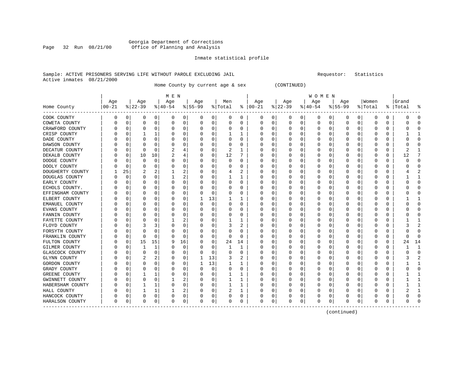### Georgia Department of Corrections Page 32 Run 08/21/00 Office of Planning and Analysis

#### Inmate statistical profile

#### Sample: ACTIVE PRISONERS SERVING LIFE WITHOUT PAROLE EXCLUDING JAIL Requestor: Statistics Active inmates 08/21/2000

Home County by current age & sex (CONTINUED)

|                  |           |             |          |              | M E N     |    |           |             |          |              |               |          |              |          | W O M E N |             |             |          |             |          |           |                |
|------------------|-----------|-------------|----------|--------------|-----------|----|-----------|-------------|----------|--------------|---------------|----------|--------------|----------|-----------|-------------|-------------|----------|-------------|----------|-----------|----------------|
|                  | Age       |             | Age      |              | Age       |    | Age       |             | Men      |              | Age           |          | Age          |          | Age       |             | Age         |          | Women       |          | Grand     |                |
| Home County      | $00 - 21$ |             | $ 22-39$ |              | $8 40-54$ |    | $8 55-99$ |             | % Total  |              | $8   00 - 21$ |          | $ 22-39$     |          | $ 40-54 $ |             | $ 55-99$    |          | % Total     |          | %   Total | န္             |
| COOK COUNTY      | 0         | 0           | 0        | 0            | 0         | 0  | 0         | 0           | 0        | 0            | 0             | 0        | 0            | 0        | 0         | 0           | 0           | 0        | 0           | 0        |           | $\Omega$       |
| COWETA COUNTY    | 0         | $\mathbf 0$ | $\Omega$ | $\Omega$     | 0         | 0  | $\Omega$  | 0           | 0        | $\Omega$     | $\mathbf 0$   | 0        | 0            | 0        | 0         | 0           | $\mathbf 0$ | 0        | $\mathbf 0$ | $\Omega$ |           | $\Omega$       |
| CRAWFORD COUNTY  | N         | $\Omega$    | $\Omega$ | $\Omega$     | C         | 0  |           | 0           | 0        | 0            | 0             | 0        | 0            | $\Omega$ | 0         | $\mathbf 0$ | 0           | $\Omega$ | $\Omega$    | $\Omega$ |           | $\Omega$       |
| CRISP COUNTY     |           | 0           |          |              | C         | 0  |           | 0           |          | 1            | 0             | 0        | 0            | 0        | 0         | 0           | 0           | 0        | $\Omega$    | 0        |           | 1              |
| DADE COUNTY      |           | n           | O        | $\Omega$     | C         | 0  |           | $\Omega$    | 0        | 0            | 0             | 0        | 0            | 0        | 0         | 0           | 0           | O        | 0           | 0        |           | $\Omega$       |
| DAWSON COUNTY    |           | $\Omega$    | $\Omega$ | $\Omega$     | C         | 0  |           | $\Omega$    | O        | O            | 0             | $\Omega$ | <sup>0</sup> | 0        | O         | 0           | O           | O        | $\Omega$    | O        |           | $\Omega$       |
| DECATUR COUNTY   |           | 0           | $\Omega$ | $\Omega$     | 2         | 4  |           | 0           | 2        | 1            | 0             | 0        | 0            | 0        | 0         | 0           | 0           | $\Omega$ | $\Omega$    | 0        |           |                |
| DEKALB COUNTY    | C         | 0           | 10       | 10           | 2         | 4  | $\left($  | 0           | 12       | 7            | 0             | $\Omega$ | 0            | $\Omega$ | 0         | 0           | 0           | $\Omega$ | 0           | 0        | 12        | 7              |
| DODGE COUNTY     |           | 0           | $\Omega$ | 0            | 0         | 0  |           | 0           | 0        | 0            | 0             | 0        | 0            | 0        | 0         | 0           | 0           | 0        | 0           | 0        |           | $\Omega$       |
| DOOLY COUNTY     |           | $\Omega$    | $\Omega$ | $\Omega$     | C         | 0  |           | 0           | 0        | O            | O             | 0        | 0            | $\Omega$ | Ω         | 0           | 0           | O        | $\Omega$    | 0        |           | $\Omega$       |
| DOUGHERTY COUNTY |           | 25          | 2        | 2            |           | 2  |           | 0           | 4        | 2            | 0             | 0        | 0            | 0        | 0         | 0           | 0           | 0        | $\Omega$    | 0        |           | $\overline{2}$ |
| DOUGLAS COUNTY   | C         | $\Omega$    | $\Omega$ | $\Omega$     |           | 2  |           | 0           |          |              | 0             | 0        | 0            | $\Omega$ | 0         | 0           | $\Omega$    | 0        | $\Omega$    | 0        |           | $\mathbf{1}$   |
| EARLY COUNTY     |           | 0           |          | $\Omega$     | C         | 0  |           | $\Omega$    | 0        | 0            | O             | 0        | 0            | 0        | 0         | 0           | 0           | 0        | O           | 0        |           | $\Omega$       |
| ECHOLS COUNTY.   |           | n           | O        | $\Omega$     | C         | 0  |           | $\Omega$    | 0        | 0            | 0             | $\Omega$ | <sup>0</sup> | 0        | 0         | 0           | O           | O        | $\Omega$    | 0        |           | $\Omega$       |
| EFFINGHAM COUNTY |           | n           | O        | $\Omega$     | 0         | 0  | ∩         | 0           | 0        | 0            | 0             | $\Omega$ | O            | $\Omega$ | 0         | 0           | O           | $\Omega$ | $\Omega$    | 0        |           | $\Omega$       |
| ELBERT COUNTY    |           | n           | O        | $\Omega$     | 0         | 0  | ı.        | 13          |          | 1            | 0             | $\Omega$ | <sup>0</sup> | 0        | 0         | $\mathbf 0$ | 0           | $\Omega$ | $\Omega$    | 0        |           | -1             |
| EMANUEL COUNTY   |           | 0           | $\Omega$ | $\Omega$     | C         | 0  |           | $\mathbf 0$ | $\Omega$ | $\Omega$     | O             | 0        | 0            | $\Omega$ | 0         | $\mathbf 0$ | $\Omega$    | $\Omega$ | $\Omega$    | 0        |           | $\Omega$       |
| EVANS COUNTY     |           | 0           | $\Omega$ | 0            | C         | 0  |           | 0           | 0        | 0            | 0             | 0        | 0            | 0        | 0         | 0           | 0           | 0        | $\Omega$    | 0        |           | $\Omega$       |
| FANNIN COUNTY    |           | 0           | 0        | 0            | 0         | 0  |           | 0           | 0        | 0            | 0             | 0        | 0            | 0        | 0         | 0           | 0           | 0        | 0           | 0        |           | ∩              |
| FAYETTE COUNTY   | 0         | 0           | $\Omega$ | $\Omega$     |           | 2  |           | 0           |          |              | 0             | 0        | 0            | 0        | 0         | 0           | 0           | O        | 0           | 0        |           | -1             |
| FLOYD COUNTY     |           | 0           | 3        | 3            | C         | 0  |           | $\Omega$    | 3        | 2            | O             | $\Omega$ | 0            | 0        | 0         | 0           | 0           | $\Omega$ | $\Omega$    | $\Omega$ |           | 2              |
| FORSYTH COUNTY   |           | 0           | $\Omega$ | $\Omega$     | C         | 0  |           | $\Omega$    | 0        | 0            | 0             | $\Omega$ | 0            | $\Omega$ | 0         | $\Omega$    | 0           | $\Omega$ | $\Omega$    | $\Omega$ |           | $\Omega$       |
| FRANKLIN COUNTY  |           | 0           | $\Omega$ | $\Omega$     | C         | 0  |           | 0           | 0        | 0            | 0             | 0        | 0            | 0        | 0         | 0           | 0           | $\Omega$ | 0           | 0        |           | ∩              |
| FULTON COUNTY    |           | 0           | 15       | 15           | 9         | 16 |           | 0           | 24       | 14           | 0             | 0        | 0            | 0        | 0         | 0           | 0           | 0        | 0           | 0        | 24        | 14             |
| GILMER COUNTY    |           | 0           |          | $\mathbf{1}$ | C         | 0  |           | 0           |          | $\mathbf{1}$ | O             | 0        | 0            | $\Omega$ | 0         | 0           | $\Omega$    | $\Omega$ | $\Omega$    | 0        |           | $\mathbf{1}$   |
| GLASCOCK COUNTY  |           | 0           | $\Omega$ | $\Omega$     | 0         | 0  | O         | 0           | 0        | $\Omega$     | 0             | $\Omega$ | 0            | 0        | 0         | 0           | 0           | $\Omega$ | $\Omega$    | 0        |           | $\Omega$       |
| GLYNN COUNTY     |           | 0           | 2        | 2            | 0         | 0  |           | 13          | 3        | 2            | 0             | 0        | 0            | 0        | 0         | 0           | 0           | 0        | 0           | 0        |           | 2              |
| GORDON COUNTY    | C         | 0           | $\Omega$ | 0            | C         | 0  | 1         | 13          |          |              | 0             | 0        | 0            | 0        | 0         | 0           | 0           | 0        | $\Omega$    | 0        |           | 1              |
| GRADY COUNTY     |           | n           | $\Omega$ | $\Omega$     | C         | 0  |           | $\mathbf 0$ | 0        | 0            | 0             | 0        | 0            | 0        | 0         | 0           | 0           | O        | $\Omega$    | U        |           | $\Omega$       |
| GREENE COUNTY    |           | n           |          |              | C         | 0  |           | $\Omega$    | 1        | $\mathbf{1}$ | 0             | $\Omega$ | <sup>0</sup> | 0        | O         | 0           | O           | 0        | $\Omega$    | 0        |           | -1             |
| GWINNETT COUNTY  | C         | 0           | $\Omega$ | $\Omega$     |           | 2  |           | 0           | 1        | 1            | 0             | $\Omega$ | 0            | $\Omega$ | 0         | $\mathbf 0$ | $\Omega$    | $\Omega$ | $\Omega$    | 0        |           | $\mathbf{1}$   |
| HABERSHAM COUNTY |           | 0           |          |              | 0         | 0  |           | 0           |          | 1            | 0             | 0        | 0            | 0        | 0         | 0           | 0           | 0        | 0           | 0        |           | $\mathbf{1}$   |
| HALL COUNTY      |           | 0           |          |              |           | 2  |           | 0           | 2        | 1            | O             | 0        | 0            | 0        | 0         | 0           | 0           | 0        | O           | 0        |           | $\mathbf{1}$   |
| HANCOCK COUNTY   | N         | 0           | $\Omega$ | 0            | C         | 0  |           | 0           | 0        | 0            | 0             | 0        | 0            | 0        | 0         | 0           | 0           | 0        | $\Omega$    | 0        |           | $\Omega$       |
| HARALSON COUNTY  | 0         | 0           | 0        | 0            | $\Omega$  | 0  | $\Omega$  | 0           | 0        | 0            | 0             | 0        | 0            | 0        | $\Omega$  | 0           | $\Omega$    | 0        | $\Omega$    | 0        |           | $\Omega$       |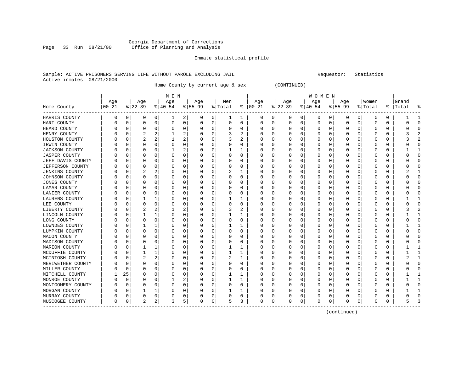### Georgia Department of Corrections Office of Planning and Analysis

#### Inmate statistical profile

#### Sample: ACTIVE PRISONERS SERVING LIFE WITHOUT PAROLE EXCLUDING JAIL Requestor: Statistics Active inmates 08/21/2000

Home County by current age & sex (CONTINUED)

|                       |                   |          |                 |          | M E N            |                |                  |             |                |             |                      |             |                  |   | W O M E N       |          |                  |          |                  |          |                    |                |
|-----------------------|-------------------|----------|-----------------|----------|------------------|----------------|------------------|-------------|----------------|-------------|----------------------|-------------|------------------|---|-----------------|----------|------------------|----------|------------------|----------|--------------------|----------------|
| Home County           | Age<br>$ 00 - 21$ |          | Age<br>$ 22-39$ |          | Age<br>$ 40-54 $ |                | Age<br>$8 55-99$ |             | Men<br>% Total |             | Age<br>$8   00 - 21$ |             | Age<br>$ 22-39 $ |   | Age<br>$ 40-54$ |          | Age<br>$8 55-99$ |          | Women<br>% Total |          | Grand<br>%   Total | ႜ              |
| HARRIS COUNTY         | 0                 | 0        | 0               | 0        | ı                | 2              | 0                | 0           | ı              | 1           | 0                    | 0           | 0                | 0 | 0               | 0        | 0                | 0        | 0                | 0        |                    | 1              |
| HART COUNTY           | Ω                 | 0        | 0               | 0        | 0                | 0              | 0                | 0           | 0              | $\mathbf 0$ | $\Omega$             | $\mathbf 0$ | 0                | 0 | 0               | 0        | 0                | 0        | $\Omega$         | $\Omega$ |                    | $\Omega$       |
| HEARD COUNTY          |                   | $\Omega$ | $\Omega$        | $\Omega$ | 0                | 0              |                  | 0           | 0              | $\Omega$    |                      | $\Omega$    | 0                | 0 |                 | 0        | 0                | 0        | $\Omega$         | $\Omega$ |                    | $\Omega$       |
| HENRY COUNTY          | Λ                 | $\Omega$ | $\overline{c}$  | 2        |                  | $\overline{a}$ |                  | 0           | 3              | 2           | U                    | 0           | 0                | 0 |                 | 0        | 0                | 0        | $\Omega$         | 0        |                    | $\overline{2}$ |
| HOUSTON COUNTY        | Ω                 | $\Omega$ | 2               | 2        |                  | 2              | 0                | 0           | 3              | 2           |                      | O           | 0                | 0 |                 | 0        | 0                | O        | O                | 0        |                    | $\overline{2}$ |
| IRWIN COUNTY          |                   | 0        | O               | 0        | 0                | 0              | $\left( \right)$ | 0           | 0              | 0           |                      | O           | 0                | 0 |                 | $\Omega$ | C                | O        | $\Omega$         | $\Omega$ |                    | $\Omega$       |
| <b>JACKSON COUNTY</b> | Ω                 | $\Omega$ | O               | 0        |                  | 2              | 0                | $\Omega$    |                |             |                      | 0           | O                | 0 |                 | $\Omega$ | 0                | 0        | $\Omega$         | $\Omega$ |                    | 1              |
| <b>JASPER COUNTY</b>  | 0                 | 0        | O               | 0        | $\Omega$         | 0              | 0                | 0           | 0              | 0           | O                    | 0           | 0                | 0 |                 | $\Omega$ | 0                | O        | $\Omega$         | 0        |                    | $\Omega$       |
| JEFF DAVIS COUNTY     |                   | $\Omega$ | 0               | 0        | 0                | 0              | 0                | 0           | 0              | 0           |                      | $\Omega$    | 0                | 0 |                 | 0        | 0                | O        | $\Omega$         | 0        |                    | $\mathbf 0$    |
| JEFFERSON COUNTY      |                   | 0        | O               | O        | 0                | 0              |                  | $\mathbf 0$ | 0              | 0           |                      | $\Omega$    | C                | 0 |                 | 0        | C                | 0        | $\Omega$         | $\Omega$ |                    | $\mathbf 0$    |
| <b>JENKINS COUNTY</b> |                   | $\Omega$ | 2               | 2        | 0                | 0              | O                | 0           | 2              | 1           |                      | 0           | C                | 0 |                 | $\Omega$ | 0                | 0        | $\Omega$         | $\Omega$ |                    | 1              |
| JOHNSON COUNTY        | Ω                 | $\Omega$ | 0               | 0        | 0                | 0              | U                | 0           | 0              | 0           | O                    | 0           | 0                | 0 |                 | 0        | 0                | 0        | 0                | 0        | n                  | 0              |
| <b>JONES COUNTY</b>   | Ω                 | 0        | O               | O        | 0                | 0              | O                | 0           | 0              | 0           |                      | U           | 0                | 0 |                 | 0        | 0                | 0        | O                | 0        |                    | $\Omega$       |
| LAMAR COUNTY          | Ω                 | $\Omega$ | 0               | O        | $\Omega$         | $\Omega$       |                  | $\Omega$    | 0              | 0           |                      | O           | 0                | 0 |                 | $\Omega$ | 0                | O        | $\Omega$         | $\Omega$ |                    | $\Omega$       |
| LANIER COUNTY         | Ω                 | O        | O               | 0        | 0                | 0              | O                | 0           | 0              | 0           | n                    | 0           | O                | 0 | O               | O        | 0                | 0        | O                | 0        |                    | $\Omega$       |
| LAURENS COUNTY        | Ω                 | O        |                 |          | 0                | 0              |                  | 0           |                | 1           |                      | 0           | 0                | 0 | O               | $\Omega$ | 0                | 0        | O                | 0        |                    | 1              |
| LEE COUNTY            |                   | 0        | 0               | 0        | 0                | 0              |                  | $\mathbf 0$ | 0              | 0           |                      | $\Omega$    | 0                | 0 |                 | 0        | 0                | 0        | $\Omega$         | 0        |                    | $\mathbf 0$    |
| LIBERTY COUNTY        |                   | $\Omega$ |                 | 2        |                  | 2              |                  | 0           | 3              | 2           |                      | $\Omega$    | C                | 0 |                 | $\Omega$ | 0                | $\Omega$ | $\Omega$         | $\Omega$ |                    | 2              |
| LINCOLN COUNTY        | Ω                 | 0        | 1               | 1        | 0                | 0              | U                | 0           | 1              | 1           | n                    | 0           | O                | 0 |                 | 0        | 0                | 0        | O                | 0        |                    | $\mathbf{1}$   |
| LONG COUNTY           | Ω                 | $\Omega$ | 0               | 0        | 0                | 0              | $\left( \right)$ | 0           | 0              | 0           |                      | O           | O                | 0 |                 | 0        | $\Omega$         | 0        | O                | 0        |                    | $\mathbf 0$    |
| LOWNDES COUNTY        | Ω                 | 0        |                 |          | 0                | 0              | 0                | 0           |                | 1           |                      | 0           | C                | 0 |                 | $\Omega$ | 0                | 0        | $\Omega$         | $\Omega$ |                    | 1              |
| LUMPKIN COUNTY        | Ω                 | $\Omega$ | 0               | $\Omega$ | $\Omega$         | $\Omega$       | O                | $\Omega$    | 0              | 0           | O                    | $\Omega$    | 0                | 0 |                 | $\Omega$ | 0                | 0        | $\Omega$         | $\Omega$ |                    | $\Omega$       |
| MACON COUNTY          |                   | O        | O               | 0        | 0                | 0              | O                | 0           | 0              | 0           | O                    | 0           | O                | 0 |                 | $\Omega$ | 0                | O        | O                | 0        |                    | $\Omega$       |
| MADISON COUNTY        |                   | 0        | 0               | 0        | 0                | 0              | $\left($         | 0           | 0              | 0           |                      | 0           | $\Omega$         | 0 |                 | $\Omega$ | 0                | O        | $\Omega$         | 0        | $\left($           | $\mathbf 0$    |
| MARION COUNTY         |                   | 0        |                 | 1        | 0                | 0              |                  | 0           |                | 1           |                      | $\Omega$    | C                | 0 |                 | $\Omega$ | C                | $\Omega$ | $\Omega$         | $\Omega$ |                    | 1              |
| MCDUFFIE COUNTY       |                   | $\Omega$ | 1               | 1        | 0                | 0              | O                | 0           | 1              | 1           |                      | 0           | C                | 0 |                 | $\Omega$ | 0                | 0        | $\Omega$         | 0        |                    | $\mathbf{1}$   |
| MCINTOSH COUNTY       | Ω                 | $\Omega$ | 2               | 2        | 0                | 0              | U                | 0           | 2              | 1           | O                    | 0           | 0                | 0 | $\left($        | 0        | $\Omega$         | 0        | 0                | 0        |                    | 1              |
| MERIWETHER COUNTY     | Ω                 | $\Omega$ | 0               | 0        | 0                | 0              | $\left( \right)$ | 0           | 0              | 0           |                      | 0           | $\Omega$         | 0 |                 | 0        | $\Omega$         | 0        | O                | 0        |                    | $\mathbf 0$    |
| MILLER COUNTY         |                   | $\Omega$ | 0               | 0        | 0                | 0              | O                | 0           | 0              | 0           |                      | 0           | C                | 0 |                 | $\Omega$ | C                | 0        | $\Omega$         | $\Omega$ |                    | $\Omega$       |
| MITCHELL COUNTY       |                   | 25       | O               | 0        | $\Omega$         | 0              | O                | 0           | 1              | 1           |                      | O           | O                | 0 |                 | $\Omega$ | 0                | O        | $\Omega$         | $\Omega$ |                    | 1              |
| MONROE COUNTY         | 0                 | $\Omega$ | O               | $\Omega$ |                  | 2              | $\left($         | 0           |                | 1           |                      | $\Omega$    | 0                | 0 | $\left($        | $\Omega$ | 0                | $\Omega$ | $\Omega$         | $\Omega$ |                    | 1              |
| MONTGOMERY COUNTY     |                   | $\Omega$ | 0               | 0        | 0                | 0              |                  | 0           | 0              | 0           |                      | $\Omega$    | 0                | 0 |                 | 0        | 0                | 0        | $\Omega$         | $\Omega$ |                    | $\Omega$       |
| MORGAN COUNTY         |                   | $\Omega$ |                 |          | 0                | 0              |                  | 0           |                | 1           |                      | $\Omega$    | C                | 0 |                 | $\Omega$ | C                | $\Omega$ | O                | $\Omega$ |                    | 1              |
| MURRAY COUNTY         | U                 | $\Omega$ | 0               | 0        | 0                | 0              | O                | 0           | 0              | 0           |                      | 0           |                  | 0 |                 | 0        | Ω                | 0        | $\Omega$         | 0        |                    | $\mathbf 0$    |
| MUSCOGEE COUNTY       | 0                 | 0        | $\overline{c}$  | 2        | 3                | 5              | O                | 0           | 5              | 3           | $\Omega$             | 0           | O                | 0 | <sup>0</sup>    | 0        | 0                | 0        | $\Omega$         | 0        |                    | 3              |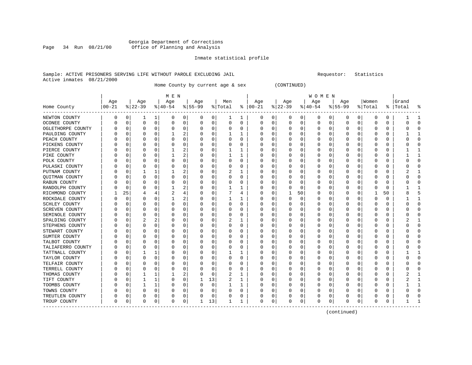### Georgia Department of Corrections Page 34 Run 08/21/00 Office of Planning and Analysis

#### Inmate statistical profile

#### Sample: ACTIVE PRISONERS SERVING LIFE WITHOUT PAROLE EXCLUDING JAIL Requestor: Statistics Active inmates 08/21/2000

Home County by current age & sex (CONTINUED)

|                       |          |             |           |          | M E N     |          |          |             |         |          |                         |              |          |    | W O M E N |          |           |                |              |          |           |              |
|-----------------------|----------|-------------|-----------|----------|-----------|----------|----------|-------------|---------|----------|-------------------------|--------------|----------|----|-----------|----------|-----------|----------------|--------------|----------|-----------|--------------|
|                       | Age      |             | Age       |          | Age       |          | Age      |             | Men     |          | Age                     |              | Age      |    | Age       |          | Aqe       |                | Women        |          | Grand     |              |
| Home County           | $ 00-21$ |             | $ 22-39 $ |          | $ 40-54 $ |          | $ 55-99$ |             | % Total |          | $\frac{1}{6}$   00 - 21 |              | $ 22-39$ |    | $ 40-54 $ |          | $8 55-99$ |                | % Total      |          | %   Total | ႜ            |
| NEWTON COUNTY         | 0        | 0           | 1         | 1        | 0         | 0        | 0        | 0           | 1       | 1        | 0                       | 0            | 0        | 0  | 0         | 0        | 0         | 0 <sup>1</sup> | 0            | 0        |           | 1            |
| OCONEE COUNTY         | 0        | 0           | 0         | 0        | 0         | 0        | O        | 0           | 0       | $\Omega$ | $\Omega$                | 0            | 0        | 0  | U         | 0        | 0         | 0              | $\Omega$     | 0        |           | $\Omega$     |
| OGLETHORPE COUNTY     |          | 0           | 0         | 0        | 0         | 0        | 0        | 0           | 0       | 0        |                         | 0            | 0        | 0  |           | 0        | 0         | 0              | $\Omega$     | 0        |           | $\Omega$     |
| PAULDING COUNTY       |          | 0           | O         | O        |           | 2        |          | 0           |         |          |                         |              |          | 0  |           | 0        | 0         | U              | <sup>0</sup> | U        |           | 1            |
| PEACH COUNTY          |          | 0           | O         | U        | 0         | 0        |          | $\Omega$    | U       | 0        |                         | O            | O        | 0  |           | $\Omega$ |           | U              | ∩            | O        |           | $\Omega$     |
| PICKENS COUNTY        |          | $\Omega$    | O         | U        | 0         | $\Omega$ |          | 0           | 0       | 0        |                         | 0            | 0        | 0  |           | $\Omega$ | Ω         | 0              | n            | O        |           | $\Omega$     |
| PIERCE COUNTY         |          | 0           | 0         | O        | 1         | 2        |          | $\mathbf 0$ |         | 1        |                         | $\Omega$     |          | 0  |           | 0        |           | 0              | $\Omega$     | U        |           |              |
| PIKE COUNTY           |          | 0           | 0         | O        | 1         | 2        |          | 0           |         | 1        |                         | $\Omega$     |          | 0  |           | 0        |           | 0              | 0            | 0        |           | 1            |
| POLK COUNTY           |          | 0           | O         | O        | $\Omega$  | $\Omega$ | O        | 0           | U       | $\Omega$ |                         | $\Omega$     |          | U  |           | $\Omega$ | Ω         | U              | <sup>0</sup> | 0        |           | $\Omega$     |
| PULASKI COUNTY        | O        | 0           | O         | O        | 0         | $\Omega$ | O        | 0           | 0       | 0        | U                       | 0            | O        | 0  |           | 0        | U         | U              | O            | O        |           | $\Omega$     |
| PUTNAM COUNTY         |          | 0           |           |          |           | 2        | O        | 0           | 2       | ı        |                         | O            | 0        | 0  |           | 0        | 0         | U              | 0            |          |           |              |
| <b>OUITMAN COUNTY</b> |          | C.          | 0         | 0        | 0         | 0        |          | 0           | 0       | 0        |                         | U            | 0        | 0  |           | $\Omega$ | 0         | U              | 0            | 0        |           | $\Omega$     |
| RABUN COUNTY          |          | -C          | O         | U        | C         | 0        |          | 0           | 0       | 0        |                         | U            | O        | 0  |           | $\Omega$ | Ω         | U              | ∩            | 0        |           | ∩            |
| RANDOLPH COUNTY       |          | 0           | O         | U        |           | 2        |          | $\Omega$    |         | 1        |                         | <sup>0</sup> | 0        | 0  |           | $\Omega$ | Ω         | 0              | $\Omega$     | 0        |           | 1            |
| RICHMOND COUNTY       |          | 25          |           |          | 2         | 4        |          | $\mathbf 0$ |         | 4        |                         | $\Omega$     |          | 50 |           | 0        | Ω         | 0              | -1           | 50       |           | 5            |
| ROCKDALE COUNTY       |          | $\mathbf 0$ | 0         | 0        |           | 2        |          | 0           |         | 1        |                         | $\Omega$     | 0        | 0  |           | 0        |           | 0              | $\Omega$     | $\Omega$ |           | $\mathbf{1}$ |
| SCHLEY COUNTY         |          | 0           | O         | O        | 0         | $\Omega$ |          | 0           | 0       | $\Omega$ |                         | $\Omega$     |          | U  |           | $\Omega$ | Ω         | 0              | <sup>0</sup> | $\Omega$ |           | $\Omega$     |
| <b>SCREVEN COUNTY</b> |          | 0           | O         | O        | 0         | $\Omega$ | O        | 0           | 0       | 0        | U                       | 0            | O        | U  |           | 0        | U         | 0              | O            | 0        |           | $\Omega$     |
| SEMINOLE COUNTY       |          | 0           | 0         | 0        | 0         | 0        | O        | 0           | 0       | 0        |                         | 0            | 0        | 0  |           | 0        | 0         | U              | $\Omega$     |          |           | $\Omega$     |
| SPALDING COUNTY       |          | C           |           |          | C         | 0        |          | 0           | 2       |          |                         | U            | 0        | 0  |           | 0        | 0         | U              | $\Omega$     | 0        |           | 1            |
| STEPHENS COUNTY       |          | 0           | O         | O        | 0         | 0        | O        | 0           | 0       | 0        |                         | O            | O        | 0  |           | $\Omega$ | Ω         | U              | ∩            | 0        |           | $\Omega$     |
| STEWART COUNTY        |          | 0           | O         | O        | 0         | 0        | O        | 0           | 0       | 0        |                         | 0            | O        | 0  |           | $\Omega$ | Ω         | 0              | $\Omega$     | O        |           | $\Omega$     |
| SUMTER COUNTY         |          | 0           | 0         | O        | 0         | 0        |          | 0           | 0       | 0        |                         | $\Omega$     | O        | 0  |           | $\Omega$ |           | U              | n            | O        |           | $\Omega$     |
| TALBOT COUNTY         |          | 0           | 0         | 0        | 0         | $\Omega$ |          | $\mathbf 0$ | 0       | 0        |                         | $\Omega$     |          | 0  |           | 0        |           | 0              | 0            | 0        |           | $\Omega$     |
| TALIAFERRO COUNTY     |          | $\mathbf 0$ | O         | O        | 0         | $\Omega$ |          | 0           | 0       | 0        |                         | 0            |          | U  |           | 0        | Ω         | U              | <sup>0</sup> | 0        |           | $\Omega$     |
| TATTNALL COUNTY       |          | 0           |           | 1        | 0         | 0        | O        | 0           |         | 1        | n                       | 0            | O        | 0  |           | 0        | U         | 0              | <sup>0</sup> | 0        |           | $\mathbf{1}$ |
| TAYLOR COUNTY         |          | 0           | 0         | 0        | 0         | 0        | O        | 0           | 0       | 0        |                         | 0            | 0        | 0  |           | 0        | 0         | 0              | 0            |          |           | $\Omega$     |
| TELFAIR COUNTY        |          | 0           | 0         | 0        | C         | 0        |          | 0           | 0       | 0        |                         | 0            | C        | 0  |           | $\Omega$ | 0         | 0              |              |          |           | $\Omega$     |
| TERRELL COUNTY        |          | C.          | O         | O        | C         | 0        | n        | $\Omega$    | 0       | 0        |                         | U            | 0        | 0  |           | $\Omega$ | Ω         | U              | ∩            | U        |           | ∩            |
| THOMAS COUNTY         |          | 0           |           | 1        |           | 2        | O        | 0           | 2       | 1        |                         | 0            | 0        | 0  |           | $\Omega$ | Ω         | 0              | ∩            | O        |           | 1            |
| TIFT COUNTY           |          | 0           |           | 1        | 0         | 0        |          | 13          | 2       | 1        |                         | $\Omega$     | O        | 0  |           | O        |           | 0              | n            | O        |           | 1            |
| TOOMBS COUNTY         |          | 0           |           | 1        | 0         | 0        |          | 0           |         | 1        |                         | 0            |          | 0  |           | 0        |           | 0              |              | 0        |           | 1            |
| TOWNS COUNTY          |          | 0           | O         | $\Omega$ | C         | 0        |          | 0           | 0       | 0        |                         | $\Omega$     |          | 0  |           | 0        |           | 0              |              | 0        |           | $\Omega$     |
| TREUTLEN COUNTY       | U        | 0           | O         | 0        | 0         | 0        |          | 0           | U       | 0        |                         | 0            |          | 0  |           | 0        | U         | 0              | O            | 0        |           | $\Omega$     |
| TROUP COUNTY          | 0        | 0           | $\Omega$  | 0        | $\Omega$  | 0        | 1        | 13          | ı       | 1        | $\Omega$                | $\circ$      | U        | 0  | U         | 0        | O         | 0              | $\Omega$     | 0        |           | 1            |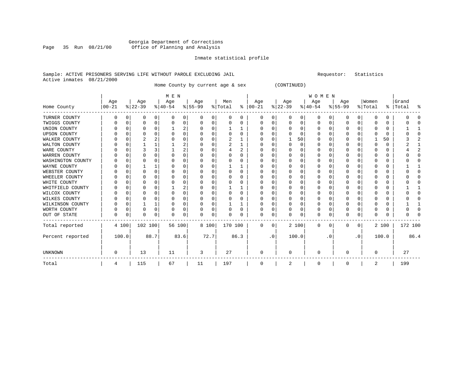#### Georgia Department of Corrections<br>Page 35 Run 08/21/00 office of Planning and Analysis Office of Planning and Analysis

#### Inmate statistical profile

#### Sample: ACTIVE PRISONERS SERVING LIFE WITHOUT PAROLE EXCLUDING JAIL Requestor: Statistics Active inmates 08/21/2000

Home County by current age & sex (CONTINUED)

| M E N | W O M E N

 | Age | Age | Age | Age | Men | Age | Age | Age | Age |Women |Grand Home County |00-21 %|22-39 %|40-54 %|55-99 %|Total % |00-21 %|22-39 %|40-54 %|55-99 %|Total % |Total %

| TURNER COUNTY       |   |       | O       | 0        |        | 0              | $\Omega$ | $\Omega$ | $\Omega$ | $\Omega$ | $\Omega$ | 0         | $\Omega$ | $\mathbf 0$ | $\Omega$ | $\Omega$ | $\mathbf 0$ | $\mathbf 0$ | ∩            | 0            |         |      |
|---------------------|---|-------|---------|----------|--------|----------------|----------|----------|----------|----------|----------|-----------|----------|-------------|----------|----------|-------------|-------------|--------------|--------------|---------|------|
| TWIGGS COUNTY       |   |       |         | 0        |        | 0              |          | $\Omega$ |          | 0        | O        | 0         |          | $\Omega$    | $\Omega$ | 0        | $\Omega$    | O           | O            | 0            |         |      |
| UNION COUNTY        |   |       |         | 0        |        | 2              |          |          |          |          |          | 0         |          | n           | O        |          |             |             |              | 0            |         |      |
| <b>UPSON COUNTY</b> |   |       |         |          |        | $\Omega$       |          |          |          |          |          |           |          | n           | O        |          |             |             |              | 0            |         |      |
| WALKER COUNTY       |   |       |         |          |        | $\Omega$       |          |          |          |          |          | 0         |          | 50          | O        |          | $\Omega$    |             |              | 50           |         |      |
| WALTON COUNTY       |   |       |         |          |        |                |          |          |          |          |          | $\Omega$  |          | $\Omega$    | U        |          | n           |             |              | $\Omega$     |         |      |
| WARE COUNTY         |   |       |         |          |        | $\overline{2}$ |          |          |          | 2        |          |           |          | n           |          |          |             |             |              | 0            |         |      |
| WARREN COUNTY       |   |       |         |          |        | $\Omega$       |          |          |          |          |          | 0         |          |             | O        |          | 0           |             |              | 0            |         |      |
| WASHINGTON COUNTY   |   |       |         |          |        | $\Omega$       |          |          |          |          |          | U         |          | $\cap$      | U        |          |             |             |              | 0            |         |      |
| WAYNE COUNTY        |   |       |         |          |        | $\Omega$       |          |          |          |          |          | 0         |          | n           | O        |          |             |             |              | 0            |         |      |
| WEBSTER COUNTY      |   |       |         | U        |        | $\Omega$       |          |          |          | 0        |          | 0         |          | $\cap$      | O        |          | 0           |             |              | 0            |         |      |
| WHEELER COUNTY      |   |       |         |          |        | $\Omega$       |          |          |          |          |          | O         |          | $\cap$      | O        |          |             |             |              | 0            |         |      |
| WHITE COUNTY        |   |       |         |          |        | $\Omega$       |          |          |          |          |          | 0         |          | n           | U        |          |             |             |              | 0            |         |      |
| WHITFIELD COUNTY    |   |       |         | U        |        | $\overline{c}$ |          |          |          |          |          | O         |          | $\cap$      |          |          |             |             |              | <sup>0</sup> |         |      |
| WILCOX COUNTY       |   |       |         |          |        | $\Omega$       |          |          |          |          |          | O         |          | $\cap$      | U        |          | ∩           |             |              | 0            |         |      |
| WILKES COUNTY       |   |       |         |          |        | O              |          |          |          |          |          |           |          | n           | O        |          |             |             |              | 0            |         |      |
| WILKINSON COUNTY    |   |       |         |          |        | $\Omega$       |          |          |          |          |          | 0         |          | $\cap$      | 0        |          |             |             |              | 0            |         |      |
| WORTH COUNTY        |   |       |         | $\Omega$ |        | 0              |          |          |          |          |          | $\Omega$  |          | $\cap$      | 0        |          | n           |             |              | 0            |         |      |
| OUT OF STATE        |   |       | O       | 0        |        | 0              | N        | $\Omega$ |          |          | O        | 0         |          | 0           | $\Omega$ | O        | $\mathbf 0$ | 0           |              | O            |         |      |
| Total reported      |   | 4 100 | 102 100 |          | 56 100 |                |          | 8 100    |          | 170 100  | 0        | 0         |          | 2 100       | 0        | 0        | 0           | 0           |              | 2 100        | 172 100 |      |
| Percent reported    |   | 100.0 |         | 88.7     |        | 83.6           |          | 72.7     |          | 86.3     |          | $\cdot$ 0 |          | 100.0       |          | . 0      |             | $\cdot$ 0   |              | 100.0        |         | 86.4 |
| <b>UNKNOWN</b>      | O |       | 13      |          | 11     |                | 3        |          | 27       |          | $\Omega$ |           | $\Omega$ |             | $\Omega$ |          | $\Omega$    |             | <sup>n</sup> |              | 27      |      |
| Total               | 4 |       | 115     |          | 67     |                | 11       |          | 197      |          | 0        |           | 2        |             | 0        |          | 0           |             | 2            |              | 199     |      |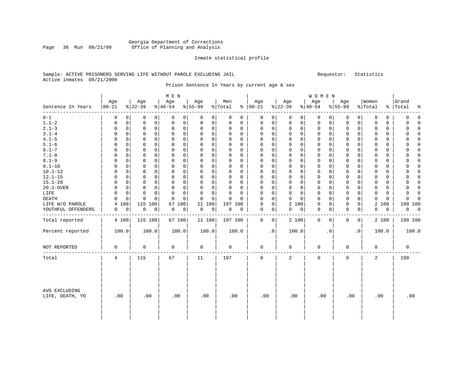### Georgia Department of Corrections Page 36 Run 08/21/00 Office of Planning and Analysis

#### Inmate statistical profile

#### Sample: ACTIVE PRISONERS SERVING LIFE WITHOUT PAROLE EXCLUDING JAIL Requestor: Statistics Active inmates 08/21/2000

Prison Sentence In Years by current age & sex

|                                  |             |             |             |             | M E N       |             |             |             |             |             |             |             |                     |              | WOMEN       |             |             |              |             |             |             |             |
|----------------------------------|-------------|-------------|-------------|-------------|-------------|-------------|-------------|-------------|-------------|-------------|-------------|-------------|---------------------|--------------|-------------|-------------|-------------|--------------|-------------|-------------|-------------|-------------|
|                                  | Age         |             | Age         |             | Age         |             | Age         |             | Men         |             | Age         |             | Age                 |              | Age         |             | Age         |              | Women       |             | Grand       |             |
| Sentence In Years                | $ 00 - 21$  |             | $8 22-39$   |             | $8 40-54$   |             | $8155 - 99$ |             | % Total     |             | $% 100-21$  |             | $ 22-39 $           |              | $ 40-54$    |             | $8155 - 99$ |              | % Total     |             | %   Total   | 욲           |
| $0 - 1$                          | $\mathbf 0$ | $\Omega$    | 0           | 0           | 0           | 0           | 0           | 0           | 0           | 0           | 0           | 0           | 0                   | 0            | 0           | 0           | 0           | 0            | 0           | 0           | 0           | $\Omega$    |
| $1.1 - 2$                        | 0           | $\Omega$    | 0           | $\mathbf 0$ | 0           | $\mathbf 0$ | 0           | $\mathbf 0$ | 0           | $\Omega$    | 0           | 0           | $\mathbf 0$         | $\mathbf{0}$ | $\mathbf 0$ | 0           | $\mathbf 0$ | $\mathbf 0$  | 0           | $\mathbf 0$ | 0           | $\Omega$    |
| $2.1 - 3$                        | $\Omega$    | 0           | 0           | 0           | $\Omega$    | $\mathbf 0$ | 0           | 0           | $\Omega$    | 0           | 0           | 0           | 0                   | $\mathbf 0$  | 0           | 0           | 0           | 0            | $\mathbf 0$ | $\mathbf 0$ | 0           | $\Omega$    |
| $3.1 - 4$                        | 0           | $\Omega$    | 0           | 0           | 0           | $\mathbf 0$ | $\mathbf 0$ | 0           | $\mathbf 0$ | 0           | $\mathbf 0$ | $\mathbf 0$ | $\mathbf 0$         | $\mathbf 0$  | 0           | 0           | $\mathbf 0$ | $\mathbf 0$  | $\mathbf 0$ | $\mathbf 0$ | $\Omega$    | $\Omega$    |
| $4.1 - 5$                        | $\Omega$    | 0           | 0           | $\mathbf 0$ | 0           | $\mathbf 0$ | $\mathbf 0$ | $\mathbf 0$ | $\Omega$    | 0           | $\mathbf 0$ | $\mathbf 0$ | $\mathbf 0$         | $\mathbf 0$  | $\mathbf 0$ | $\mathbf 0$ | $\mathbf 0$ | $\mathbf 0$  | $\mathbf 0$ | $\mathbf 0$ | O           | $\Omega$    |
| $5.1 - 6$                        | $\Omega$    | $\Omega$    | $\mathbf 0$ | 0           | $\Omega$    | $\Omega$    | 0           | $\Omega$    | $\Omega$    | $\Omega$    | $\Omega$    | $\mathbf 0$ | $\mathbf 0$         | $\Omega$     | $\mathbf 0$ | $\Omega$    | $\mathbf 0$ | $\Omega$     | $\Omega$    | $\Omega$    | $\Omega$    | $\Omega$    |
| $6.1 - 7$                        | $\Omega$    | $\Omega$    | 0           | 0           | $\Omega$    | $\mathbf 0$ | $\Omega$    | 0           | $\Omega$    | $\Omega$    | $\Omega$    | $\mathbf 0$ | $\mathbf 0$         | $\Omega$     | $\mathbf 0$ | $\Omega$    | $\mathbf 0$ | 0            | $\Omega$    | $\Omega$    | $\Omega$    | $\Omega$    |
| $7.1 - 8$                        | $\Omega$    | $\Omega$    | $\mathbf 0$ | $\Omega$    | $\Omega$    | $\mathbf 0$ | 0           | $\mathbf 0$ | $\Omega$    | $\Omega$    | $\Omega$    | $\Omega$    | 0                   | $\Omega$     | $\mathbf 0$ | $\Omega$    | 0           | $\Omega$     | $\mathbf 0$ | $\Omega$    | $\Omega$    | $\Omega$    |
| $8.1 - 9$                        | 0           | 0           | 0           | 0           | 0           | $\mathbf 0$ | 0           | 0           | 0           | $\Omega$    | 0           | $\mathbf 0$ | $\mathbf 0$         | $\mathbf 0$  | 0           | 0           | 0           | $\Omega$     | $\mathbf 0$ | 0           | 0           | $\Omega$    |
| $9.1 - 10$                       | $\Omega$    | 0           | 0           | 0           | 0           | $\mathbf 0$ | 0           | $\mathbf 0$ | $\Omega$    | $\Omega$    | 0           | $\mathbf 0$ | $\mathbf 0$         | $\mathbf 0$  | $\mathbf 0$ | 0           | 0           | 0            | $\mathbf 0$ | $\mathbf 0$ | 0           | $\Omega$    |
| $10.1 - 12$                      | $\Omega$    | $\Omega$    | 0           | 0           | $\Omega$    | 0           | 0           | 0           | $\Omega$    | $\Omega$    | $\Omega$    | 0           | $\mathbf 0$         | $\Omega$     | 0           | $\Omega$    | $\mathbf 0$ | $\Omega$     | $\Omega$    | 0           | $\Omega$    | $\Omega$    |
| $12.1 - 15$                      | $\Omega$    | $\Omega$    | $\mathbf 0$ | $\Omega$    | $\Omega$    | $\Omega$    | $\Omega$    | $\Omega$    | $\Omega$    | $\Omega$    | $\Omega$    | $\Omega$    | $\Omega$            | $\Omega$     | $\Omega$    | $\Omega$    | $\mathbf 0$ | $\Omega$     | $\Omega$    | $\Omega$    | $\Omega$    | $\Omega$    |
| $15.1 - 20$                      | $\Omega$    | $\Omega$    | 0           | $\Omega$    | $\Omega$    | $\mathbf 0$ | $\mathbf 0$ | $\mathbf 0$ | $\mathbf 0$ | $\Omega$    | $\Omega$    | $\mathbf 0$ | $\mathbf 0$         | $\Omega$     | $\mathbf 0$ | $\Omega$    | $\mathbf 0$ | $\Omega$     | $\mathbf 0$ | $\Omega$    | 0           | $\Omega$    |
| 20.1-OVER                        | $\Omega$    | $\mathbf 0$ | $\mathbf 0$ | $\mathbf 0$ | $\mathbf 0$ | $\mathbf 0$ | $\mathbf 0$ | $\mathbf 0$ | $\mathbf 0$ | $\Omega$    | $\mathbf 0$ | $\mathbf 0$ | $\mathsf{O}\xspace$ | $\mathbf 0$  | 0           | 0           | $\mathbf 0$ | $\mathbf 0$  | $\mathbf 0$ | $\Omega$    | 0           | $\Omega$    |
| LIFE                             | $\Omega$    | 0           | $\mathbf 0$ | 0           | 0           | $\mathbf 0$ | $\mathbf 0$ | 0           | $\mathbf 0$ | $\Omega$    | $\Omega$    | $\mathbf 0$ | 0                   | $\mathbf 0$  | $\mathbf 0$ | 0           | $\mathbf 0$ | 0            | $\mathbf 0$ | $\mathbf 0$ | 0           | $\Omega$    |
| <b>DEATH</b>                     | $\Omega$    | 0           | 0           | 0           | $\Omega$    | $\Omega$    | 0           | 0           | $\Omega$    | $\Omega$    | $\Omega$    | $\mathbf 0$ | $\mathbf 0$         | $\Omega$     | $\mathbf 0$ | $\Omega$    | 0           | 0            | $\mathbf 0$ | $\Omega$    | $\Omega$    | $\Omega$    |
| LIFE W/O PAROLE                  | 4           | 100         | 115         | 100         | 67          | 100         | 100<br>11   |             | 197 100     |             | 0           | 0           | 2 100               |              | 0           | 0           | 0           | 0            | 2           | 100         |             | 199 100     |
| YOUTHFUL OFFENDERS               | 0           | $\mathbf 0$ | 0           | $\mathbf 0$ | 0           | 0           | $\mathbf 0$ | $\mathbf 0$ | $\mathbf 0$ | $\mathbf 0$ | 0           | 0           | 0                   | 0            | 0           | 0           | $\mathbf 0$ | 0            | $\mathbf 0$ | $\mathbf 0$ | $\mathbf 0$ | $\mathbf 0$ |
| Total reported                   |             | 4 100       | 115 100     |             | 67 100      |             | 11 100      |             | 197 100     |             | 0           | 0           | 2 100               |              | 0           | 0           | 0           | $\mathbf{0}$ |             | 2 100       |             | 199 100     |
| Percent reported                 |             | 100.0       | 100.0       |             |             | 100.0       | 100.0       |             | 100.0       |             |             | $\cdot$ 0   | 100.0               |              |             | $\cdot$ 0   |             | $\cdot$ 0    |             | 100.0       |             | 100.0       |
| NOT REPORTED                     | 0           |             | 0           |             | 0           |             | $\mathbf 0$ |             | 0           |             | $\mathbf 0$ |             | 0                   |              | 0           |             | 0           |              | $\mathbf 0$ |             | 0           |             |
| Total                            | 4           |             | 115         |             | 67          |             | 11          |             | 197         |             | $\mathbf 0$ |             | 2                   |              | $\mathbf 0$ |             | $\mathbf 0$ |              | 2           |             | 199         |             |
| AVG EXCLUDING<br>LIFE, DEATH, YO | .00         |             | .00         |             | .00         |             | .00         |             | .00         |             | .00         |             | .00                 |              | .00         |             | .00         |              | .00         |             |             | .00         |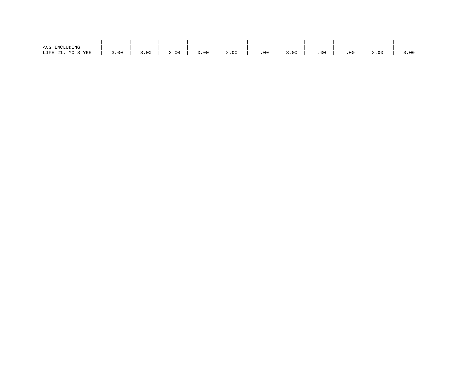| AVG INCLUDING           |      |      |      |      |      |     |      |     |          |      |      |
|-------------------------|------|------|------|------|------|-----|------|-----|----------|------|------|
| YO=3 YRS<br>$LIFE=21$ , | 3.00 | 3.00 | 3.00 | 3.00 | 3.00 | .00 | 3.00 | .00 | $.00 \,$ | 3.00 | 3.00 |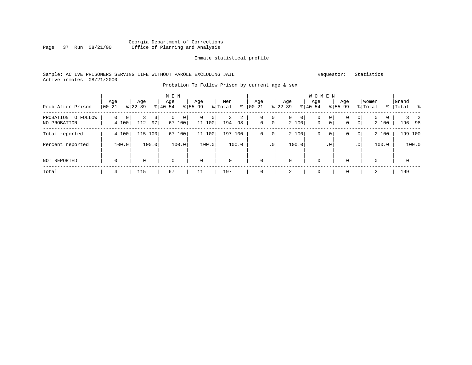### Georgia Department of Corrections Page 37 Run 08/21/00 Office of Planning and Analysis

#### Inmate statistical profile

#### Sample: ACTIVE PRISONERS SERVING LIFE WITHOUT PAROLE EXCLUDING JAIL Requestor: Statistics Active inmates 08/21/2000

# Probation To Follow Prison by current age & sex

| Prob After Prison                   | Age<br>$00 - 21$                 | Age<br>$8 22-39$ | M E N<br>Age<br>$8140 - 54$ | Age<br>$8155 - 99$                       | Men<br>% Total<br>ွေ | Age<br>$ 00-21$                               | Age<br>$ 22-39 $                          | <b>WOMEN</b><br>Age<br>$ 40-54 $       | Age<br>$8155 - 99$                       | Women<br>% Total                  | Grand<br>%   Total<br>း - မွေ |
|-------------------------------------|----------------------------------|------------------|-----------------------------|------------------------------------------|----------------------|-----------------------------------------------|-------------------------------------------|----------------------------------------|------------------------------------------|-----------------------------------|-------------------------------|
| PROBATION TO FOLLOW<br>NO PROBATION | $\Omega$<br>$\mathbf 0$<br>4 100 | 3<br>112<br>97   | $\Omega$<br>0<br>67 100     | $\mathbf{0}$<br>$\overline{0}$<br>11 100 | 2<br>3<br>194<br>98  | $\circ$<br>0<br>$\mathbf 0$<br>0 <sup>1</sup> | $\overline{0}$<br>0 <sup>1</sup><br>2 100 | 0<br>$\circ$<br>$\mathbf 0$<br>$\circ$ | 0<br>0<br>$\overline{0}$<br>$\mathbf{0}$ | $\mathbf{0}$<br>$\Omega$<br>2 100 | $3 \quad 2$<br>196 98         |
| Total reported                      | 4 100                            | 115<br>100       | 100<br>67                   | 11 100                                   | 197<br>100           | 0 <sup>1</sup><br>0                           | 2 100                                     | 0<br>$\circ$                           | $\overline{0}$<br>0                      | 2 100                             | 199 100                       |
| Percent reported                    | 100.0                            | 100.0            | 100.0                       | 100.0                                    | 100.0                | .0 <sup>1</sup>                               | 100.0                                     | $\cdot$ 0                              | $\cdot$ 0                                | 100.0                             | 100.0                         |
| NOT REPORTED                        | $\mathbf 0$                      | 0                | $\mathbf 0$                 | $\mathbf 0$                              | $\mathbf 0$          | 0                                             | $\mathbf 0$                               | $\mathbf 0$                            | 0                                        | 0                                 | $\mathbf 0$                   |
| Total                               | 4                                | 115              | 67                          | 11                                       | 197                  |                                               | 2                                         | 0                                      | 0                                        | 2                                 | 199                           |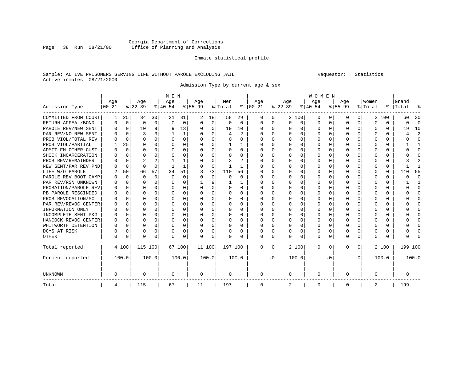### Georgia Department of Corrections Page 38 Run 08/21/00 Office of Planning and Analysis

#### Inmate statistical profile

### Sample: ACTIVE PRISONERS SERVING LIFE WITHOUT PAROLE EXCLUDING JAIL Requestor: Statistics Active inmates 08/21/2000

Admission Type by current age & sex

|                      |            |             |          |          | M E N     |             |           |             |          |          |               |     |          |          | <b>WOMEN</b> |     |           |              |         |          |           |              |
|----------------------|------------|-------------|----------|----------|-----------|-------------|-----------|-------------|----------|----------|---------------|-----|----------|----------|--------------|-----|-----------|--------------|---------|----------|-----------|--------------|
|                      | Age        |             | Age      |          | Age       |             | Age       |             | Men      |          | Age           |     | Age      |          | Age          |     | Age       |              | Women   |          | Grand     |              |
| Admission Type       | $ 00 - 21$ |             | $ 22-39$ |          | $ 40-54 $ |             | $8 55-99$ |             | % Total  |          | $8   00 - 21$ |     | $ 22-39$ |          | $ 40-54 $    |     | $8 55-99$ |              | % Total |          | %   Total | န္           |
| COMMITTED FROM COURT | 1          | 25          | 34       | 30       | 21        | 31          | 2         | 18          | 58       | 29       | O             | 0   |          | 2 100    | 0            | O   | n         | 0            |         | 2 100    | 60        | 30           |
| RETURN APPEAL/BOND   | U          | $\Omega$    | $\Omega$ | 0        | $\Omega$  | $\mathbf 0$ | $\Omega$  | $\Omega$    | $\Omega$ | 0        | $\Omega$      | 0   | $\Omega$ | 0        | O            | O   | $\Omega$  | $\Omega$     | U       | $\Omega$ | U         | $\Omega$     |
| PAROLE REV/NEW SENT  | U          | $\mathbf 0$ | 10       | 9        | 9         | 13          |           | 0           | 19       | 10       | $\Omega$      | 0   |          | $\Omega$ | 0            | O   | $\Omega$  | $\Omega$     | U       | 0        | 19        | 10           |
| PAR REV/NO NEW SENT  | U          | $\Omega$    | 3        | ς        |           | 1           |           | $\Omega$    | 4        | 2        | $\Omega$      | 0   |          | $\Omega$ | 0            | O   | O         | 0            |         | 0        |           | 2            |
| PROB VIOL/TOTAL REV  | U          | $\Omega$    | $\Omega$ | $\Omega$ | O         | 0           |           | $\Omega$    | 0        | 0        | $\Omega$      | 0   | O        | $\Omega$ | 0            | O   | $\Omega$  | 0            | 0       | 0        | U         | $\Omega$     |
| PROB VIOL/PARTIAL    |            | 25          | O        | $\Omega$ | O         | $\Omega$    |           | $\Omega$    |          |          | <sup>0</sup>  | 0   |          | $\Omega$ | 0            | 0   | $\Omega$  | 0            | O       | 0        |           | -1           |
| ADMIT FM OTHER CUST  | U          | $\Omega$    | $\Omega$ | $\Omega$ | C         | $\Omega$    |           | $\Omega$    | 0        | 0        | <sup>0</sup>  | 0   | O        | $\Omega$ | 0            | O   | ∩         | 0            | U       | 0        | U         | $\Omega$     |
| SHOCK INCARCERATION  |            | $\Omega$    | $\Omega$ | $\Omega$ |           | 0           |           | $\Omega$    | U        | 0        | Ω             | 0   |          | $\Omega$ | O            | O   | $\Omega$  | 0            | U       | 0        |           | <sup>0</sup> |
| PROB REV/REMAINDER   |            | $\Omega$    | 2        | 2        |           |             |           | $\Omega$    | 3        | 2        | Ω             | 0   |          | 0        | O            | O   | O         | $\Omega$     | Ω       | O        |           | 2            |
| NEW SENT/PAR REV PND |            | 0           | $\Omega$ | $\Omega$ |           | 1           |           | 0           |          | 1        | 0             | 0   |          | 0        | 0            | O   |           | $\Omega$     | Ω       | 0        |           |              |
| LIFE W/O PAROLE      |            | 50          | 66       | 57       | 34        | 51          | 8         | 73          | 110      | 56       | Ω             | 0   |          | $\Omega$ | 0            | O   | n         | 0            | U       | 0        | 110       | 55           |
| PAROLE REV BOOT CAMP | U          | $\Omega$    | $\Omega$ | $\Omega$ | $\Omega$  | 0           |           | $\Omega$    | $\Omega$ | $\Omega$ | O             | 0   |          | $\Omega$ | 0            | U   | ∩         | $\Omega$     | U       | 0        | C         | $\Omega$     |
| PAR REV/RSN UNKNOWN  | U          | $\Omega$    | ∩        | $\Omega$ | ∩         | 0           |           | 9           |          | 1.       | O             | 0   |          | $\Omega$ | O            | U   | ∩         | $\Omega$     | U       | U        |           |              |
| PROBATION/PAROLE REV | U          | $\Omega$    | ∩        | $\Omega$ | U         | $\Omega$    |           | $\Omega$    | U        | 0        | 0             | 0   |          | $\Omega$ | O            | U   | ∩         | <sup>n</sup> | ∩       | 0        |           | ∩            |
| PB PAROLE RESCINDED  | U          | $\Omega$    | ∩        | $\Omega$ | ∩         | $\Omega$    |           | $\Omega$    | 0        | $\Omega$ | <sup>0</sup>  | 0   |          | $\Omega$ | O            | n   | ∩         | 0            | ∩       | 0        |           | ∩            |
| PROB REVOCATION/SC   | U          | 0           |          | $\Omega$ |           | 0           |           | $\Omega$    | U        | U        | <sup>0</sup>  | 0   |          | $\Omega$ | O            | O   |           | 0            |         | U        |           | <sup>0</sup> |
| PAR REV/REVOC CENTER | U          | $\Omega$    | $\Omega$ | $\Omega$ |           | 0           |           | $\Omega$    | U        | U        | <sup>0</sup>  | 0   |          | $\Omega$ | O            | O   | O         | 0            |         | 0        |           | <sup>0</sup> |
| INFORMATION ONLY     | U          | $\Omega$    | $\Omega$ | $\Omega$ | O         | 0           |           | $\Omega$    | U        | 0        | $\Omega$      | 0   |          | $\Omega$ | O            | O   | $\Omega$  | 0            | U       | 0        |           | <sup>0</sup> |
| INCOMPLETE SENT PKG  | U          | $\Omega$    | $\Omega$ | $\Omega$ | O         | 0           |           | $\Omega$    | U        | 0        | <sup>0</sup>  | 0   |          | $\Omega$ | O            | O   | $\Omega$  | 0            | U       | 0        |           | <sup>0</sup> |
| HANCOCK REVOC CENTER | 0          | 0           | ∩        | $\Omega$ | C         | 0           |           | $\Omega$    | U        | 0        | <sup>0</sup>  | 0   |          | $\Omega$ | 0            | O   | ∩         | 0            | ∩       | 0        |           | ∩            |
| WHITWORTH DETENTION  | 0          | $\Omega$    | $\Omega$ | $\Omega$ | C         | 0           |           | $\Omega$    | 0        | 0        | 0             | 0   |          | 0        | 0            | O   | $\Omega$  | 0            | U       | 0        |           | ∩            |
| DCYS AT RISK         | 0          | $\Omega$    | $\Omega$ | $\Omega$ | 0         | 0           |           | $\mathbf 0$ | 0        | 0        | 0             | 0   |          | 0        | 0            | 0   | $\Omega$  | $\Omega$     |         | 0        |           | ſ            |
| OTHER                | U          | 0           | $\Omega$ | $\Omega$ | O         | 0           |           | $\Omega$    | U        | U        | $\Omega$      | 0   |          | 0        | 0            | O   | $\Omega$  | $\Omega$     | U       | U        |           |              |
| Total reported       |            | 4 100       | 115 100  |          |           | 67 100      | 11 100    |             | 197 100  |          | 0             | 0   |          | 2 100    | 0            | 0   | $\Omega$  | 0            |         | 2 100    | 199 100   |              |
| Percent reported     |            | 100.0       |          | 100.0    |           | 100.0       |           | 100.0       |          | 100.0    |               | . 0 |          | 100.0    |              | . 0 |           | $\cdot$ 0    |         | 100.0    |           | 100.0        |
| UNKNOWN              | 0          |             | 0        |          | 0         |             | 0         |             | 0        |          | 0             |     | 0        |          | 0            |     | $\Omega$  |              | 0       |          | 0         |              |
| Total                | 4          |             | 115      |          | 67        |             | 11        |             | 197      |          | $\mathbf 0$   |     | 2        |          | 0            |     | $\Omega$  |              | 2       |          | 199       |              |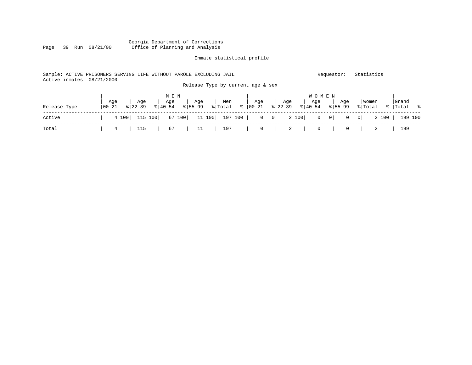### Georgia Department of Corrections Page 39 Run 08/21/00 Office of Planning and Analysis

#### Inmate statistical profile

#### Sample: ACTIVE PRISONERS SERVING LIFE WITHOUT PAROLE EXCLUDING JAIL Requestor: Statistics Active inmates 08/21/2000 Release Type by current age & sex

|              |                   |               | M E N |     |                                                                                       |     |     |     |                            |                  |                      |
|--------------|-------------------|---------------|-------|-----|---------------------------------------------------------------------------------------|-----|-----|-----|----------------------------|------------------|----------------------|
| Release Type | Aqe<br>$100 - 21$ | Aqe<br>822-39 | Aqe   | Aqe | Men<br>$ \text{Total} \ge  00-21 \ge  22-39 \ge  40-54 $                              | Aqe | Aqe | Aqe | Aqe<br>$\frac{1}{6}$ 55-99 | Women<br>% Total | Grand<br>%   Total % |
| Active       |                   |               |       |     | 4 100   115 100   67 100   11 100   197 100   0 0   2 100   0 0   0 0   0 0   199 100 |     |     |     |                            |                  |                      |
| Total        | $\sim$ 4 $\sim$   |               |       |     | 115   67   11   197   0   2   0   0   2                                               |     |     |     |                            |                  | 199                  |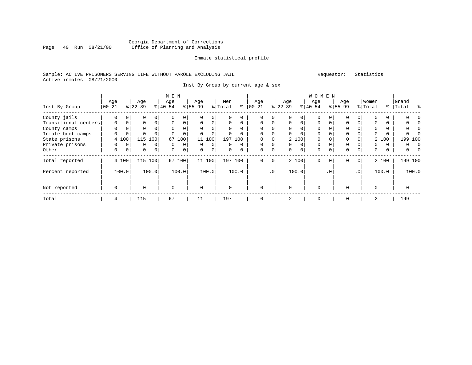### Georgia Department of Corrections Page 40 Run 08/21/00 Office of Planning and Analysis

#### Inmate statistical profile

### Sample: ACTIVE PRISONERS SERVING LIFE WITHOUT PAROLE EXCLUDING JAIL Requestor: Statistics Active inmates 08/21/2000

Inst By Group by current age & sex

|                      |                   | M E N       |                  |                |                  |          |                  |             |                |          |                   |          | <b>WOMEN</b>    |             |                  |          |                    |                 |                  |       |                    |          |
|----------------------|-------------------|-------------|------------------|----------------|------------------|----------|------------------|-------------|----------------|----------|-------------------|----------|-----------------|-------------|------------------|----------|--------------------|-----------------|------------------|-------|--------------------|----------|
| Inst By Group        | Age<br>$ 00 - 21$ |             | Age<br>$8 22-39$ |                | Age<br>$8 40-54$ |          | Age<br>$8 55-99$ |             | Men<br>% Total | ႜ        | Age<br>$ 00 - 21$ |          | Age<br>$ 22-39$ |             | Age<br>$8 40-54$ |          | Age<br>$8155 - 99$ |                 | Women<br>% Total |       | Grand<br>%   Total | ွေ       |
|                      |                   |             |                  |                |                  |          |                  |             |                |          |                   |          |                 |             |                  |          |                    |                 |                  |       |                    |          |
| County jails         | 0                 |             | $\Omega$         | $\Omega$       |                  | 0        |                  |             | U              |          | $\Omega$          | 0        |                 |             | $\Omega$         |          |                    |                 |                  |       |                    |          |
| Transitional centers | $\Omega$          | $\Omega$    | $\Omega$         | $\Omega$       | $\Omega$         | $\Omega$ | $\Omega$         | $\Omega$    | $\Omega$       | $\Omega$ | $\Omega$          | $\Omega$ | $\Omega$        | $\Omega$    | $\Omega$         | $\Omega$ | $\Omega$           |                 | 0                |       |                    |          |
| County camps         | 0                 | 0           | 0                |                | $\Omega$         | 0        | $\Omega$         |             | $\Omega$       | $\Omega$ | $\mathbf 0$       | 0        | 0               |             | 0                |          | 0                  |                 | 0                |       |                    |          |
| Inmate boot camps    | $\Omega$          | 0           | $\Omega$         |                | $\Omega$         | $\Omega$ | $\Omega$         | $\Omega$    | 0              |          | $\Omega$          | O        | $\Omega$        | $\Omega$    | $\Omega$         |          | $\Omega$           |                 | $\Omega$         |       |                    |          |
| State prisons        |                   | 4 100       | 115              | 100            | 67               | 100      | 11               | 100         |                | 197 100  | 0                 | 0        |                 | 2 100       | 0                |          | $\Omega$           |                 |                  | 2 100 |                    | 199 100  |
| Private prisons      | 0                 | 0           | 0                | 0              | 0                | 0        | $\Omega$         | 0           | $\Omega$       | $\Omega$ | $\mathbf 0$       | 0        | 0               | $\mathbf 0$ | $\mathbf 0$      |          | $\mathbf 0$        |                 | 0                | 0     | 0                  | $\Omega$ |
| Other                | 0                 | $\mathbf 0$ | $\mathbf 0$      | $\overline{0}$ | $\Omega$         | 0        | $\Omega$         | $\mathbf 0$ | 0              | 0        | $\mathbf 0$       | 0        | $\Omega$        | 0           | $\Omega$         |          | $\Omega$           | 0               | 0                | 0     | 0                  | $\Omega$ |
| Total reported       |                   | 4 100       | 115              | 100            |                  | 67 100   |                  | 11 100      |                | 197 100  | $\mathbf 0$       | 0        |                 | 2 100       | $\Omega$         | $\Omega$ | $\Omega$           | $\overline{0}$  |                  | 2 100 |                    | 199 100  |
| Percent reported     |                   | 100.0       |                  | 100.0          |                  | 100.0    |                  | 100.0       |                | 100.0    |                   | .0'      |                 | 100.0       |                  | . 0      |                    | .0 <sup>1</sup> |                  | 100.0 |                    | 100.0    |
| Not reported         | $\mathbf 0$       |             | $\Omega$         |                | $\mathbf 0$      |          | $\Omega$         |             | $\Omega$       |          | $\Omega$          |          | $\Omega$        |             | $\Omega$         |          |                    |                 | $\Omega$         |       | 0                  |          |
| Total                | 4                 |             | 115              |                | 67               |          | 11               |             | 197            |          |                   |          | $\overline{2}$  |             | 0                |          |                    |                 | 2                |       | 199                |          |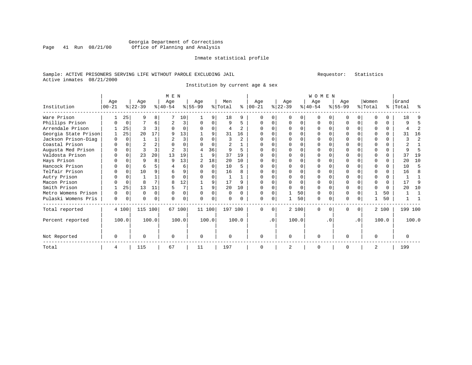### Georgia Department of Corrections Page 41 Run 08/21/00 Office of Planning and Analysis

#### Inmate statistical profile

### Sample: ACTIVE PRISONERS SERVING LIFE WITHOUT PAROLE EXCLUDING JAIL Requestor: Statistics Active inmates 08/21/2000

Institution by current age & sex

|                      | M E N       |             |           |          |           |          |          |          |          |          | <b>WOMEN</b> |           |              |          |              |          |           |           |          |          |           |       |  |
|----------------------|-------------|-------------|-----------|----------|-----------|----------|----------|----------|----------|----------|--------------|-----------|--------------|----------|--------------|----------|-----------|-----------|----------|----------|-----------|-------|--|
|                      | Age         |             | Age       |          | Age       |          | Age      |          | Men      |          | Age          |           | Age          |          | Age          |          | Age       |           | Women    |          | Grand     |       |  |
| Institution          | $ 00 - 21 $ |             | $ 22-39 $ |          | $ 40-54 $ |          | $ 55-99$ |          | % Total  | ႜ        | $ 00 - 21$   |           | $ 22-39 $    |          | $ 40-54 $    |          | $ 55-99 $ |           | % Total  |          | %   Total | ႜ     |  |
| Ware Prison          |             | 25          | 9         | 8        |           | 10       |          | 9        | 18       | 9        |              |           | <sup>n</sup> | 0        | <sup>0</sup> |          | U         | $\Omega$  | ∩        |          | 18        |       |  |
| Phillips Prison      |             | 0           |           | 6        | 2         | 3        | O        | 0        | 9        | 5        |              |           | $\Omega$     | $\Omega$ | $\Omega$     | $\Omega$ |           | $\Omega$  | ∩        | $\Omega$ | 9         | 5     |  |
| Arrendale Prison     |             | 25          | ζ         |          |           |          | $\Omega$ | U        | 4        |          |              |           |              |          |              |          |           |           |          | O        |           | 2     |  |
| Georgia State Prison |             | 25          | 20        | 17       |           | 13       |          | 9        | 31       | 16       |              |           |              |          |              |          |           |           |          |          | 31        | 16    |  |
| Jackson Prison-Diag  | $\Omega$    | $\Omega$    |           |          |           | 3        |          |          | 3        | 2        |              |           |              |          |              |          |           |           |          |          |           | 2     |  |
| Coastal Prison       |             | $\Omega$    |           |          |           | U        |          | U        | 2        |          |              |           |              |          |              |          |           | $\cap$    |          | $\cap$   |           |       |  |
| Augusta Med Prison   |             | $\Omega$    |           |          |           | 3        | 4        | 36       | 9        | 5        |              |           |              |          |              |          |           |           |          | $\Omega$ |           | 5     |  |
| Valdosta Prison      |             | $\Omega$    | 23        | 20       | 13        | 19       |          | 9        | 37       | 19       |              |           |              |          |              |          |           |           |          | 0        | 37        | 19    |  |
| Hays Prison          |             | $\Omega$    | 9         | 8        | <b>q</b>  | 13       |          | 18       | 20       | 10       |              |           |              | U        |              |          |           |           |          |          | 20        | 10    |  |
| Hancock Prison       |             | $\Omega$    | 6         |          |           | 6        |          | $\Omega$ | 10       | 5        |              |           |              |          |              |          |           |           |          |          | 10        | .5    |  |
| Telfair Prison       |             | $\Omega$    | 10        |          | 6         | 9        |          |          | 16       | 8        |              |           |              |          |              |          |           |           |          |          | 16        | 8     |  |
| Autry Prison         |             |             |           |          |           |          |          | O        |          |          |              |           |              |          |              |          |           |           |          |          |           | 1     |  |
| Macon Prison         |             | $\Omega$    | 8         |          |           | 12       |          | 9        | 17       | 9        |              |           |              | U        |              |          |           |           |          | $\cap$   | 17        | 9     |  |
| Smith Prison         |             | 25          | 13        | 11       |           |          |          | 9        | 20       | 10       |              |           |              | $\Omega$ | ∩            |          |           |           |          | $\cap$   | 20        | 10    |  |
| Metro Womens Prison  | O           | $\Omega$    | $\Omega$  | $\Omega$ | ∩         | $\Omega$ | $\Omega$ | O        | $\Omega$ | $\Omega$ | ∩            |           |              | 50       | <sup>0</sup> | ∩        | O         | $\Omega$  |          | 50       |           |       |  |
| Pulaski Womens Pris  | 0           | $\mathbf 0$ | O         | $\Omega$ | $\Omega$  | 0        | $\Omega$ | 0        | $\Omega$ | $\Omega$ | $\Omega$     | $\Omega$  |              | 50       | $\Omega$     | 0        | N         | $\Omega$  |          | 50       |           |       |  |
| Total reported       |             | 4 100       | 115 100   |          |           | 67 100   | 11 100   |          | 197 100  |          | $\Omega$     | $\Omega$  |              | 2 100    | $\Omega$     | $\Omega$ | $\Omega$  | $\Omega$  |          | 2 100    | 199 100   |       |  |
| Percent reported     |             | 100.0       |           | 100.0    |           | 100.0    |          | 100.0    |          | 100.0    |              | $\cdot$ 0 |              | 100.0    |              | . 0      |           | $\cdot$ 0 |          | 100.0    |           | 100.0 |  |
| Not Reported         | 0           |             | O         |          | $\Omega$  |          | $\Omega$ |          | $\Omega$ |          | $\Omega$     |           | $\Omega$     |          | $\Omega$     |          | 0         |           | $\Omega$ |          | $\Omega$  |       |  |
| Total                | 4           |             | 115       |          | 67        |          | 11       |          | 197      |          |              |           | 2            |          | $\Omega$     |          |           |           | 2        |          | 199       |       |  |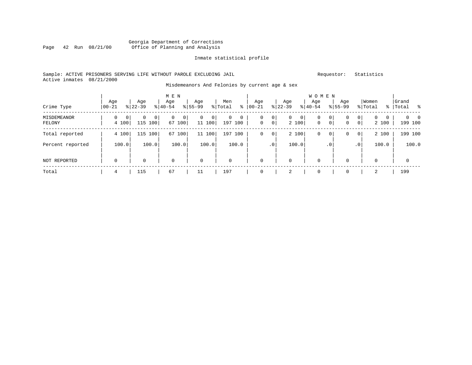### Georgia Department of Corrections<br>Page 42 Run 08/21/00 office of Planning and Analysis Page 42 Run 08/21/00 Office of Planning and Analysis

#### Inmate statistical profile

### Sample: ACTIVE PRISONERS SERVING LIFE WITHOUT PAROLE EXCLUDING JAIL Requestor: Statistics Active inmates 08/21/2000

#### Misdemeanors And Felonies by current age & sex

|                       |                            |                      | M E N                      |                            |                     |                                                       |                                           |                                   |                    |                                                              |                            |
|-----------------------|----------------------------|----------------------|----------------------------|----------------------------|---------------------|-------------------------------------------------------|-------------------------------------------|-----------------------------------|--------------------|--------------------------------------------------------------|----------------------------|
| Crime Type            | Age<br>$00 - 21$           | Age<br>$8 22-39$     | Age<br>$8 40-54$           | Age<br>$8155 - 99$         | Men<br>៖<br>% Total | Age<br>$00 - 21$                                      | Age<br>$ 22-39 $                          | Age<br>$ 40-54 $                  | Age<br>$8155 - 99$ | Women<br>% Total                                             | Grand<br>%   Total<br>. နေ |
| MISDEMEANOR<br>FELONY | $\mathbf{0}$<br>0<br>4 100 | 0<br>0<br>115<br>100 | $\mathbf 0$<br>0<br>67 100 | $\mathbf 0$<br>0<br>11 100 | 0<br>0<br>197 100   | 0 <sup>1</sup><br>0<br>0 <sup>1</sup><br>$\mathbf{0}$ | $\overline{0}$<br>0 <sup>1</sup><br>2 100 | 0<br>$\circ$<br>$\mathbf 0$<br> 0 | 0<br>0             | $\mathbf{0}$<br>$\mathbf{0}$<br>0<br>$\overline{0}$<br>2 100 | - 0<br>199 100             |
| Total reported        | 4 100                      | 115<br>100           | 67<br>100                  | 11 100                     | 197<br>100          | 0<br>$\circ$                                          | 2 100                                     | 0<br>$\circ$                      | 0                  | 2 100<br>$\overline{0}$                                      | 199 100                    |
| Percent reported      | 100.0                      | 100.0                | 100.0                      | 100.0                      | 100.0               | .0 <sup>1</sup>                                       | 100.0                                     | $.0^{\circ}$                      |                    | 100.0<br>.0'                                                 | 100.0                      |
| <b>NOT REPORTED</b>   | $\mathbf 0$                | 0                    | $\mathbf 0$                | $\mathbf 0$                | $\mathbf 0$         | 0                                                     | $\mathbf 0$                               | $\mathbf 0$                       | 0                  | 0                                                            | $\mathbf{0}$               |
| Total                 | 4                          | 115                  | 67                         | 11                         | 197                 |                                                       | 2                                         | $\mathbf 0$                       | 0                  | 2                                                            | 199                        |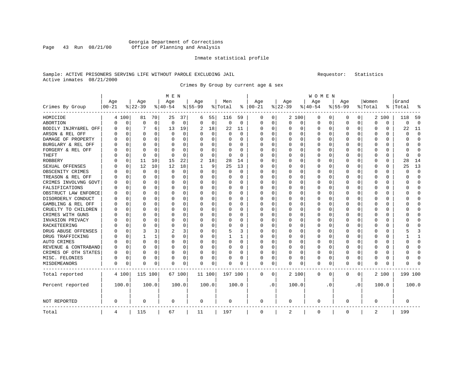### Georgia Department of Corrections Page 43 Run 08/21/00 Office of Planning and Analysis

#### Inmate statistical profile

### Sample: ACTIVE PRISONERS SERVING LIFE WITHOUT PAROLE EXCLUDING JAIL Requestor: Statistics Active inmates 08/21/2000

Crimes By Group by current age & sex

|                      | M E N     |             |             |             |          |          |             |             |             |          | <b>WOMEN</b> |     |          |          |           |             |              |          |          |          |         |                |  |
|----------------------|-----------|-------------|-------------|-------------|----------|----------|-------------|-------------|-------------|----------|--------------|-----|----------|----------|-----------|-------------|--------------|----------|----------|----------|---------|----------------|--|
|                      | Age       |             | Age         |             | Age      |          | Age         |             | Men         |          | Age          |     | Age      |          | Age       |             | Aqe          |          | Women    |          | Grand   |                |  |
| Crimes By Group      | $00 - 21$ |             | $8 22-39$   |             | $ 40-54$ |          | $8155 - 99$ |             | % Total     | ి        | $ 00-21$     |     | $ 22-39$ |          | $8 40-54$ |             | $8155 - 99$  |          | % Total  | ి        | Total   |                |  |
| HOMICIDE             | 4         | 100         | 81          | 70          | 25       | 37       | 6           | 55          | 116         | 59       | 0            | 0   |          | 2 100    | 0         | 0           | 0            | 0        |          | 2 100    | 118     | 59             |  |
| ABORTION             | $\Omega$  | $\mathbf 0$ | $\mathbf 0$ | $\mathbf 0$ | $\Omega$ | 0        | $\Omega$    | $\mathbf 0$ | $\mathbf 0$ | $\Omega$ | $\Omega$     | 0   | $\Omega$ | 0        | $\Omega$  | $\mathbf 0$ | $\Omega$     | 0        | $\Omega$ | $\Omega$ | 0       | $\overline{0}$ |  |
| BODILY INJRY&REL OFF | O         | 0           | 7           | 6           | 13       | 19       | 2           | 18          | 22          | 11       | $\Omega$     | 0   | $\Omega$ | 0        | 0         | 0           | <sup>0</sup> | 0        | O        | 0        | 22      | 11             |  |
| ARSON & REL OFF      | O         | $\mathbf 0$ | O           | 0           | $\Omega$ | 0        |             | 0           | 0           | $\Omega$ | O            | 0   | $\Omega$ | 0        | 0         | $\Omega$    |              | 0        | O        | U        | U       | $\Omega$       |  |
| DAMAGE OF PROPERTY   |           | $\Omega$    | $\Omega$    | $\Omega$    | $\Omega$ | 0        |             | $\Omega$    | $\Omega$    | U        | $\Omega$     | 0   | $\Omega$ | $\Omega$ | U         | C           | ∩            | U        | $\Omega$ | $\Omega$ | U       | $\Omega$       |  |
| BURGLARY & REL OFF   |           | $\Omega$    | $\Omega$    | $\Omega$    | O        | 0        | $\Omega$    | 0           | 0           | 0        | 0            | 0   | $\Omega$ | $\Omega$ | 0         | $\Omega$    | <sup>0</sup> | $\Omega$ | O        | 0        | U       | $\Omega$       |  |
| FORGERY & REL OFF    |           | $\mathbf 0$ | $\Omega$    | $\Omega$    | 0        | 0        |             | $\Omega$    | 0           | 0        | 0            | 0   | $\Omega$ | $\Omega$ | 0         | $\Omega$    |              | $\Omega$ | 0        | 0        | U       | $\Omega$       |  |
| THEFT                |           | $\mathbf 0$ | $\Omega$    | $\Omega$    | $\Omega$ | $\Omega$ |             | 0           | $\Omega$    | $\Omega$ | $\Omega$     | 0   | $\Omega$ | $\Omega$ | 0         | $\Omega$    | <sup>0</sup> | $\Omega$ | O        | $\Omega$ | U       | $\Omega$       |  |
| ROBBERY              |           | 0           | 11          | 10          | 15       | 22       | 2           | 18          | 28          | 14       | $\Omega$     | 0   | O        | $\Omega$ | 0         | O           | <sup>0</sup> | $\Omega$ | O        | 0        | 28      | 14             |  |
| SEXUAL OFFENSES      |           | 0           | 12          | 10          | 12       | 18       |             | 9           | 25          | 13       | $\Omega$     | 0   | $\Omega$ | $\Omega$ | 0         | $\Omega$    | <sup>0</sup> | 0        | O        | U        | 25      | 13             |  |
| OBSCENITY CRIMES     |           | $\Omega$    | $\Omega$    | 0           | $\Omega$ | 0        | ∩           | $\Omega$    | 0           | $\Omega$ | $\Omega$     | 0   | $\Omega$ | $\Omega$ | 0         | C           | ∩            | 0        | O        | $\Omega$ | U       | $\Omega$       |  |
| TREASON & REL OFF    |           | $\mathbf 0$ | $\Omega$    | $\Omega$    | $\Omega$ | 0        | $\Omega$    | 0           | 0           | 0        | $\Omega$     | 0   | $\Omega$ | 0        | 0         | $\Omega$    | <sup>0</sup> | $\Omega$ | $\Omega$ | 0        | U       | $\Omega$       |  |
| CRIMES INVOLVNG GOVT |           | $\mathbf 0$ | $\Omega$    | 0           | $\Omega$ | 0        |             | 0           | 0           | 0        | 0            | 0   | 0        | 0        | 0         | $\Omega$    | 0            | $\Omega$ | 0        | 0        | ი       | $\Omega$       |  |
| FALSIFICATIONS       |           | $\Omega$    | $\Omega$    | $\Omega$    | $\Omega$ | $\Omega$ | $\Omega$    | $\Omega$    | 0           | $\Omega$ | $\Omega$     | 0   | $\Omega$ | $\Omega$ | 0         | C           | <sup>0</sup> | $\Omega$ | 0        | $\Omega$ | U       | $\Omega$       |  |
| OBSTRUCT LAW ENFORCE | O         | $\mathbf 0$ | $\Omega$    | $\Omega$    | O        | 0        | $\Omega$    | $\Omega$    | 0           | 0        | $\Omega$     | 0   | $\Omega$ | $\Omega$ | O         | O           | O            | $\Omega$ | O        | 0        | ი       | $\Omega$       |  |
| DISORDERLY CONDUCT   | O         | 0           | O           | 0           | O        | 0        |             | 0           | 0           | O        | $\Omega$     | 0   | 0        | $\Omega$ | 0         | 0           |              | 0        | O        | 0        |         | <sup>0</sup>   |  |
| GAMBLING & REL OFF   | U         | $\Omega$    | U           | 0           | $\Omega$ | 0        | ∩           | $\Omega$    | 0           | U        | $\Omega$     | 0   | $\Omega$ | $\Omega$ | 0         | C           | ∩            | 0        | U        | 0        | ∩       | ∩              |  |
| CRUELTY TO CHILDREN  |           | $\Omega$    | O           | $\Omega$    | $\Omega$ | 0        | $\Omega$    | 0           | $\Omega$    | 0        | $\Omega$     | 0   | $\Omega$ | $\Omega$ | 0         | $\Omega$    | <sup>0</sup> | $\Omega$ | O        | 0        |         | ∩              |  |
| CRIMES WITH GUNS     |           | $\mathbf 0$ | 0           | $\Omega$    | 0        | 0        |             | 0           | 0           | 0        | 0            | 0   | $\Omega$ | 0        | 0         | $\Omega$    | <sup>0</sup> | $\Omega$ | 0        | 0        |         | O              |  |
| INVASION PRIVACY     |           | $\Omega$    | $\Omega$    | $\Omega$    | $\Omega$ | 0        |             | $\Omega$    | 0           | $\Omega$ | $\Omega$     | 0   | $\Omega$ | $\Omega$ | 0         | $\Omega$    | <sup>0</sup> | $\Omega$ | O        | $\Omega$ | U       | $\Omega$       |  |
| RACKETEERING         | U         | 0           | $\Omega$    | $\Omega$    | 0        | 0        | ∩           | $\Omega$    | 0           | 0        | $\Omega$     | 0   | $\Omega$ | $\Omega$ | 0         | $\Omega$    | <sup>0</sup> | $\Omega$ | O        | 0        |         | <sup>0</sup>   |  |
| DRUG ABUSE OFFENSES  |           | 0           | 3           | 3           | 2        | 3        |             | 0           | 5           | 3        | $\Omega$     | 0   | 0        | $\Omega$ | 0         | $\Omega$    |              | 0        | O        | 0        |         |                |  |
| DRUG TRAFFICKING     | N         | $\Omega$    | 1           | 1           | $\Omega$ | 0        | ∩           | $\Omega$    |             | 1        | $\Omega$     | 0   | $\Omega$ | $\Omega$ | 0         | C           | <sup>0</sup> | 0        | O        | 0        |         | $\mathbf{1}$   |  |
| AUTO CRIMES          |           | $\Omega$    | O           | 0           | $\Omega$ | 0        | $\Omega$    | 0           | 0           | 0        | $\Omega$     | 0   | $\Omega$ | 0        | 0         | $\Omega$    | 0            | $\Omega$ | O        | 0        | U       | <sup>0</sup>   |  |
| REVENUE & CONTRABAND | 0         | $\mathbf 0$ | $\Omega$    | 0           | 0        | 0        | $\Omega$    | 0           | 0           | 0        | 0            | 0   | $\Omega$ | 0        | 0         | $\Omega$    | 0            | 0        | 0        | 0        | ი       | $\Omega$       |  |
| CRIMES OF OTH STATES | O         | $\mathbf 0$ | $\Omega$    | $\Omega$    | $\Omega$ | 0        | $\Omega$    | 0           | 0           | $\Omega$ | $\Omega$     | 0   | $\Omega$ | 0        | 0         | $\Omega$    | $\Omega$     | $\Omega$ | O        | 0        | U       | $\Omega$       |  |
| MISC. FELONIES       | 0         | 0           | $\Omega$    | $\Omega$    | 0        | 0        | $\Omega$    | 0           | 0           | 0        | $\Omega$     | 0   | O        | $\Omega$ | 0         | $\Omega$    | 0            | $\Omega$ | 0        | 0        | O       | <sup>0</sup>   |  |
| MISDEMEANORS         | 0         | 0           | 0           | 0           | 0        | 0        | $\Omega$    | 0           | 0           | 0        | 0            | 0   | 0        | 0        | 0         | 0           | 0            | 0        | 0        | 0        | ი       | C              |  |
| Total reported       |           | 4 100       | 115 100     |             |          | 67 100   | 11 100      |             | 197 100     |          | 0            | 0   |          | 2 100    | 0         | 0           | $\Omega$     | 0        |          | 2 100    | 199 100 |                |  |
| Percent reported     |           | 100.0       |             | 100.0       |          | 100.0    |             | 100.0       |             | 100.0    |              | . 0 |          | 100.0    |           | . 0         |              | . 0      |          | 100.0    |         | 100.0          |  |
| <b>NOT REPORTED</b>  | 0         |             | $\Omega$    |             | $\Omega$ |          | 0           |             | 0           |          | $\mathbf 0$  |     | $\Omega$ |          | 0         |             | $\Omega$     |          | 0        |          | 0       |                |  |
| Total                | 4         |             | 115         |             | 67       |          | 11          |             | 197         |          | $\mathbf 0$  |     | 2        |          | 0         |             | $\Omega$     |          | 2        |          | 199     |                |  |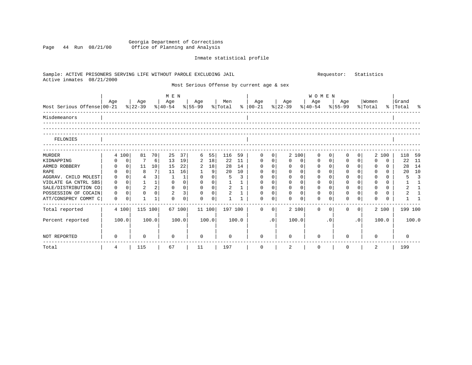#### Georgia Department of Corrections Page 44 Run 08/21/00 Office of Planning and Analysis

# Inmate statistical profile

| Sample: ACTIVE PRISONERS SERVING LIFE WITHOUT PAROLE EXCLUDING JAIL<br>Active inmates<br>08/21/2000 |              |                |                |                 |                |                |             |             |              |              |                                                                           | Requestor:<br>Statistics |              |              |                     |                |          |           |                  |          |                    |                |
|-----------------------------------------------------------------------------------------------------|--------------|----------------|----------------|-----------------|----------------|----------------|-------------|-------------|--------------|--------------|---------------------------------------------------------------------------|--------------------------|--------------|--------------|---------------------|----------------|----------|-----------|------------------|----------|--------------------|----------------|
|                                                                                                     |              |                |                |                 |                |                |             |             |              |              | Most Serious Offense by current age & sex                                 |                          |              |              |                     |                |          |           |                  |          |                    |                |
|                                                                                                     | Age          |                | Age            |                 | M E N<br>  Age |                | Age         |             | Men          |              | Age<br>$\frac{1}{2}$   00-21 \cdots   22-39 \cdots   40-54 \cdots   55-99 |                          | Age          |              | <b>WOMEN</b><br>Age |                | Age      |           | Women<br>% Total |          | Grand<br>% Total % |                |
|                                                                                                     |              |                |                |                 |                |                |             |             |              |              |                                                                           |                          |              |              |                     |                |          |           |                  |          |                    |                |
| Misdemeanors                                                                                        |              |                |                |                 |                |                |             |             |              |              |                                                                           |                          |              |              |                     |                |          |           |                  |          |                    |                |
|                                                                                                     |              |                |                |                 |                |                |             |             |              |              |                                                                           |                          |              |              |                     |                |          |           |                  |          |                    |                |
| FELONIES                                                                                            |              |                |                |                 |                |                |             |             |              |              |                                                                           |                          |              |              |                     |                |          |           |                  |          |                    |                |
| <b>MURDER</b>                                                                                       |              | 4 100          | 81             | 70              | 25             | 37             | 6           | 55          | 116          | 59           | $\Omega$                                                                  | $\Omega$                 |              | 2 100        | $\Omega$            | $\Omega$       | 0        | $\Omega$  | 2                | 100      | 118 59             |                |
| KIDNAPPING                                                                                          | $\Omega$     | $\mathbf{0}$   |                | $6 \mid$        | 13             | 19             | 2           | 18          | 22           | 11           | $\Omega$                                                                  | 0 <sup>1</sup>           | 0            | 0            | 0                   | $\overline{0}$ | 0        | $\Omega$  | $\Omega$         | 0        | 22 11              |                |
| ARMED ROBBERY                                                                                       | $\Omega$     | 0 <sup>1</sup> | 11             | 10 <sup>1</sup> | 15             | 22             | 2           | 18          | 28           | 14           | $\Omega$                                                                  | 0 <sup>1</sup>           | $\mathbf{0}$ | $\mathbf{0}$ | $\mathbf{0}$        | 0 <sup>1</sup> | $\Omega$ | $\Omega$  | $\Omega$         | 0        | 28                 | 14             |
| RAPE                                                                                                | $\Omega$     | $\Omega$       | 8              | 7 I             | 11             | 16             | $\mathbf 1$ | 9           | 20           | 10           | $\Omega$                                                                  | 0 <sup>1</sup>           | $\Omega$     | $\Omega$     | $\mathbf 0$         | $\Omega$       | $\Omega$ | $\Omega$  | $\Omega$         | $\Omega$ | 20                 | 10             |
| AGGRAV. CHILD MOLEST                                                                                | $\Omega$     | $\Omega$       | 4              | $\overline{3}$  | 1              | 1              | $\Omega$    | $\Omega$    | 5            | 3            | $\Omega$                                                                  | $\Omega$                 | $\Omega$     | $\Omega$     | $\Omega$            | $\Omega$       | $\Omega$ | $\Omega$  | $\Omega$         | $\Omega$ | 5                  | $\overline{3}$ |
| VIOLATE GA CNTRL SBS                                                                                | $\Omega$     | $\overline{0}$ | $\mathbf{1}$   | 1               | $\Omega$       | 0              | $\Omega$    | $\mathbf 0$ |              | $\mathbf{1}$ | $\Omega$                                                                  | $\mathbf 0$              | $\Omega$     | $\Omega$     | $\mathbf 0$         | $\Omega$       | $\Omega$ | $\Omega$  | $\Omega$         | $\Omega$ |                    | $\mathbf{1}$   |
| SALE/DISTRIBUTION CO                                                                                | $\Omega$     | $\Omega$       | $\overline{a}$ | 2               | $\Omega$       | $\overline{0}$ | $\Omega$    | $\mathbf 0$ | 2            | $\mathbf{1}$ | $\Omega$                                                                  | 0 <sup>1</sup>           | $\Omega$     | $\Omega$     | $\Omega$            | $\Omega$       | $\Omega$ | $\Omega$  | $\Omega$         | $\Omega$ |                    | 1              |
| POSSESSION OF COCAIN                                                                                | $\Omega$     | $\Omega$       | $\Omega$       | $\overline{0}$  | $\overline{a}$ | $\overline{3}$ | $\Omega$    | $\Omega$    | 2            | $\mathbf{1}$ | $\Omega$                                                                  | $\Omega$                 | $\Omega$     | $\Omega$     | $\Omega$            | $\Omega$       | $\Omega$ | $\Omega$  | $\Omega$         | $\Omega$ |                    | $\mathbf{1}$   |
| ATT/CONSPRCY COMMT C                                                                                | $\mathbf{0}$ | $\Omega$       |                | $\mathbf{1}$    | $\Omega$       | 0              | $\Omega$    | $\Omega$    | $\mathbf{1}$ | 1            | $\Omega$                                                                  | $\Omega$                 | $\Omega$     | $\Omega$     | $\Omega$            | $\Omega$       | $\Omega$ | $\Omega$  | <sup>0</sup>     |          |                    |                |
| Total reported                                                                                      |              | 4 100          | 115 100        |                 |                | 67 100         | 11 100      |             |              | 197 100      | $\Omega$                                                                  | $\Omega$                 |              | 2 100        | $\Omega$            | $\Omega$       | 0        | $\Omega$  |                  | 2 100    | 199 100            |                |
| Percent reported                                                                                    |              | 100.0          |                | 100.0           |                | 100.0          |             | 100.0       |              | 100.0        |                                                                           | .0                       |              | 100.0        |                     | $\cdot$ 0      |          | $\cdot$ 0 |                  | 100.0    |                    | 100.0          |
| NOT REPORTED                                                                                        | 0            |                | <sup>0</sup>   |                 | $\Omega$       |                | $\Omega$    |             | $\Omega$     |              | $\Omega$                                                                  |                          | $\Omega$     |              | $\Omega$            |                | 0        |           | $\Omega$         |          | $\Omega$           |                |
| Total                                                                                               | 4            |                | 115            |                 | 67             |                | 11          |             | 197          |              | $\Omega$                                                                  |                          | 2            |              | $\Omega$            |                | $\Omega$ |           | 2                |          | 199                |                |